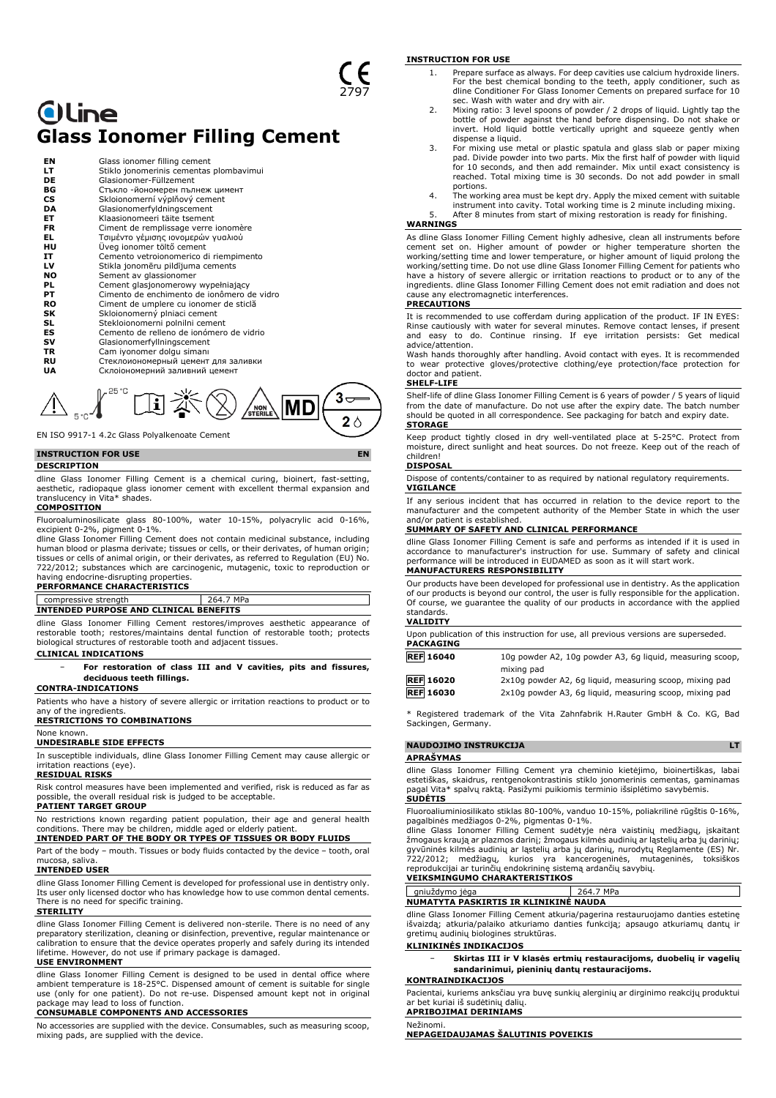## **Oline Glass Ionomer Filling Cement**

| ΕN        | Glass ionomer filling cement               |
|-----------|--------------------------------------------|
| LT        | Stiklo jonomerinis cementas plombavimui    |
| DE        | Glasionomer-Füllzement                     |
| ВG        | Стъкло -йономерен пълнеж цимент            |
| <b>CS</b> | Skloionomerní výplňový cement              |
| DA        | Glasionomerfyldningscement                 |
| EТ        | Klaasionomeeri täite tsement               |
| FR        | Ciment de remplissage verre ionomère       |
| EL.       | Τσιμέντο γέμισης ιονομερών γυαλιού         |
| HU        | Üveg ionomer töltő cement                  |
| IT        | Cemento vetroionomerico di riempimento     |
| LV        | Stikla jonomēru pildījuma cements          |
| NO.       | Sement av glassionomer                     |
| PL        | Cement glasjonomerowy wypełniający         |
| PТ        | Cimento de enchimento de jonômero de vidro |
| <b>RO</b> | Ciment de umplere cu ionomer de sticlă     |
| SΚ        | Skloionomerný plniaci cement               |
| SL        | Stekloionomerni polnilni cement            |
| ES        | Cemento de relleno de jonómero de vidrio   |
| sv        | Glasionomerfyllningscement                 |
| TR        | Cam iyonomer dolgu simanı                  |
| RU        | Стеклоиономерный цемент для заливки        |
| UA        | Склоіономерний заливний цемент             |
|           |                                            |



EN ISO 9917-1 4.2c Glass Polyalkenoate Cement

#### **INSTRUCTION FOR USE EN**

#### **DESCRIPTION**

dline Glass Ionomer Filling Cement is a chemical curing, bioinert, fast-setting, aesthetic, radiopaque glass ionomer cement with excellent thermal expansion and translucency in Vita\* shades.

#### **COMPOSITION**

Fluoroaluminosilicate glass 80-100%, water 10-15%, polyacrylic acid 0-16%,

excipient 0-2%, pigment 0-1%. dline Glass Ionomer Filling Cement does not contain medicinal substance, including human blood or plasma derivate; tissues or cells, or their derivates, of human origin; tissues or cells of animal origin, or their derivates, as referred to Regulation (EU) No. 722/2012; substances which are carcinogenic, mutagenic, toxic to reproduction or having endocrine-disrupting properties.

#### **PERFORMANCE CHARACTERISTICS**

#### compressive strength 264.7 MPa **INTENDED PURPOSE AND CLINICAL BENEFITS**

dline Glass Ionomer Filling Cement restores/improves aesthetic appearance of restorable tooth; restores/maintains dental function of restorable tooth; protects biological structures of restorable tooth and adjacent tissues.

#### **CLINICAL INDICATIONS**

− **For restoration of class III and V cavities, pits and fissures, deciduous teeth fillings.**

**CONTRA-INDICATIONS**

Patients who have a history of severe allergic or irritation reactions to product or to any of the ingredients.

**RESTRICTIONS TO COMBINATIONS**

#### None known.

**UNDESIRABLE SIDE EFFECTS**

In susceptible individuals, dline Glass Ionomer Filling Cement may cause allergic or irritation reactions (eye).

#### **RESIDUAL RISKS**

Risk control measures have been implemented and verified, risk is reduced as far as possible, the overall residual risk is judged to be acceptable.

#### **PATIENT TARGET GROUP**

No restrictions known regarding patient population, their age and general health conditions. There may be children, middle aged or elderly patient. **INTENDED PART OF THE BODY OR TYPES OF TISSUES OR BODY FLUIDS**

## Part of the body – mouth. Tissues or body fluids contacted by the device – tooth, oral

mucosa, saliva. **INTENDED USER**

dline Glass Ionomer Filling Cement is developed for professional use in dentistry only. Its user only licensed doctor who has knowledge how to use common dental cements. There is no need for specific training.

#### **STERILITY**

dline Glass Ionomer Filling Cement is delivered non-sterile. There is no need of any preparatory sterilization, cleaning or disinfection, preventive, regular maintenance or calibration to ensure that the device operates properly and safely during its intended lifetime. However, do not use if primary package is damaged.

#### **USE ENVIRONMENT**

dline Glass Ionomer Filling Cement is designed to be used in dental office where ambient temperature is 18-25°C. Dispensed amount of cement is suitable for single use (only for one patient). Do not re-use. Dispensed amount kept not in original package may lead to loss of function.

#### **CONSUMABLE COMPONENTS AND ACCESSORIES**

No accessories are supplied with the device. Consumables, such as measuring scoop, mixing pads, are supplied with the device.

#### **INSTRUCTION FOR USE**

- 1. Prepare surface as always. For deep cavities use calcium hydroxide liners. For the best chemical bonding to the teeth, apply conditioner, such as dline Conditioner For Glass Ionomer Cements on prepared surface for 10
- sec. Wash with water and dry with air. 2. Mixing ratio: 3 level spoons of powder / 2 drops of liquid. Lightly tap the bottle of powder against the hand before dispensing. Do not shake or invert. Hold liquid bottle vertically upright and squeeze gently when dispense a liquid.
- 3. For mixing use metal or plastic spatula and glass slab or paper mixing pad. Divide powder into two parts. Mix the first half of powder with liquid for 10 seconds, and then add remainder. Mix until exact consistency is reached. Total mixing time is 30 seconds. Do not add powder in small
- portions.<br>1. The working area must be kept dry. Apply the mixed cement with suitable<br>instrument into cavity. Total working time is 2 minute including mixing.<br>5. After 8 minutes from start of mixing restoration is ready

#### **WARNINGS**

As dline Glass Ionomer Filling Cement highly adhesive, clean all instruments before cement set on. Higher amount of powder or higher temperature shorten the working/setting time and lower temperature, or higher amount of liquid prolong the working/setting time. Do not use dline Glass Ionomer Filling Cement for patients who have a history of severe allergic or irritation reactions to product or to any of the ingredients. dline Glass Ionomer Filling Cement does not emit radiation and does not cause any electromagnetic interferences.

#### **PRECAUTIONS**

It is recommended to use cofferdam during application of the product. IF IN EYES: Rinse cautiously with water for several minutes. Remove contact lenses, if present and easy to do. Continue rinsing. If eye irritation persists: Get medical advice/attention.

Wash hands thoroughly after handling. Avoid contact with eyes. It is recommended to wear protective gloves/protective clothing/eye protection/face protection for doctor and patient.

#### **SHELF-LIFE**

Shelf-life of dline Glass Ionomer Filling Cement is 6 years of powder / 5 years of liquid from the date of manufacture. Do not use after the expiry date. The batch number should be quoted in all correspondence. See packaging for batch and expiry date. **STORAGE**

Keep product tightly closed in dry well-ventilated place at 5-25°C. Protect from moisture, direct sunlight and heat sources. Do not freeze. Keep out of the reach of children!

#### **DISPOSAL**

Dispose of contents/container to as required by national regulatory requirements. **VIGILANCE**

If any serious incident that has occurred in relation to the device report to the manufacturer and the competent authority of the Member State in which the user and/or patient is established.

#### **SUMMARY OF SAFETY AND CLINICAL PERFORMANCE**

dline Glass Ionomer Filling Cement is safe and performs as intended if it is used in accordance to manufacturer's instruction for use. Summary of safety and clinical performance will be introduced in EUDAMED as soon as it will start work. **MANUFACTURERS RESPONSIBILITY**

Our products have been developed for professional use in dentistry. As the application of our products is beyond our control, the user is fully responsible for the application. Of course, we guarantee the quality of our products in accordance with the applied standards.

#### **VALIDITY**

Upon publication of this instruction for use, all previous versions are superseded. **PACKAGING**

| <b>REF 16040</b> | 10g powder A2, 10g powder A3, 6g liquid, measuring scoop, |
|------------------|-----------------------------------------------------------|
|                  | mixing pad                                                |
| <b>REF 16020</b> | 2x10g powder A2, 6g liquid, measuring scoop, mixing pad   |

**REF 16030** 2x10g powder A3, 6g liquid, measuring scoop, mixing pad

\* Registered trademark of the Vita Zahnfabrik H.Rauter GmbH & Co. KG, Bad Sackingen, Germany.

#### **NAUDOJIMO INSTRUKCIJA LT**

#### **APRAŠYMAS**

dline Glass Ionomer Filling Cement yra cheminio kietėjimo, bioinertiškas, labai<br>estetiškas, skaidrus, rentgenokontrastinis stiklo jonomerinis cementas, gaminamas<br>pagal Vita\* spalvų raktą. Pasižymi puikiomis terminio išsipl **SUDĖTIS**

Fluoroaliuminiosilikato stiklas 80-100%, vanduo 10-15%, poliakrilinė rūgštis 0-16%, pagalbinės medžiagos 0-2%, pigmentas 0-1%. dline Glass Ionomer Filling Cement sudėtyje nėra vaistinių medžiagų, įskaitant

žmogaus kraują ar plazmos darinį; žmogaus kilmės audinių ar ląstelių arba jų darinių; gyvūninės kilmės audinių ar ląstelių arba jų darinių, nurodytų Reglamente (ES) Nr. 722/2012; medžiagų, kurios yra kancerogeninės, mutageninės, toksiškos reprodukcijai ar turinčių endokrininę sistemą ardančių savybių. **VEIKSMINGUMO CHARAKTERISTIKOS**

gniuždymo jėga 264.7 MPa **NUMATYTA PASKIRTIS IR KLINIKINĖ NAUDA**

dline Glass Ionomer Filling Cement atkuria/pagerina restauruojamo danties estetinę išvaizdą; atkuria/palaiko atkuriamo danties funkciją; apsaugo atkuriamų dantų ir gretimų audinių biologines struktūras.

#### **KLINIKINĖS INDIKACIJOS**

− **Skirtas III ir V klasės ertmių restauracijoms, duobelių ir vagelių sandarinimui, pieninių dantų restauracijoms.**

#### **KONTRAINDIKACIJOS**

Pacientai, kuriems anksčiau yra buvę sunkių alerginių ar dirginimo reakcijų produktui kuriai iš sudėtinių dalių

#### **APRIBOJIMAI DERINIAMS**

Nežinomi.

**NEPAGEIDAUJAMAS ŠALUTINIS POVEIKIS**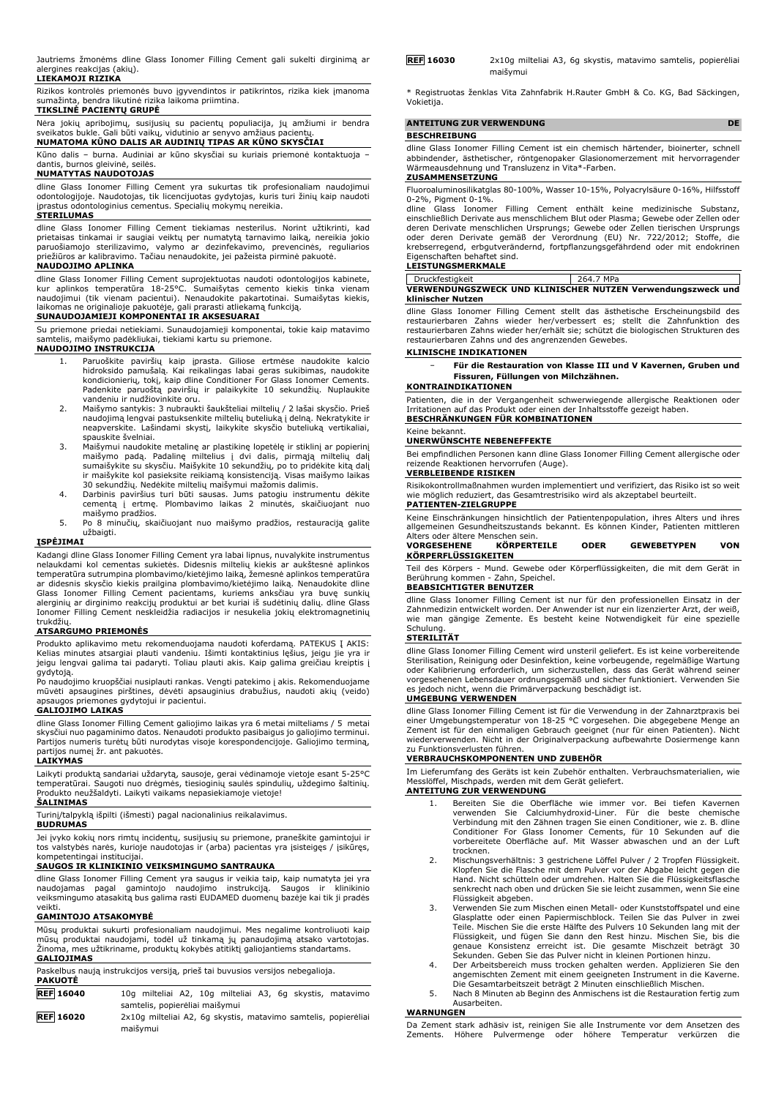Jautriems žmonėms dline Glass Ionomer Filling Cement gali sukelti dirginimą ar alergines reakcijas (akių).

### **LIEKAMOJI RIZIKA**

Rizikos kontrolės priemonės buvo įgyvendintos ir patikrintos, rizika kiek įmanoma sumažinta, bendra likutinė rizika laikoma priimtina.

#### **TIKSLINĖ PACIENTŲ GRUPĖ**

Nėra jokių apribojimų, susijusių su pacientų populiacija, jų amžiumi ir bendra sveikatos bukle. Gali būti vaikų, vidutinio ar senyvo amžiaus pacientų. **NUMATOMA KŪNO DALIS AR AUDINIŲ TIPAS AR KŪNO SKYSČIAI**

Kūno dalis – burna. Audiniai ar kūno skysčiai su kuriais priemonė kontaktuoja – dantis, burnos gleivinė, seilės.

#### **NUMATYTAS NAUDOTOJAS**

dline Glass Ionomer Filling Cement yra sukurtas tik profesionaliam naudojimui odontologijoje. Naudotojas, tik licencijuotas gydytojas, kuris turi žinių kaip naudoti įprastus odontologinius cementus. Specialių mokymų nereikia. **STERILUMAS**

# dline Glass Ionomer Filling Cement tiekiamas nesterilus. Norint užtikrinti, kad<br>prietaisas tinkamai ir saugiai veiktų per numatytą tarnavimo laiką, nereikia jokio<br>paruošiamojo sterilizavimo, valymo ar dezinfekavimo, preven

dline Glass Ionomer Filling Cement suprojektuotas naudoti odontologijos kabinete, kur aplinkos temperatūra 18-25°C. Sumaišytas cemento kiekis tinka vienam<br>naudojimui (tik vienam pacientui). Nenaudokite pakartotinai. Sumaišytas kiekis,<br>laikomas ne originalioje pakuotėje, gali prarasti atliekamą funkciją.

#### **SUNAUDOJAMIEJI KOMPONENTAI IR AKSESUARAI**

Su priemone priedai netiekiami. Sunaudojamieji komponentai, tokie kaip matavimo samtelis, maišymo padėkliukai, tiekiami kartu su priemone.

### **NAUDOJIMO INSTRUKCIJA**

- 1. Paruoškite paviršių kaip įprasta. Giliose ertmėse naudokite kalcio hidroksido pamušalą. Kai reikalingas labai geras sukibimas, naudokite kondicionierių, tokį, kaip dline Conditioner For Glass Ionomer Cements. Padenkite paruoštą paviršių ir palaikykite 10 sekundžių. Nuplaukite vandeniu ir nudžiovinkite oru.
- 2. Maišymo santykis: 3 nubraukti šaukšteliai miltelių / 2 lašai skysčio. Prieš naudojimą lengvai pastuksenkite miltelių buteliuką į delną. Nekratykite ir neapverskite. Lašindami skystį, laikykite skysčio buteliuką vertikaliai, spauskite švelniai.
- 3. Maišymui naudokite metalinę ar plastikinę lopetėlę ir stiklinį ar popierinį maišymo padą. Padalinę miltelius į dvi dalis, pirmąją miltelių dalį sumaišykite su skysčiu. Maišykite 10 sekundžių, po to pridėkite kitą dalį ir maišykite kol pasieksite reikiamą konsistenciją. Visas maišymo laikas
- 30 sekundžių. Nedėkite miltelių maišymui mažomis dalimis. 4. Darbinis paviršius turi būti sausas. Jums patogiu instrumentu dėkite cementą į ertmę. Plombavimo laikas 2 minutės, skaičiuojant nuo maišymo pradžios.
- 5. Po 8 minučių, skaičiuojant nuo maišymo pradžios, restauraciją galite užbaigti.

#### **ĮSPĖJIMAI**

Kadangi dline Glass Ionomer Filling Cement yra labai lipnus, nuvalykite instrumentus nelaukdami kol cementas sukietės. Didesnis miltelių kiekis ar aukštesnė aplinkos temperatūra sutrumpina plombavimo/kietėjimo laiką, žemesnė aplinkos temperatūra ar didesnis skysčio kiekis prailgina plombavimo/kietėjimo laiką. Nenaudokite dline<br>Glass Ionomer Filling Cement pacientams, kuriems anksčiau yra buvę sunkių<br>alerginių ar dirginimo reakcijų produktui ar bet kuriai iš sudėti trukdžių.

#### **ATSARGUMO PRIEMONĖS**

Produkto aplikavimo metu rekomenduojama naudoti koferdamą. PATEKUS Į AKIS:<br>Kelias minutes atsargiai plauti vandeniu. Išimti kontaktinius lęšius, jeigu jie yra ir<br>jeigu lengvai galima tai padaryti. Toliau plauti akis. Kaip

gydytoją. Po naudojimo kruopščiai nusiplauti rankas. Vengti patekimo į akis. Rekomenduojame mūvėti apsaugines pirštines, dėvėti apsauginius drabužius, naudoti akių (veido) apsaugos priemones gydytojui ir pacientui.

#### **GALIOJIMO LAIKAS**

dline Glass Ionomer Filling Cement galiojimo laikas yra 6 metai milteliams / 5 metai skysčiui nuo pagaminimo datos. Nenaudoti produkto pasibaigus jo galiojimo terminui. Partijos numeris turėtų būti nurodytas visoje korespondencijoje. Galiojimo terminą, partijos numeį žr. ant pakuotės.

#### **LAIKYMAS**

Laikyti produktą sandariai uždarytą, sausoje, gerai vėdinamoje vietoje esant 5-25°C<br>temperatūrai. Saugoti nuo drėgmės, tiesioginių saulės spindulių, uždegimo šaltinių.<br>Produkto neužšaldyti. Laikyti vaikams nepasiekiamoje v

#### **ŠALINIMAS**

Turinį/talpyklą išpilti (išmesti) pagal nacionalinius reikalavimus.

#### **BUDRUMAS**

Jei įvyko kokių nors rimtų incidentų, susijusių su priemone, praneškite gamintojui ir tos valstybės narės, kurioje naudotojas ir (arba) pacientas yra įsisteigęs / įsikūręs, kompetentingai institucijai.

#### **SAUGOS IR KLINIKINIO VEIKSMINGUMO SANTRAUKA**

dline Glass Ionomer Filling Cement yra saugus ir veikia taip, kaip numatyta jei yra naudojamas pagal gamintojo naudojimo instrukciją. Saugos ir klinikinio veiksmingumo atasakitą bus galima rasti EUDAMED duomenų bazėje kai tik ji pradės veikti.

#### **GAMINTOJO ATSAKOMYBĖ**

Mūsų produktai sukurti profesionaliam naudojimui. Mes negalime kontroliuoti kaip mūsų produktai naudojami, todėl už tinkamą jų panaudojimą atsako vartotojas. Žinoma, mes užtikriname, produktų kokybės atitiktį galiojantiems standartams. **GALIOJIMAS**

|         | Paskelbus naują instrukcijos versiją, prieš tai buvusios versijos nebegalioja. |
|---------|--------------------------------------------------------------------------------|
| PAKUOTĖ |                                                                                |

| <b>REF</b> 16040 |                                |  |  |  | 10g milteliai A2, 10g milteliai A3, 6g skystis, matavimo       |
|------------------|--------------------------------|--|--|--|----------------------------------------------------------------|
|                  | samtelis, popierėliai maišymui |  |  |  |                                                                |
| <b>REF 16020</b> |                                |  |  |  | 2x10q milteliai A2, 6q skystis, matavimo samtelis, popierėliai |
|                  | maišvmui                       |  |  |  |                                                                |

| <b>REF 16030</b> | 2x10g milteliai A3, 6g skystis, matavimo samtelis, popierėliai |  |  |  |
|------------------|----------------------------------------------------------------|--|--|--|
|                  | maišvmui                                                       |  |  |  |

\* Registruotas ženklas Vita Zahnfabrik H.Rauter GmbH & Co. KG, Bad Säckingen, Vokietija.

#### **ANTEITUNG ZUR VERWENDUNG DE**

#### **BESCHREIBUNG**

dline Glass Ionomer Filling Cement ist ein chemisch härtender, bioinerter, schnell abbindender, ästhetischer, röntgenopaker Glasionomerzement mit hervorragender Wärmeausdehnung und Transluzenz in Vita\*-Farben. **ZUSAMMENSETZUNG**

Fluoroaluminosilikatglas 80-100%, Wasser 10-15%, Polyacrylsäure 0-16%, Hilfsstoff 0-2%, Pigment 0-1%.

dline Glass Ionomer Filling Cement enthält keine medizinische Substanz,<br>einschließlich-Derivate-aus-menschlichem-Blut-oder-Plasma; Gewebe-oder-Zellen-oder<br>deren-Derivate-menschlichen-Ursprungs; Gewebe-oder-Zellen-tierische oder deren Derivate gemäß der Verordnung (EU) Nr. 722/2012; Stoffe, die krebserregend, erbgutverändernd, fortpflanzungsgefährdend oder mit endokrinen Eigenschaften behaftet sind.

#### **LEISTUNGSMERKMALE**

Druckfestigkeit 264.7 MPa **VERWENDUNGSZWECK UND KLINISCHER NUTZEN Verwendungszweck und klinischer Nutzen**

dline Glass Ionomer Filling Cement stellt das ästhetische Erscheinungsbild des restaurierbaren Zahns wieder her/verbessert es; stellt die Zahnfunktion des restaurierbaren Zahns wieder her/erhält sie; schützt die biologischen Strukturen des restaurierbaren Zahns und des angrenzenden Gewebes.

#### **KLINISCHE INDIKATIONEN**

− **Für die Restauration von Klasse III und V Kavernen, Gruben und Fissuren, Füllungen von Milchzähnen.**

#### **KONTRAINDIKATIONEN**

Patienten, die in der Vergangenheit schwerwiegende allergische Reaktionen oder Irritationen auf das Produkt oder einen der Inhaltsstoffe gezeigt haben. **BESCHRÄNKUNGEN FÜR KOMBINATIONEN**

#### Keine bekannt.

#### **UNERWÜNSCHTE NEBENEFFEKTE**

Bei empfindlichen Personen kann dline Glass Ionomer Filling Cement allergische oder reizende Reaktionen hervorrufen (Auge).

#### **VERBLEIBENDE RISIKEN**

Risikokontrollmaßnahmen wurden implementiert und verifiziert, das Risiko ist so weit wie möglich reduziert, das Gesamtrestrisiko wird als akzeptabel beurteilt.

#### **PATIENTEN-ZIELGRUPPE**

Keine Einschränkungen hinsichtlich der Patientenpopulation, ihres Alters und ihres allgemeinen Gesundheitszustands bekannt. Es können Kinder, Patienten mittleren

### Alters oder ältere Menschen sein. **VORGESEHENE KÖRPERTEILE ODER GEWEBETYPEN VON KÖRPERFLÜSSIGKEITEN**

Teil des Körpers - Mund. Gewebe oder Körperflüssigkeiten, die mit dem Gerät in Berührung kommen - Zahn, Speichel. **BEABSICHTIGTER BENUTZER**

dline Glass Ionomer Filling Cement ist nur für den professionellen Einsatz in der Zahnmedizin entwickelt worden. Der Anwender ist nur ein lizenzierter Arzt, der weiß, wie man gängige Zemente. Es besteht keine Notwendigkeit für eine spezielle **Schulung** 

#### **STERILITÄT**

dline Glass Ionomer Filling Cement wird unsteril geliefert. Es ist keine vorbereitende Sterilisation, Reinigung oder Desinfektion, keine vorbeugende, regelmäßige Wartung oder Kalibrierung erforderlich, um sicherzustellen, dass das Gerät während seiner vorgesehenen Lebensdauer ordnungsgemäß und sicher funktioniert. Verwenden Sie es jedoch nicht, wenn die Primärverpackung beschädigt ist. **UMGEBUNG VERWENDEN**

#### dline Glass Ionomer Filling Cement ist für die Verwendung in der Zahnarztpraxis bei einer Umgebungstemperatur von 18-25 °C vorgesehen. Die abgegebene Menge an Zement ist für den einmaligen Gebrauch geeignet (nur für einen Patienten). Nicht wiederverwenden. Nicht in der Originalverpackung aufbewahrte Dosiermenge kann zu Funktionsverlusten führen.

#### **VERBRAUCHSKOMPONENTEN UND ZUBEHÖR**

Im Lieferumfang des Geräts ist kein Zubehör enthalten. Verbrauchsmaterialien, wie Messlöffel, Mischpads, werden mit dem Gerät geliefert.

#### **ANTEITUNG ZUR VERWENDUNG**

- 1. Bereiten Sie die Oberfläche wie immer vor. Bei tiefen Kavernen verwenden Sie Calciumhydroxid-Liner. Für die beste chemische Verbindung mit den Zähnen tragen Sie einen Conditioner, wie z. B. dline Conditioner For Glass Ionomer Cements, für 10 Sekunden auf die vorbereitete Oberfläche auf. Mit Wasser abwaschen und an der Luft trocknen.
- 2. Mischungsverhältnis: 3 gestrichene Löffel Pulver / 2 Tropfen Flüssigkeit. Klopfen Sie die Flasche mit dem Pulver vor der Abgabe leicht gegen die Hand. Nicht schütteln oder umdrehen. Halten Sie die Flüssigkeitsflasche senkrecht nach oben und drücken Sie sie leicht zusammen, wenn Sie eine Flüssigkeit abgeben.
- 3. Verwenden Sie zum Mischen einen Metall- oder Kunststoffspatel und eine Glasplatte oder einen Papiermischblock. Teilen Sie das Pulver in zwei Teile. Mischen Sie die erste Hälfte des Pulvers 10 Sekunden lang mit der Flüssigkeit, und fügen Sie dann den Rest hinzu. Mischen Sie, bis die genaue Konsistenz erreicht ist. Die gesamte Mischzeit beträgt 30 Sekunden. Geben Sie das Pulver nicht in kleinen Portionen hinzu.
- 4. Der Arbeitsbereich muss trocken gehalten werden. Applizieren Sie den angemischten Zement mit einem geeigneten Instrument in die Kaverne. Die Gesamtarbeitszeit beträgt 2 Minuten einschließlich Mischen.
- 5. Nach 8 Minuten ab Beginn des Anmischens ist die Restauration fertig zum Ausarbeiten.

#### **WARNUNGEN**

Da Zement stark adhäsiv ist, reinigen Sie alle Instrumente vor dem Ansetzen des Zements. Höhere Pulvermenge oder höhere Temperatur verkürzen die oder höhere Temperatur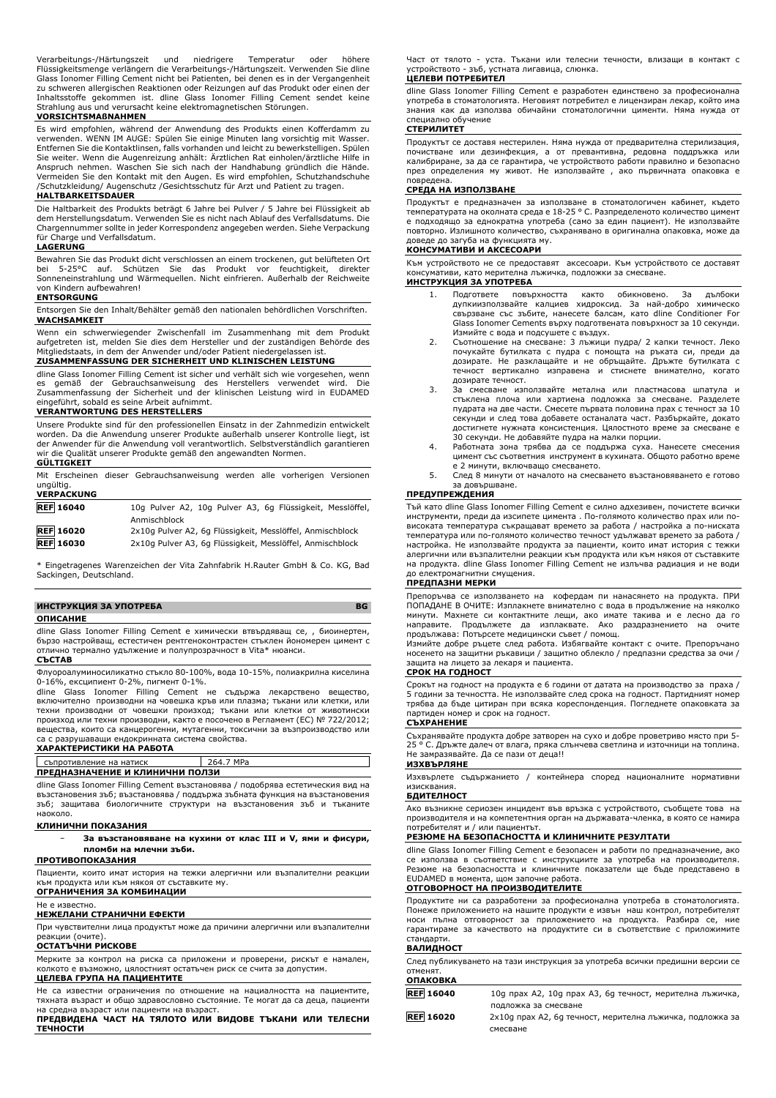Verarbeitungs-/Härtungszeit und niedrigere Temperatur oder höhere Flüssigkeitsmenge verlängern die Verarbeitungs-/Härtungszeit. Verwenden Sie dline Glass Ionomer Filling Cement nicht bei Patienten, bei denen es in der Vergangenheit zu schweren allergischen Reaktionen oder Reizungen auf das Produkt oder einen der Inhaltsstoffe gekommen ist. dline Glass Ionomer Filling Cement sendet keine Strahlung aus und verursacht keine elektromagnetischen Störungen.

#### **VORSICHTSMAßNAHMEN**

Es wird empfohlen, während der Anwendung des Produkts einen Kofferdamm zu verwenden. WENN IM AUGE: Spülen Sie einige Minuten lang vorsichtig mit Wasser. Entfernen Sie die Kontaktlinsen, falls vorhanden und leicht zu bewerkstelligen. Spülen Sie weiter. Wenn die Augenreizung anhält: Arztlichen Rat einholen/ärztliche Hilfe in<br>Anspruch nehmen. Waschen Sie sich nach der Handhabung gründlich die Hände.<br>Vermeiden Sie den Kontakt mit den Augen. Es wird empfohlen, Sc /Schutzkleidung/ Augenschutz /Gesichtsschutz für Arzt und Patient zu tragen.

#### **HALTBARKEITSDAUER**

Die Haltbarkeit des Produkts beträgt 6 Jahre bei Pulver / 5 Jahre bei Flüssigkeit ab dem Herstellungsdatum. Verwenden Sie es nicht nach Ablauf des Verfallsdatums. Die Chargennummer sollte in jeder Korrespondenz angegeben werden. Siehe Verpackung für Charge und Verfallsdatum.

#### **LAGERUNG**

Bewahren Sie das Produkt dicht verschlossen an einem trockenen, gut belüfteten Ort<br>bei 5-25°C auf Schützen, Sie das Produkt, vor, feuchtigkeit, direkter bei 5-25°C auf. Schützen Sie das Produkt vor feuchtigkeit, direkter Sonneneinstrahlung und Wärmequellen. Nicht einfrieren. Außerhalb der Reichweite von Kindern aufbewahren! **ENTSORGUNG**

Entsorgen Sie den Inhalt/Behälter gemäß den nationalen behördlichen Vorschriften. **WACHSAMKEIT**

Wenn ein schwerwiegender Zwischenfall im Zusammenhang mit dem Produkt aufgetreten ist, melden Sie dies dem Hersteller und der zuständigen Behörde des<br>Mitgliedstaats, in dem der Anwender und/oder Patient niedergelassen ist. in dem der Anwender und/oder Patient niedergelassen ist.

#### **ZUSAMMENFASSUNG DER SICHERHEIT UND KLINISCHEN LEISTUNG**

dline Glass Ionomer Filling Cement ist sicher und verhält sich wie vorgesehen, wenn es gemäß der Gebrauchsanweisung des Herstellers verwendet wird. Die es gemäß der Gebrauchsanweisung des Herstellers verwendet wird. Die Zusammenfassung der Sicherheit und der klinischen Leistung wird in EUDAMED

## eingeführt, sobald es seine Arbeit aufnimmt. **VERANTWORTUNG DES HERSTELLERS**

Unsere Produkte sind für den professionellen Einsatz in der Zahnmedizin entwickelt worden. Da die Anwendung unserer Produkte außerhalb unserer Kontrolle liegt, ist der Anwender für die Anwendung voll verantwortlich. Selbstverständlich garantieren wir die Qualität unserer Produkte gemäß den angewandten Normen.

### **GÜLTIGKEIT**

Mit Erscheinen dieser Gebrauchsanweisung werden alle vorherigen Versionen ungültig. **VERPACKUNG**

| ---------------  |                                                           |
|------------------|-----------------------------------------------------------|
| <b>REF</b> 16040 | 10g Pulver A2, 10g Pulver A3, 6g Flüssigkeit, Messlöffel, |
|                  | Anmischblock                                              |
| <b>REF 16020</b> | 2x10q Pulver A2, 6q Flüssigkeit, Messlöffel, Anmischblock |
| <b>REF</b> 16030 | 2x10q Pulver A3, 6q Flüssigkeit, Messlöffel, Anmischblock |

\* Eingetragenes Warenzeichen der Vita Zahnfabrik H.Rauter GmbH & Co. KG, Bad Sackingen, Deutschland.

#### **ИНСТРУКЦИЯ ЗА УПОТРЕБА BG**

#### **ОПИСАНИЕ**

dline Glass Ionomer Filling Cement е химически втвърдяващ се, , биоинертен, бързо настройващ, естестичен рентгеноконтрастен стъклен йономерен цимент с отлично термално удължение и полупрозрачност в Vita\* нюанси. **СЪСТАВ**

Флуороалуминосиликатно стъкло 80-100%, вода 10-15%, полиакрилна киселина

0-16%, ексципиент 0-2%, пигмент 0-1%. dline Glass Ionomer Filling Cement не съдържа лекарствено вещество, включително производни на човешка кръв или плазма; тъкани или клетки, или техни производни от човешки произход; тъкани или клетки от животински произход или техни производни, както е посочено в Регламент (ЕС) № 722/2012; вещества, които са канцерогенни, мутагенни, токсични за възпроизводство или са с разрушаващи ендокринната система свойства.

#### **ХАРАКТЕРИСТИКИ НА РАБОТА**

|                                 | съпротивление на натиск                                                     | 264.7 MPa |
|---------------------------------|-----------------------------------------------------------------------------|-----------|
| ПРЕДНАЗНАЧЕНИЕ И КЛИНИЧНИ ПОЛЗИ |                                                                             |           |
|                                 | dine Class Janamer Filling Cament puscraughna / nonofingea ecreturescus pur |           |

dline Glass Ionomer Filling Cement възстановява / подобрява естетическия вид на възстановения зъб; възстановява / поддържа зъбната функция на възстановения зъб; защитава биологичните структури на възстановения зъб и тъканите наоколо.

#### **КЛИНИЧНИ ПОКАЗАНИЯ**

− **За възстановяване на кухини от клас III и V, ями и фисури, пломби на млечни зъби.**

#### **ПРОТИВОПОКАЗАНИЯ**

Пациенти, които имат история на тежки алергични или възпалителни реакции към продукта или към някоя от съставките му. **ОГРАНИЧЕНИЯ ЗА КОМБИНАЦИИ**

## Не е известно.

**НЕЖЕЛАНИ СТРАНИЧНИ ЕФЕКТИ**

При чувствителни лица продуктът може да причини алергични или възпалителни реакции (очите).

#### **ОСТАТЪЧНИ РИСКОВЕ**

Мерките за контрол на риска са приложени и проверени, рискът е намален, колкото е възможно, цялостният остатъчен риск се счита за допустим. **ЦЕЛЕВА ГРУПА НА ПАЦИЕНТИТЕ**

Не са известни ограничения по отношение на нациалността на пациентите, тяхната възраст и общо здравословно състояние. Те могат да са деца, пациенти на средна възраст или пациенти на възраст.

**ПРЕДВИДЕНА ЧАСТ НА ТЯЛОТО ИЛИ ВИДОВЕ ТЪКАНИ ИЛИ ТЕЛЕСНИ ТЕЧНОСТИ**

Част от тялото - уста. Тъкани или телесни течности, влизащи в контакт с устройството - зъб, устната лигавица, слюнка.

### **ЦЕЛЕВИ ПОТРЕБИТЕЛ**

dline Glass Ionomer Filling Cement е разработен единствено за професионална употреба в стоматологията. Неговият потребител е лицензиран лекар, който има знания как да използва обичайни стоматологични цименти. Няма нужда от специално обучение

#### **СТЕРИЛИТЕТ**

Продуктът се доставя нестерилен. Няма нужда от предварителна стерилизация, почистване или дезинфекция, а от превантивна, редовна поддръжка или калибриране, за да се гарантира, че устройството работи правилно и безопасно през определения му живот. Не използвайте , ако първичната опаковка е повредена.

#### **СРЕДА НА ИЗПОЛЗВАНЕ**

Продуктът е предназначен за използване в стоматологичен кабинет, където температурата на околната среда е 18-25 ° C. Разпределеното количество цимент е подходящо за еднократна употреба (само за един пациент). Не използвайте повторно. Излишното количество, съхранявано в оригинална опаковка, може да доведе до загуба на функцията му.

#### **КОНСУМАТИВИ И АКСЕСОАРИ**

Към устройството не се предоставят аксесоари. Към устройството се доставят консумативи, като мерителна лъжичка, подложки за смесване. **ИНСТРУКЦИЯ ЗА УПОТРЕБА**

- 1. Подгответе повърхността както обикновено. За дълбоки дупкиизползвайте калциев хидроксид. За най-добро химическо свързване със зъбите, нанесете балсам, като dline Conditioner For Glass Ionomer Cements върху подготвената повърхност за 10 секунди.
- Измийте с вода и подсушете с въздух. 2. Съотношение на смесване: 3 лъжици пудра/ 2 капки течност. Леко почукайте бутилката с пудра с помощта на ръката си, преди да дозирате. Не разклащайте и не обръщайте. Дръжте бутилката с течност вертикално изправена и стиснете внимателно, когато дозирате течност.
- 3. За смесване използвайте метална или пластмасова шпатула и стъклена плоча или хартиена подложка за смесване. Разделете пудрата на две части. Смесете първата половина прах с течност за 10 секунди и след това добавете останалата част. Разбъркайте, докато достигнете нужната консистенция. Цялостното време за смесване е
- 30 секунди. Не добавяйте пудра на малки порции. 4. Работната зона трябва да се поддържа суха. Нанесете смесения цимент със съответния инструмент в кухината. Общото работно време е 2 минути, включващо смесването.
- 5. След 8 минути от началото на смесването възстановяването е готово за довършване.

#### **ПРЕДУПРЕЖДЕНИЯ**

Тъй като dline Glass Ionomer Filling Cement е силно адхезивен, почистете всички инструменти, преди да изсипете цимента . По-голямото количество прах или повисоката температура съкращават времето за работа / настройка а по-ниската температура или по-голямото количество течност удължават времето за работа / настройка. Не използвайте продукта за пациенти, които имат история с тежки алергични или възпалителни реакции към продукта или към някоя от съставките на продукта. dline Glass Ionomer Filling Cement не излъчва радиация и не води до електромагнитни смущения.

#### **ПРЕДПАЗНИ МЕРКИ**

Препоръчва се използването на кофердам пи нанасянето на продукта. ПРИ ПОПАДАНЕ В ОЧИТЕ: Изплакнете внимателно с вода в продължение на няколко минути. Махнете си контактните лещи, ако имате такива и е лесно да го направите. Продължете да изплаквате. Ако раздразнението на очите продължава: Потърсете медицински съвет / помощ.

Измийте добре ръцете след работа. Избягвайте контакт с очите. Препоръчано носенето на защитни ръкавици / защитно облекло / предпазни средства за очи / защита на лицето за лекаря и пациента.

#### **СРОК НА ГОДНОСТ**

Срокът на годност на продукта е 6 години от датата на производство за праха / 5 години за течността. Не използвайте след срока на годност. Партидният номер трябва да бъде цитиран при всяка кореспонденция. Погледнете опаковката за партиден номер и срок на годност. **СЪХРАНЕНИЕ**

Съхранявайте продукта добре затворен на сухо и добре проветриво място при 5- 25 ° C. Дръжте далеч от влага, пряка слънчева светлина и източници на топлина. Не замразявайте. Да се пази от деца!!

#### **ИЗХВЪРЛЯНЕ**

٦

Изхвърлете съдържанието / контейнера според националните нормативни изисквания.

#### **БДИТЕЛНОСТ**

Ако възникне сериозен инцидент във връзка с устройството, съобщете това на производителя и на компетентния орган на държавата-членка, в която се намира потребителят и / или пациентът.

#### **РЕЗЮМЕ НА БЕЗОПАСНОСТТА И КЛИНИЧНИТЕ РЕЗУЛТАТИ**

dline Glass Ionomer Filling Cement е безопасен и работи по предназначение, ако се използва в съответствие с инструкциите за употреба на производителя. Резюме на безопасността и клиничните показатели ще бъде представено в EUDAMED в момента, щом започне работа.

#### **ОТГОВОРНОСТ НА ПРОИЗВОДИТЕЛИТЕ**

Продуктите ни са разработени за професионална употреба в стоматологията. Понеже приложението на нашите продукти е извън наш контрол, потребителят носи пълна отговорност за приложението на продукта. Разбира се, ние гарантираме за качеството на продуктите си в съответствие с приложимите стандарти.

#### **ВАЛИДНОСТ**

| След публикуването на тази инструкция за употреба всички предишни версии се |  |  |  |
|-----------------------------------------------------------------------------|--|--|--|
| отменят.                                                                    |  |  |  |
| ОПАКОВКА                                                                    |  |  |  |

| VIIANVDNA        |                                                           |
|------------------|-----------------------------------------------------------|
| <b>REF</b> 16040 | 10q прах А2, 10q прах А3, 6q течност, мерителна лъжичка,  |
|                  | подложка за смесване                                      |
| <b>REF 16020</b> | 2х10g прах A2, 6g течност, мерителна лъжичка, подложка за |
|                  | СМАСВАНА                                                  |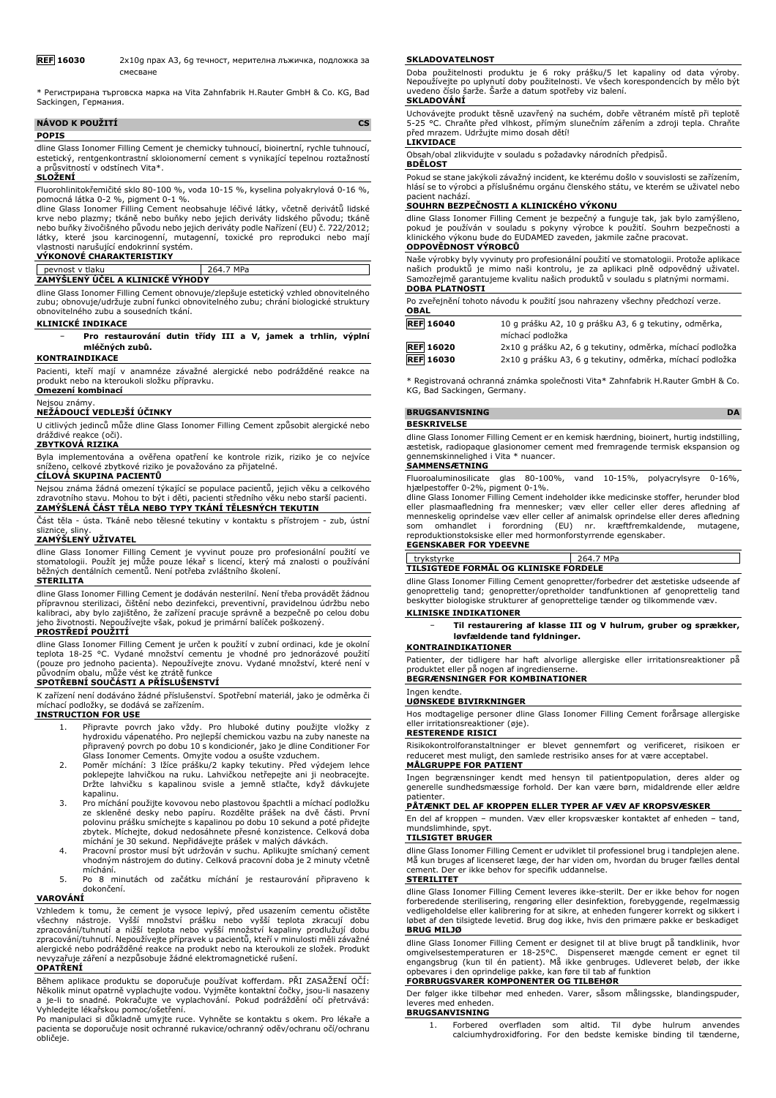**REF 16030** 2x10g прах A3, 6g течност, мерителна лъжичка, подложка за смесване

\* Регистрирана търговска марка на Vita Zahnfabrik H.Rauter GmbH & Co. KG, Bad Sackingen, Германия.

| NÁVOD K POUŽITÍ |  |
|-----------------|--|
| <b>POPIS</b>    |  |

dline Glass Ionomer Filling Cement je chemicky tuhnoucí, bioinertní, rychle tuhnoucí, estetický, rentgenkontrastní skloionomerní cement s vynikající tepelnou roztažností a průsvitností v odstínech Vita\*.

#### **SLOŽENÍ**

Fluorohlinitokřemičité sklo 80-100 %, voda 10-15 %, kyselina polyakrylová 0-16 %,

pomocná látka 0-2 %, pigment 0-1 %.<br>dline Glass Ionomer Filling Cement neobsahuje léčivé látky, včetně derivátů lidské<br>krve nebo plazmy; tkáně nebo buňky nebo jejich deriváty lidského původu; tkáně<br>nebo buňky živočišného p látky, které jsou karcinogenní, mutagenní, toxické pro reprodukci nebo mají vlastnosti narušující endokrinní systém.

## **VÝKONOVÉ CHARAKTERISTIKY**

#### pevnost v tlaku 264.7 MPa **ZAMÝŠLENÝ ÚČEL A KLINICKÉ VÝHODY**

dline Glass Ionomer Filling Cement obnovuje/zlepšuje estetický vzhled obnovitelného zubu; obnovuje/udržuje zubní funkci obnovitelného zubu; chrání biologické struktury obnovitelného zubu a sousedních tkání.

### **KLINICKÉ INDIKACE**

− **Pro restaurování dutin třídy III a V, jamek a trhlin, výplní mléčných zubů.**

## **KONTRAINDIKACE**

Pacienti, kteří mají v anamnéze závažné alergické nebo podrážděné reakce na produkt nebo na kteroukoli složku přípravku. **Omezení kombinací**

## Nejsou známy.

**NEŽÁDOUCÍ VEDLEJŠÍ ÚČINKY**

U citlivých jedinců může dline Glass Ionomer Filling Cement způsobit alergické nebo dráždivé reakce (oči).

### **ZBYTKOVÁ RIZIKA**

Byla implementována a ověřena opatření ke kontrole rizik, riziko je co nejvíce sníženo, celkové zbytkové riziko je považováno za přijatelné.

#### **CÍLOVÁ SKUPINA PACIENTŮ**

Nejsou známa žádná omezení týkající se populace pacientů, jejich věku a celkového zdravotního stavu. Mohou to být i děti, pacienti středního věku nebo starší pacienti. **ZAMÝŠLENÁ ČÁST TĚLA NEBO TYPY TKÁNÍ TĚLESNÝCH TEKUTIN**

Část těla - ústa. Tkáně nebo tělesné tekutiny v kontaktu s přístrojem - zub, ústní sliznice, sliny. **ZAMÝŠLENÝ UŽIVATEL**

dline Glass Ionomer Filling Cement je vyvinut pouze pro profesionální použití ve stomatologii. Použít jej může pouze lékař s licencí, který má znalosti o používání běžných dentálních cementů. Není potřeba zvláštního školení.

#### **STERILITA**

dline Glass Ionomer Filling Cement je dodáván nesterilní. Není třeba provádět žádnou přípravnou sterilizaci, čištění nebo dezinfekci, preventivní, pravidelnou údržbu nebo kalibraci, aby bylo zajištěno, že zařízení pracuje správně a bezpečně po celou dobu jeho životnosti. Nepoužívejte však, pokud je primární balíček poškozený. **PROSTŘEDÍ POUŽITÍ**

dline Glass Ionomer Filling Cement je určen k použití v zubní ordinaci, kde je okolní teplota 18-25 °C. Vydané množství cementu je vhodné pro jednorázové použití (pouze pro jednoho pacienta). Nepoužívejte znovu. Vydané množství, které není v původním obalu, může vést ke ztrátě funkce

### **SPOTŘEBNÍ SOUČÁSTI A PŘÍSLUŠENSTVÍ**

K zařízení není dodáváno žádné příslušenství. Spotřební materiál, jako je odměrka či míchací podložky, se dodává se zařízením.

#### **INSTRUCTION FOR USE**

- 1. Připravte povrch jako vždy. Pro hluboké dutiny použijte vložky z hydroxidu vápenatého. Pro nejlepší chemickou vazbu na zuby naneste na připravený povrch po dobu 10 s kondicionér, jako je dline Conditioner For
- Glass Ionomer Cements. Omyjte vodou a osušte vzduchem.<br>2. Poměr míchání: 3 lžíce prášku/2 kapky tekutiny. Před výdejem lehce<br>poklepejte lahvičkou na ruku. Lahvičkou netřepejte ani ji neobracejte.<br>Držte lahvičku s kapalinou kapalinu.
- 3. Pro míchání použijte kovovou nebo plastovou špachtli a míchací podložku ze skleněné desky nebo papíru. Rozdělte prášek na dvě části. První polovinu prášku smíchejte s kapalinou po dobu 10 sekund a poté přidejte zbytek. Míchejte, dokud nedosáhnete přesné konzistence. Celková doba míchání je 30 sekund. Nepřidávejte prášek v malých dávkách. 4. Pracovní prostor musí být udržován v suchu. Aplikujte smíchaný cement
- vhodným nástrojem do dutiny. Celková pracovní doba je 2 minuty včetně
- míchání. 5. Po 8 minutách od začátku míchání je restaurování připraveno k dokončení.

#### **VAROVÁNÍ**

Vzhledem k tomu, že cement je vysoce lepivý, před usazením cementu očistěte všechny nástroje. Vyšší množství prášku nebo vyšší teplota zkracují dobu zpracování/tuhnutí a nižší teplota nebo vyšší množství kapaliny prodlužují dobu zpracování/tuhnutí. Nepoužívejte přípravek u pacientů, kteří v minulosti měli závažné alergické nebo podrážděné reakce na produkt nebo na kteroukoli ze složek. Produkt nevyzařuje záření a nezpůsobuje žádné elektromagnetické rušení. **OPATŘENÍ**

Během aplikace produktu se doporučuje používat kofferdam. PŘI ZASAŽENÍ OČÍ: Několik minut opatrně vyplachujte vodou. Vyjměte kontaktní čočky, jsou-li nasazeny a je-li to snadné. Pokračujte ve vyplachování. Pokud podráždění očí přetrvává: Vyhledejte lékařskou pomoc/ošetření.

Po manipulaci si důkladně umyjte ruce. Vyhněte se kontaktu s okem. Pro lékaře a pacienta se doporučuje nosit ochranné rukavice/ochranný oděv/ochranu očí/ochranu obličeje.

#### **SKLADOVATELNOST**

Doba použitelnosti produktu je 6 roky prášku/5 let kapaliny od data výroby. Nepoužívejte po uplynutí doby použitelnosti. Ve všech korespondencích by mělo být uvedeno číslo šarže. Šarže a datum spotřeby viz balení. **SKLADOVÁNÍ**

Uchovávejte produkt těsně uzavřený na suchém, dobře větraném místě při teplotě 5-25 °C. Chraňte před vlhkost, přímým slunečním zářením a zdroji tepla. Chraňte před mrazem. Udržujte mimo dosah dětí! **LIKVIDACE**

Obsah/obal zlikvidujte v souladu s požadavky národních předpisů. **BDĚLOST**

Pokud se stane jakýkoli závažný incident, ke kterému došlo v souvislosti se zařízením, hlásí se to výrobci a příslušnému orgánu členského státu, ve kterém se uživatel nebo pacient nachází.

#### **SOUHRN BEZPEČNOSTI A KLINICKÉHO VÝKONU**

dline Glass Ionomer Filling Cement je bezpečný a funguje tak, jak bylo zamýšleno,<br>pokud je používán v souladu s pokyny výrobce k použití. Souhrn bezpečnosti a<br>klinického výkonu bude do EUDAMED zaveden, jakmile začne pracov **ODPOVĚDNOST VÝROBCŮ**

## Naše výrobky byly vyvinuty pro profesionální použití ve stomatologii. Protože aplikace<br>našich produktů je mimo naši kontrolu, je za aplikaci plně odpovědný uživatel.<br>Samozřejmě garantujeme kvalitu naších produkt **DOBA PLATNOSTI**

| OBAL             | Po zveřejnění tohoto návodu k použití jsou nahrazeny všechny předchozí verze. |
|------------------|-------------------------------------------------------------------------------|
| <b>REF</b> 16040 | 10 g prášku A2, 10 g prášku A3, 6 g tekutiny, odměrka,<br>míchací podložka    |
| <b>REF 16020</b> | 2x10 g prášku A2, 6 g tekutiny, odměrka, míchací podložka                     |
| <b>REF 16030</b> | 2x10 g prášku A3, 6 g tekutiny, odměrka, míchací podložka                     |

\* Registrovaná ochranná známka společnosti Vita\* Zahnfabrik H.Rauter GmbH & Co. KG, Bad Sackingen, Germany.

| <b>BRUGSANVISNING</b>                                                                                                                                                                                                                    | <b>DA</b> |
|------------------------------------------------------------------------------------------------------------------------------------------------------------------------------------------------------------------------------------------|-----------|
| <b>BESKRIVELSE</b>                                                                                                                                                                                                                       |           |
| dline Glass Ionomer Filling Cement er en kemisk hærdning, bioinert, hurtig indstilling,<br>æstetisk, radiopaque glasionomer cement med fremragende termisk ekspansion og<br>gennemskinnelighed i Vita * nuancer.<br><b>SAMMENSÆTNING</b> |           |

Fluoroaluminosilicate glas 80-100%, vand 10-15%, polyacrylsyre 0-16%, hiælpestoffer 0-2%, pigment 0-1%.

dline Glass Ionomer Filling Cement indeholder ikke medicinske stoffer, herunder blod eller plasmaafledning fra mennesker; væv eller celler eller deres afledning af menneskelig oprindelse væv eller celler af animalsk oprindelse eller deres afledning som omhandlet i forordning (EU) nr. kræftfremkaldende, mutagene, reproduktionstoksiske eller med hormonforstyrrende egenskaber.

#### **EGENSKABER FOR YDEEVNE**

| trvkstvrke                            | 7 MPa |
|---------------------------------------|-------|
| TILSIGTEDE FORMÅL OG KLINISKE FORDELE |       |

dline Glass Ionomer Filling Cement genopretter/forbedrer det æstetiske udseende af genoprettelig tand; genopretter/opretholder tandfunktionen af genoprettelig tand beskytter biologiske strukturer af genoprettelige tænder og tilkommende væv.

#### **KLINISKE INDIKATIONER**

− **Til restaurering af klasse III og V hulrum, gruber og sprækker, løvfældende tand fyldninger.**

#### **KONTRAINDIKATIONER**

Patienter, der tidligere har haft alvorlige allergiske eller irritationsreaktioner på produktet eller på nogen af ingredienserne. **BEGRÆNSNINGER FOR KOMBINATIONER**

#### Ingen kendte.

**UØNSKEDE BIVIRKNINGER**

Hos modtagelige personer dline Glass Ionomer Filling Cement forårsage allergiske eller irritationsreaktioner (øje).

### **RESTERENDE RISICI**

Risikokontrolforanstaltninger er blevet gennemført og verificeret, risikoen er reduceret mest muligt, den samlede restrisiko anses for at være acceptabel. **MÅLGRUPPE FOR PATIENT**

Ingen begrænsninger kendt med hensyn til patientpopulation, deres alder og generelle sundhedsmæssige forhold. Der kan være børn, midaldrende eller ældre patienter.

#### **PÅTÆNKT DEL AF KROPPEN ELLER TYPER AF VÆV AF KROPSVÆSKER**

En del af kroppen – munden. Væv eller kropsvæsker kontaktet af enheden – tand, mundslimhinde, spyt. **TILSIGTET BRUGER**

dline Glass Ionomer Filling Cement er udviklet til professionel brug i tandplejen alene. Må kun bruges af licenseret læge, der har viden om, hvordan du bruger fælles dental cement. Der er ikke behov for specifik uddannelse. **STERILITET**

dline Glass Ionomer Filling Cement leveres ikke-sterilt. Der er ikke behov for nogen forberedende sterilisering, rengøring eller desinfektion, forebyggende, regelmæssig vedligeholdelse eller kalibrering for at sikre, at enheden fungerer korrekt og sikkert i løbet af den tilsigtede levetid. Brug dog ikke, hvis den primære pakke er beskadiget **BRUG MILJØ**

dline Glass Ionomer Filling Cement er designet til at blive brugt på tandklinik, hvor<br>omgivelsestemperaturen er 18-25°C. Dispenseret mængde cement er egnet til<br>engangsbrug (kun til én patient). Må ikke genbruges. Udleveret

#### **FORBRUGSVARER KOMPONENTER OG TILBEHØR**

Der følger ikke tilbehør med enheden. Varer, såsom målingsske, blandingspuder, leveres med enheden.

#### **BRUGSANVISNING**

1. Forbered overfladen som altid. Til dybe hulrum anvendes calciumhydroxidforing. For den bedste kemiske binding til tænderne,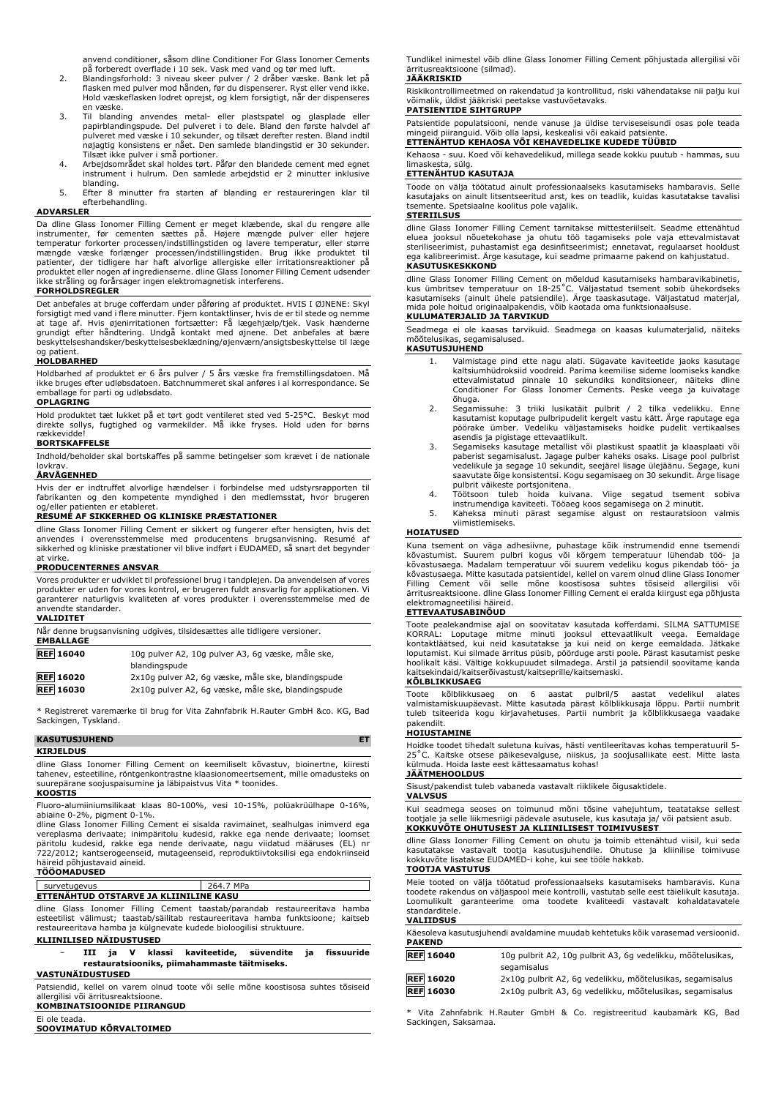anvend conditioner, såsom dline Conditioner For Glass Ionomer Cements

- på forberedt overflade i 10 sek. Vask med vand og tør med luft. 2. Blandingsforhold: 3 niveau skeer pulver / 2 dråber væske. Bank let på flasken med pulver mod hånden, før du dispenserer. Ryst eller vend ikke. Hold væskeflasken lodret oprejst, og klem forsigtigt, når der dispenseres en væske.
- 3. Til blanding anvendes metal- eller plastspatel og glasplade eller papirblandingspude. Del pulveret i to dele. Bland den første halvdel af pulveret med væske i 10 sekunder, og tilsæt derefter resten. Bland indtil nøjagtig konsistens er nået. Den samlede blandingstid er 30 sekunder. Tilsæt ikke pulver i små portioner. 4. Arbejdsområdet skal holdes tørt. Påfør den blandede cement med egnet
- instrument i hulrum. Den samlede arbejdstid er 2 minutter inklusive blanding.
- 5. Efter 8 minutter fra starten af blanding er restaureringen klar til efterbehandling.

#### **ADVARSLER**

Da dline Glass Ionomer Filling Cement er meget klæbende, skal du rengøre alle<br>instrumenter, før cementen sættes på. Højere mængde pulver eller højere<br>temperatur forkorter processen/indstillingstiden og lavere temperatur, e patienter, der tidligere har haft alvorlige allergiske eller irritationsreaktioner på<br>produktet eller nogen af ingredienserne. dline Glass Ionomer Filling Cement udsender<br>ikke stråling og forårsager ingen elektromagnetisk

#### **FORHOLDSREGLER**

Det anbefales at bruge cofferdam under påføring af produktet. HVIS I ØJNENE: Skyl forsigtigt med vand i flere minutter. Fjern kontaktlinser, hvis de er til stede og nemme at tage af. Hvis øjenirritationen fortsætter: Få lægehjælp/tjek. Vask hænderne grundigt efter håndtering. Undgå kontakt med øjnene. Det anbefales at bære beskyttelseshandsker/beskyttelsesbeklædning/øjenværn/ansigtsbeskyttelse til læge og patient.

#### **HOLDBARHED**

Holdbarhed af produktet er 6 års pulver / 5 års væske fra fremstillingsdatoen. Må ikke bruges efter udløbsdatoen. Batchnummeret skal anføres i al korrespondance. Se emballage for parti og udløbsdato. **OPLAGRING**

Hold produktet tæt lukket på et tørt godt ventileret sted ved 5-25°C. Beskyt mod direkte sollys, fugtighed og varmekilder. Må ikke fryses. Hold uden for børns rækkevidde!

#### **BORTSKAFFELSE**

Indhold/beholder skal bortskaffes på samme betingelser som krævet i de nationale lovkrav.

#### **ÅRVÅGENHED**

Hvis der er indtruffet alvorlige hændelser i forbindelse med udstyrsrapporten til fabrikanten og den kompetente myndighed i den medlemsstat, hvor brugeren

## og/eller patienten er etableret. **RESUMÉ AF SIKKERHED OG KLINISKE PRÆSTATIONER**

dline Glass Ionomer Filling Cement er sikkert og fungerer efter hensigten, hvis det anvendes i overensstemmelse med producentens brugsanvisning. Resumé af sikkerhed og kliniske præstationer vil blive indført i EUDAMED, så snart det begynder at virke.

#### **PRODUCENTERNES ANSVAR**

Vores produkter er udviklet til professionel brug i tandplejen. Da anvendelsen af vores produkter er uden for vores kontrol, er brugeren fuldt ansvarlig for applikationen. Vi garanterer naturligvis kvaliteten af vores produkter i overensstemmelse med de anvendte standarder. **VALIDITET**

| Når denne brugsanvisning udgives, tilsidesættes alle tidligere versioner.<br><b>EMBALLAGE</b> |  |  |
|-----------------------------------------------------------------------------------------------|--|--|
| 10g pulver A2, 10g pulver A3, 6g væske, måle ske,<br>blandingspude                            |  |  |
| 2x10g pulver A2, 6g væske, måle ske, blandingspude                                            |  |  |
| 2x10g pulver A2, 6g væske, måle ske, blandingspude                                            |  |  |
|                                                                                               |  |  |

\* Registreret varemærke til brug for Vita Zahnfabrik H.Rauter GmbH &co. KG, Bad Sackingen, Tyskland.

### **KASUTUSJUHEND ET**

#### **KIRJELDUS**

dline Glass Ionomer Filling Cement on keemiliselt kõvastuv, bioinertne, kiiresti tahenev, esteetiline, röntgenkontrastne klaasionomeertsement, mille omadusteks on suurepärane soojuspaisumine ja läbipaistvus Vita \* toonides.

#### **KOOSTIS**

Fluoro-alumiiniumsilikaat klaas 80-100%, vesi 10-15%, polüakrüülhape 0-16%, abiaine 0-2%, pigment 0-1%.

dline Glass Ionomer Filling Cement ei sisalda ravimainet, sealhulgas inimverd ega vereplasma derivaate; inimpäritolu kudesid, rakke ega nende derivaate; loomset päritolu kudesid, rakke ega nende derivaate, nagu viidatud määruses (EL) nr 722/2012; kantserogeenseid, mutageenseid, reproduktiivtoksilisi ega endokriinseid häireid põhjustavaid aineid. **TÖÖOMADUSED**

| survetugevus                                 | 264.7 MPa |  |
|----------------------------------------------|-----------|--|
| --<br>ETTENAHTUD OTSTARVE JA KLIINILINE KASU |           |  |

dline Glass Ionomer Filling Cement taastab/parandab restaureeritava hamba esteetilist välimust; taastab/säilitab restaureeritava hamba funktsioone; kaitseb restaureeritava hamba ja külgnevate kudede bioloogilisi struktuure.

#### **KLIINILISED NÄIDUSTUSED**

− **III ja V klassi kaviteetide, süvendite ja fissuuride restauratsiooniks, piimahammaste täitmiseks.**

## **VASTUNÄIDUSTUSED**

Patsiendid, kellel on varem olnud toote või selle mõne koostisosa suhtes tõsiseid allergilisi või ärritusreaktsioone. **KOMBINATSIOONIDE PIIRANGUD**

Ei ole teada. **SOOVIMATUD KÕRVALTOIMED** Tundlikel inimestel võib dline Glass Ionomer Filling Cement põhjustada allergilisi või ärritusreaktsioone (silmad).

#### **JÄÄKRISKID**

Riskikontrollimeetmed on rakendatud ja kontrollitud, riski vähendatakse nii palju kui võimalik, üldist jääkriski peetakse vastuvõetavaks.

#### **PATSIENTIDE SIHTGRUPP**

Patsientide populatsiooni, nende vanuse ja üldise terviseseisundi osas pole teada mingeid piiranguid. Võib olla lapsi, keskealisi või eakaid patsiente.

### **ETTENÄHTUD KEHAOSA VÕI KEHAVEDELIKE KUDEDE TÜÜBID**

Kehaosa - suu. Koed või kehavedelikud, millega seade kokku puutub - hammas, suu limaskesta, sülg.

### **ETTENÄHTUD KASUTAJA**

Toode on välja töötatud ainult professionaalseks kasutamiseks hambaravis. Selle kasutajaks on ainult litsentseeritud arst, kes on teadlik, kuidas kasutatakse tavalisi tsemente. Spetsiaalne koolitus pole vajalik.

### **STERIILSUS**

dline Glass Ionomer Filling Cement tarnitakse mittesteriilselt. Seadme ettenähtud eluea jooksul nõuetekohase ja ohutu töö tagamiseks pole vaja ettevalmistavat steriliseerimist, puhastamist ega desinfitseerimist; ennetavat, regulaarset hooldust ega kalibreerimist. Ärge kasutage, kui seadme primaarne pakend on kahjustatud. **KASUTUSKESKKOND**

dline Glass Ionomer Filling Cement on mõeldud kasutamiseks hambaravikabinetis, kus ümbritsev temperatuur on 18-25°C. Väljastatud tsement sobib ühekordseks<br>kasutamiseks (ainult ühele patsiendile). Ärge taaskasutage. Väljastatud materjal,<br>mida pole-hoitud-originaalpakendis, võib-kaotada-oma-funktsionaa

#### **KULUMATERJALID JA TARVIKUD**

Seadmega ei ole kaasas tarvikuid. Seadmega on kaasas kulumaterjalid, näiteks mõõtelusikas, segamisalused.

#### **KASUTUSJUHEND**

- 1. Valmistage pind ette nagu alati. Sügavate kaviteetide jaoks kasutage kaltsiumhüdroksiid voodreid. Parima keemilise sideme loomiseks kandke ettevalmistatud pinnale 10 sekundiks konditsioneer, näiteks dline Conditioner For Glass Ionomer Cements. Peske veega ja kuivatage õhuga.
- 2. Segamissuhe: 3 triiki lusikatäit pulbrit / 2 tilka vedelikku. Enne kasutamist koputage pulbripudelit kergelt vastu kätt. Ärge raputage ega pöörake ümber. Vedeliku väljastamiseks hoidke pudelit vertikaalses
- asendis ja pigistage ettevaatlikult. 3. Segamiseks kasutage metallist või plastikust spaatlit ja klaasplaati või paberist segamisalust. Jagage pulber kaheks osaks. Lisage pool pulbrist vedelikule ja segage 10 sekundit, seejärel lisage ülejäänu. Segage, kuni saavutate õige konsistentsi. Kogu segamisaeg on 30 sekundit. Ärge lisage
- pulbrit väikeste portsjonitena. 4. Töötsoon tuleb hoida kuivana. Viige segatud tsement sobiva
- instrumendiga kaviteeti. Tööaeg koos segamisega on 2 minutit. 5. Kaheksa minuti pärast segamise algust on restauratsioon valmis viimistlemiseks.

#### **HOIATUSED**

Kuna tsement on väga adhesiivne, puhastage kõik instrumendid enne tsemendi kõvastumist. Suurem pulbri kogus või kõrgem temperatuur lühendab töö- ja kõvastusaega. Madalam temperatuur või suurem vedeliku kogus pikendab töö- ja kõvastusaega. Mitte kasutada patsientidel, kellel on varem olnud dline Glass Ionomer Filling Cement või selle mõne koostisosa suhtes tõsiseid allergilisi või ärritusreaktsioone. dline Glass Ionomer Filling Cement ei eralda kiirgust ega põhjusta elektromagneetilisi häireid.

#### **ETTEVAATUSABINÕUD**

Toote pealekandmise ajal on soovitatav kasutada kofferdami. SILMA SATTUMISE<br>KORRAL: Loputage mitme minuti jooksul ettevaatlikult veega. Eemaldage<br>kontaktläätsed, kui neid kasutatakse ja kui neid on kerge eemaldada. Jätkake kaitsekindaid/kaitserõivastust/kaitseprille/kaitsemaski.

#### **KÕLBLIKKUSAEG**

Toote kõlblikkusaeg on 6 aastat pulbril/5 aastat vedelikul alates valmistamiskuupäevast. Mitte kasutada pärast kõlblikkusaja lõppu. Partii numbrit tuleb tsiteerida kogu kirjavahetuses. Partii numbrit ja kõlblikkusaega vaadake pakendilt. **HOIUSTAMINE**

Hoidke toodet tihedalt suletuna kuivas, hästi ventileeritavas kohas temperatuuril 5- 25˚C. Kaitske otsese päikesevalguse, niiskus, ja soojusallikate eest. Mitte lasta külmuda. Hoida laste eest kättesaamatus kohas!

#### **JÄÄTMEHOOLDUS**

Sisust/pakendist tuleb vabaneda vastavalt riiklikele õigusaktidele. **VALVSUS**

Kui seadmega seoses on toimunud mõni tõsine vahejuhtum, teatatakse sellest tootjale ja selle liikmesriigi pädevale asutusele, kus kasutaja ja/ või patsient asub. **KOKKUVÕTE OHUTUSEST JA KLIINILISEST TOIMIVUSEST**

dline Glass Ionomer Filling Cement on ohutu ja toimib ettenähtud viisil, kui seda kasutatakse vastavalt tootja kasutusjuhendile. Ohutuse ja kliinilise toimivuse kokkuvõte lisatakse EUDAMED-i kohe, kui see tööle hakkab.

#### **TOOTJA VASTUTUS**

Meie tooted on välja töötatud professionaalseks kasutamiseks hambaravis. Kuna toodete rakendus on väljaspool meie kontrolli, vastutab selle eest täielikult kasutaja. Loomulikult garanteerime oma toodete kvaliteedi vastavalt kohaldatavatele standarditele.

#### **VALIIDSUS**

| Käesoleva kasutusjuhendi avaldamine muudab kehtetuks kõik varasemad versioonid.<br><b>PAKEND</b> |                                                             |
|--------------------------------------------------------------------------------------------------|-------------------------------------------------------------|
| <b>REF</b> 16040                                                                                 | 10g pulbrit A2, 10g pulbrit A3, 6g vedelikku, mõõtelusikas, |

|                  | segamisalus                                               |
|------------------|-----------------------------------------------------------|
| <b>REF</b> 16020 | 2x10g pulbrit A2, 6g vedelikku, mõõtelusikas, segamisalus |
| <b>REF 16030</b> | 2x10g pulbrit A3, 6g vedelikku, mõõtelusikas, segamisalus |

\* Vita Zahnfabrik H.Rauter GmbH & Co. registreeritud kaubamärk KG, Bad Sackingen, Saksamaa.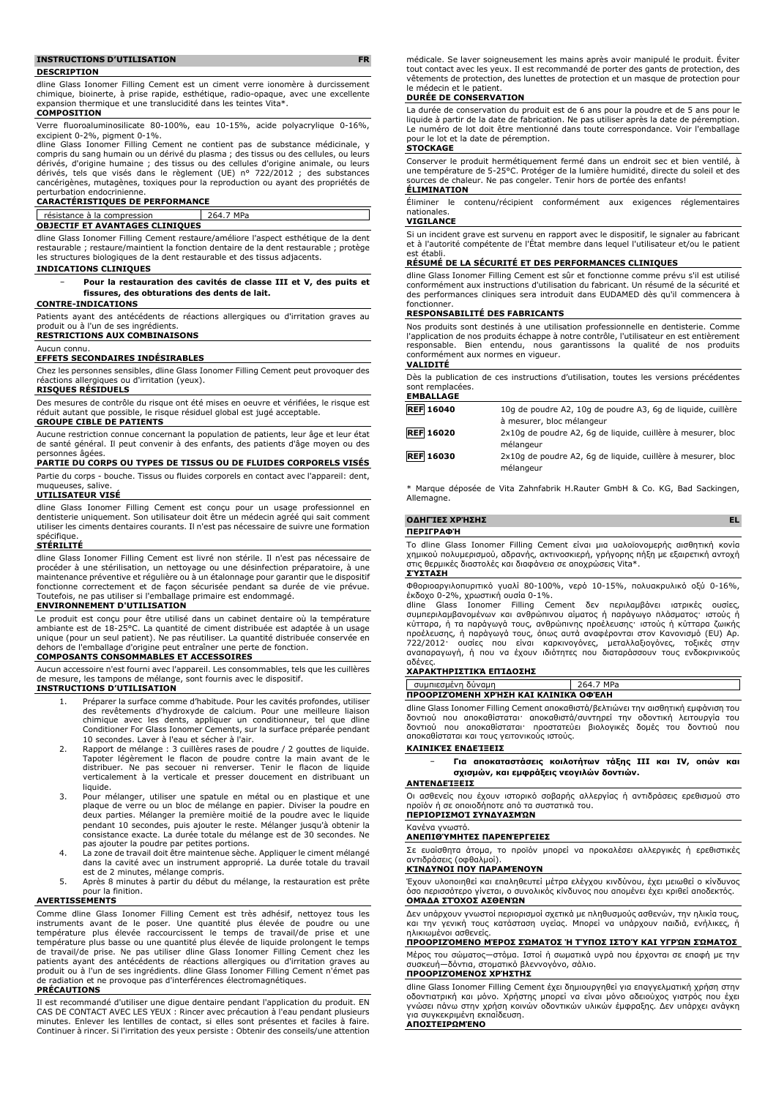#### **INSTRUCTIONS D'UTILISATION FR**

#### **DESCRIPTION**

dline Glass Ionomer Filling Cement est un ciment verre ionomère à durcissement chimique, bioinerte, à prise rapide, esthétique, radio-opaque, avec une excellente expansion thermique et une translucidité dans les teintes Vita\*.

#### **COMPOSITION**

Verre fluoroaluminosilicate 80-100%, eau 10-15%, acide polyacrylique 0-16%, excipient 0-2%, pigment 0-1%.

dline Glass Ionomer Filling Cement ne contient pas de substance médicinale, y compris du sang humain ou un dérivé du plasma ; des tissus ou des cellules, ou leurs dérivés, d'origine humaine ; des tissus ou des cellules d'origine animale, ou leurs dérivés, tels que visés dans le règlement (UE) n° 722/2012 ; des substances cancérigènes, mutagènes, toxiques pour la reproduction ou ayant des propriétés de perturbation endocrinienne.

## **CARACTÉRISTIQUES DE PERFORMANCE**

résistance à la compression 264.7 MPa

#### **OBJECTIF ET AVANTAGES CLINIQUES**

dline Glass Ionomer Filling Cement restaure/améliore l'aspect esthétique de la dent restaurable ; restaure/maintient la fonction dentaire de la dent restaurable ; protège les structures biologiques de la dent restaurable et des tissus adjacents.

#### **INDICATIONS CLINIQUES**

− **Pour la restauration des cavités de classe III et V, des puits et fissures, des obturations des dents de lait.**

#### **CONTRE-INDICATIONS**

Patients ayant des antécédents de réactions allergiques ou d'irritation graves au produit ou à l'un de ses ingrédients.

## **RESTRICTIONS AUX COMBINAISONS**

#### Aucun connu. **EFFETS SECONDAIRES INDÉSIRABLES**

Chez les personnes sensibles, dline Glass Ionomer Filling Cement peut provoquer des réactions allergiques ou d'irritation (yeux).

#### **RISQUES RÉSIDUELS**

Des mesures de contrôle du risque ont été mises en oeuvre et vérifiées, le risque est réduit autant que possible, le risque résiduel global est jugé acceptable. **GROUPE CIBLE DE PATIENTS**

Aucune restriction connue concernant la population de patients, leur âge et leur état de santé général. Il peut convenir à des enfants, des patients d'âge moyen ou des .<br>aaées

#### **PARTIE DU CORPS OU TYPES DE TISSUS OU DE FLUIDES CORPORELS VISÉS**

Partie du corps - bouche. Tissus ou fluides corporels en contact avec l'appareil: dent, muqueuses, salive

**UTILISATEUR VISÉ**

dline Glass Ionomer Filling Cement est conçu pour un usage professionnel en dentisterie uniquement. Son utilisateur doit être un médecin agréé qui sait comment utiliser les ciments dentaires courants. Il n'est pas nécessaire de suivre une formation spécifique

#### **STÉRILITÉ**

dline Glass Ionomer Filling Cement est livré non stérile. Il n'est pas nécessaire de procéder à une stérilisation, un nettoyage ou une désinfection préparatoire, à une maintenance préventive et régulière ou à un étalonnage pour garantir que le dispositif fonctionne correctement et de façon sécurisée pendant sa durée de vie prévue. Toutefois, ne pas utiliser si l'emballage primaire est endommagé.

#### **ENVIRONNEMENT D'UTILISATION**

Le produit est conçu pour être utilisé dans un cabinet dentaire où la température ambiante est de 18-25°C. La quantité de ciment distribuée est adaptée à un usage unique (pour un seul patient). Ne pas réutiliser. La quantité distribuée conservée en dehors de l'emballage d'origine peut entraîner une perte de fonction.

#### **COMPOSANTS CONSOMMABLES ET ACCESSOIRES**

Aucun accessoire n'est fourni avec l'appareil. Les consommables, tels que les cuillères de mesure, les tampons de mélange, sont fournis avec le dispositif. **INSTRUCTIONS D'UTILISATION**

- 1. Préparer la surface comme d'habitude. Pour les cavités profondes, utiliser des revêtements d'hydroxyde de calcium. Pour une meilleure liaison chimique avec les dents, appliquer un conditionneur, tel que dline Conditioner For Glass Ionomer Cements, sur la surface préparée pendant 10 secondes. Laver à l'eau et sécher à l'air.
- 2. Rapport de mélange : 3 cuillères rases de poudre / 2 gouttes de liquide. Tapoter légèrement le flacon de poudre contre la main avant de le distribuer. Ne pas secouer ni renverser. Tenir le flacon de liquide verticalement à la verticale et presser doucement en distribuant un liquide.
- 3. Pour mélanger, utiliser une spatule en métal ou en plastique et une plaque de verre ou un bloc de mélange en papier. Diviser la poudre en deux parties. Mélanger la première moitié de la poudre avec le liquide pendant 10 secondes, puis ajouter le reste. Mélanger jusqu'à obtenir la consistance exacte. La durée totale du mélange est de 30 secondes. Ne pas ajouter la poudre par petites portions. 4. La zone de travail doit être maintenue sèche. Appliquer le ciment mélangé
- dans la cavité avec un instrument approprié. La durée totale du travail est de 2 minutes, mélange compris.
- 5. Après 8 minutes à partir du début du mélange, la restauration est prête pour la finition.

#### **AVERTISSEMENTS**

Comme dline Glass Ionomer Filling Cement est très adhésif, nettoyez tous les instruments avant de le poser. Une quantité plus élevée de poudre ou une température plus élevée raccourcissent le temps de travail/de prise et une température plus basse ou une quantité plus élevée de liquide prolongent le temps<br>de travail/de prise. Ne pas utiliser dline Glass Ionomer Filling Cement chez les<br>patients ayant des antécédents de réactions allergiques ou de radiation et ne provoque pas d'interférences électromagnétiques.

#### **PRÉCAUTIONS**

Il est recommandé d'utiliser une digue dentaire pendant l'application du produit. EN CAS DE CONTACT AVEC LES YEUX : Rincer avec précaution à l'eau pendant plusieurs minutes. Enlever les lentilles de contact, si elles sont présentes et faciles à faire. Continuer à rincer. Si l'irritation des yeux persiste : Obtenir des conseils/une attention médicale. Se laver soigneusement les mains après avoir manipulé le produit. Éviter tout contact avec les yeux. Il est recommandé de porter des gants de protection, des vêtements de protection, des lunettes de protection et un masque de protection pour le médecin et le patient.

#### **DURÉE DE CONSERVATION**

La durée de conservation du produit est de 6 ans pour la poudre et de 5 ans pour le liquide à partir de la date de fabrication. Ne pas utiliser après la date de péremption. Le numéro de lot doit être mentionné dans toute correspondance. Voir l'emballage pour le lot et la date de péremption.

### **STOCKAGE**

Conserver le produit hermétiquement fermé dans un endroit sec et bien ventilé, à une température de 5-25°C. Protéger de la lumière humidité, directe du soleil et des sources de chaleur. Ne pas congeler. Tenir hors de portée des enfants! **ÉLIMINATION**

Éliminer le contenu/récipient conformément aux exigences réglementaires nationales.

#### **VIGILANCE**

Si un incident grave est survenu en rapport avec le dispositif, le signaler au fabricant et à l'autorité compétente de l'État membre dans lequel l'utilisateur et/ou le patient est établi.

#### **RÉSUMÉ DE LA SÉCURITÉ ET DES PERFORMANCES CLINIQUES**

dline Glass Ionomer Filling Cement est sûr et fonctionne comme prévu s'il est utilisé conformément aux instructions d'utilisation du fabricant. Un résumé de la sécurité et des performances cliniques sera introduit dans EUDAMED dès qu'il commencera à fonctionner.

#### **RESPONSABILITÉ DES FABRICANTS**

Nos produits sont destinés à une utilisation professionnelle en dentisterie. Comme l'application de nos produits échappe à notre contrôle, l'utilisateur en est entièrement responsable. Bien entendu, nous garantissons la qualité de nos produits conformément aux normes en vigueur.

## **VALIDITÉ**

Dès la publication de ces instructions d'utilisation, toutes les versions précédentes sont remplacées. **EMBALLAGE**

| <b>REF 16040</b> | 10g de poudre A2, 10g de poudre A3, 6g de liguide, cuillère |
|------------------|-------------------------------------------------------------|
|                  | à mesurer, bloc mélangeur                                   |
| <b>REF 16020</b> | 2x10q de poudre A2, 6q de liquide, cuillère à mesurer, bloc |
|                  | mélangeur                                                   |
| <b>REF 16030</b> | 2x10q de poudre A2, 6q de liquide, cuillère à mesurer, bloc |
|                  | mélangeur                                                   |

\* Marque déposée de Vita Zahnfabrik H.Rauter GmbH & Co. KG, Bad Sackingen, Allemagne.

### **ΟΔΗΓΊΕΣ ΧΡΉΣΗΣ EL**

#### **ΠΕΡΙΓΡΑΦΉ**

Το dline Glass Ionomer Filling Cement είναι μια υαλοϊονομερής αισθητική κονία χημικού πολυμερισμού, αδρανής, ακτινοσκιερή, γρήγορης πήξη με εξαιρετική αντοχή στις θερμικές διαστολές και διαφάνεια σε αποχρώσεις Vita\*. **ΣΎΣΤΑΣΗ**

### Φθοριοαργιλοπυριτικό γυαλί 80-100%, νερό 10-15%, πολυακρυλικό οξύ 0-16%, έκδοχο 0-2%, χρωστική ουσία 0-1%.

dline Glass Ionomer Filling Cement δεν περιλαμβάνει ιατρικές ουσίες, συμπεριλαμβανομένων και ανθρώπινου αίματος ή παράγωγο πλάσματος· ιστούς ή<br>κύτταρα, ή τα παράγωγά τους, ανθρώπινης προέλευσης· ιστούς ή κύτταρα ζωικής<br>προέλευσης, ή παράγωγά τους, όπως αυτά αναφέρονται στον Κανονισμό (EU) αδένες.

#### **ΧΑΡΑΚΤΗΡΙΣΤΙΚΆ ΕΠΊΔΟΣΗΣ**

| ΠΡΟΟΡΙΖΌΜΕΝΗ ΧΡΉΣΗ ΚΑΙ ΚΛΙΝΙΚΆ ΟΦΈΛΗ |                    |           |
|--------------------------------------|--------------------|-----------|
|                                      | συμπιεσμένη δύναμη | 264.7 MPa |

dline Glass Ionomer Filling Cement αποκαθιστά/βελτιώνει την αισθητική εμφάνιση του δοντιού που αποκαθίσταται· αποκαθιστά/συντηρεί την οδοντική λειτουργία του<br>δοντιού που αποκαθίσταται· προστατεύει βιολογικές δομές του δοντιού που<br>αποκαθίσταται και τους γειτονικούς ιστούς.

#### **ΚΛΙΝΙΚΈΣ ΕΝΔΕΊΞΕΙΣ**

− **Για αποκαταστάσεις κοιλοτήτων τάξης III και IV, οπών και σχισμών, και εμφράξεις νεογιλών δοντιών.**

#### **ΑΝΤΕΝΔΕΊΞΕΙΣ**

Οι ασθενείς που έχουν ιστορικό σοβαρής αλλεργίας ή αντιδράσεις ερεθισμού στο προϊόν ή σε οποιοδήποτε από τα συστατικά του. **ΠΕΡΙΟΡΙΣΜΟΊ ΣΥΝΔΥΑΣΜΏΝ**

#### Κανένα γνωστό.

**ΑΝΕΠΙΘΎΜΗΤΕΣ ΠΑΡΕΝΈΡΓΕΙΕΣ**

Σε ευαίσθητα άτομα, το προϊόν μπορεί να προκαλέσει αλλεργικές ή ερεθιστικές αντιδράσεις (οφθαλμοί).

#### **ΚΊΝΔΥΝΟΙ ΠΟΥ ΠΑΡΑΜΈΝΟΥΝ**

Έχουν υλοποιηθεί και επαληθευτεί μέτρα ελέγχου κινδύνου, έχει μειωθεί ο κίνδυνος όσο περισσότερο γίνεται, ο συνολικός κίνδυνος που απομένει έχει κριθεί αποδεκτός. **ΟΜΆΔΑ ΣΤΌΧΟΣ ΑΣΘΕΝΏΝ**

Δεν υπάρχουν γνωστοί περιορισμοί σχετικά με πληθυσμούς ασθενών, την ηλικία τους, και την γενική τους κατάσταση υγείας. Μπορεί να υπάρχουν παιδιά, ενήλικες, ή ηλικιωμένοι ασθενείς.

#### **ΠΡΟΟΡΙΖΌΜΕΝΟ ΜΈΡΟΣ ΣΏΜΑΤΟΣ Ή ΤΎΠΟΣ ΙΣΤΟΎ ΚΑΙ ΥΓΡΏΝ ΣΏΜΑΤΟΣ**

Μέρος του σώματος—στόμα. Ιστοί ή σωματικά υγρά που έρχονται σε επαφή με την συσκευή—δόντια, στοματικό βλεννογόνο, σάλιο. **ΠΡΟΟΡΙΖΌΜΕΝΟΣ ΧΡΉΣΤΗΣ**

dline Glass Ionomer Filling Cement έχει δημιουργηθεί για επαγγελματική χρήση στην οδοντιατρική και μόνο. Χρήστης μπορεί να είναι μόνο αδειούχος γιατρός που έχει γνώσει πάνω στην χρήση κοινών οδοντικών υλικών έμφραξης. Δεν υπάρχει ανάγκη για συγκεκριμένη εκπαίδευση. **ΑΠΟΣΤΕΙΡΩΜΈΝΟ**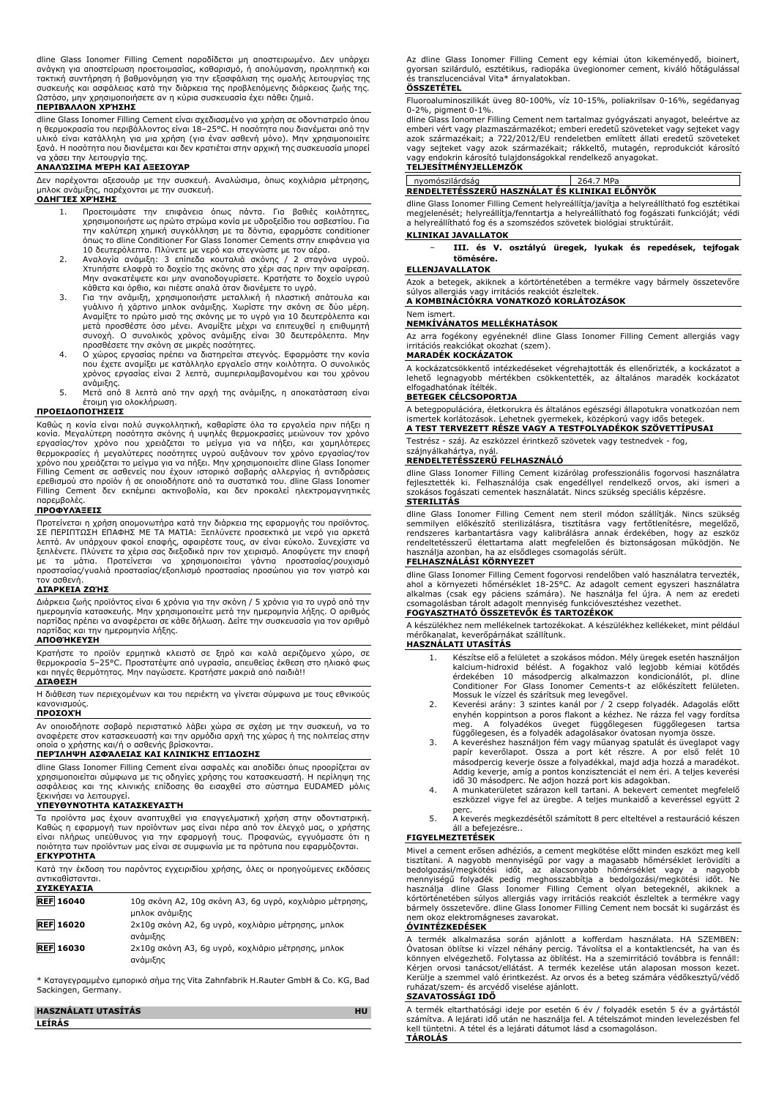dline Glass Ionomer Filling Cement παραδίδεται μη αποστειρωμένο. Δεν υπάρχει ανάγκη για αποστείρωση προετοιμασίας, καθαρισμό, ή απολύμανση, προληπτική και τακτική συντήρηση ή βαθμονόμηση για την εξασφάλιση της ομαλής λειτουργίας της συσκευής και ασφάλειας κατά την διάρκεια της προβλεπόμενης διάρκειας ζωής της. Ωστόσο, μην χρησιμοποιήσετε αν η κύρια συσκευασία έχει πάθει ζημιά.

#### **ΠΕΡΙΒΆΛΛΟΝ ΧΡΉΣΗΣ**

dline Glass Ionomer Filling Cement είναι σχεδιασμένο για χρήση σε οδοντιατρείο όπου η θερμοκρασία του περιβάλλοντος είναι 18–25°C. Η ποσότητα που διανέμεται από την υλικό είναι κατάλληλη για μια χρήση (για έναν ασθενή μόνο). Μην χρησιμοποιείτε ξανά. Η ποσότητα που διανέμεται και δεν κρατιέται στην αρχική της συσκευασία μπορεί να χάσει την λειτουργία της.

#### **ΑΝΑΛΏΣΙΜΑ ΜΈΡΗ ΚΑΙ ΑΞΕΣΟΥΆΡ**

Δεν παρέχονται αξεσουάρ με την συσκευή. Αναλώσιμα, όπως κοχλιάρια μέτρησης, μπλοκ ανάμιξης, παρέχονται με την συσκευή.

#### **ΟΔΗΓΊΕΣ ΧΡΉΣΗΣ**

- 1. Προετοιμάστε την επιφάνεια όπως πάντα. Για βαθιές κοιλότητες, χρησιμοποιήστε ως πρώτο στρώμα κονία με υδροξείδιο του ασβεστίου. Για την καλύτερη χημική συγκόλληση με τα δόντια, εφαρμόστε conditioner όπως το dline Conditioner For Glass Ionomer Cements στην επιφάνεια για 10 δευτερόλεπτα. Πλύνετε με νερό και στεγνώστε με τον αέρα.
- 2. Αναλογία ανάμιξη: 3 επίπεδα κουταλιά σκόνης / 2 σταγόνα υγρού.<br>Χτυπήστε ελαφρά το δοχείο της σκόνης στο χέρι σας πριν την αφαίρεση.<br>Μην ανακατέψετε και μην αναποδογυρίσετε. Κρατήστε το δοχείο υγρού
- κάθετα και όρθιο, και πιέστε απαλά όταν διανέμετε το υγρό. 3. Για την ανάμιξη, χρησιμοποιήστε μεταλλική ή πλαστική σπάτουλα και γυάλινο ή χάρτινο μπλοκ ανάμιξης. Χωρίστε την σκόνη σε δύο μέρη. Αναμίξτε το πρώτο μισό της σκόνης με το υγρό για 10 δευτερόλεπτα και<br>μετά προσθέστε όσο μένει. Αναμίξτε μέχρι να επιτευχθεί η επιθυμητή<br>συνοχή. Ο συνολικός χρόνος ανάμιξης είναι 30 δευτερόλεπτα. Μην<br>προσθέσετε την σκόνη σ
- που έχετε αναμίξει με κατάλληλο εργαλείο στην κοιλότητα. Ο συνολικός χρόνος εργασίας είναι 2 λεπτά, συμπεριλαμβανομένου και του χρόνου
- ανάμιξης. 5. Μετά από 8 λεπτά από την αρχή της ανάμιξης, η αποκατάσταση είναι έτοιμη για ολοκλήρωση.

#### **ΠΡΟΕΙΔΟΠΟΙΉΣΕΙΣ**

Καθώς η κονία είναι πολύ συγκολλητική, καθαρίστε όλα τα εργαλεία πριν πήξει η κονία. Μεγαλύτερη ποσότητα σκόνης ή υψηλές θερμοκρασίες μειώνουν τον χρόνο<br>εργασίας/τον χρόνο που χρειάζεται το μείγμα για να πήξει, και χαμηλότερες<br>θερμοκρασίες ή μεγαλύτερες ποσότητες υγρού αυξάνουν τον χρόνο εργασίας/τ ερεθισμού στο προϊόν ή σε οποιοδήποτε από τα συστατικά του. dline Glass Ionomer Filling Cement δεν εκπέμπει ακτινοβολία, και δεν προκαλεί ηλεκτρομαγνητικές παρεμβολές.

#### **ΠΡΟΦΥΛΆΞΕΙΣ**

Προτείνεται η χρήση απομονωτήρα κατά την διάρκεια της εφαρμογής του προϊόντος. ΣΕ ΠΕΡΙΠΤΩΣΗ ΕΠΑΦΗΣ ΜΕ ΤΑ ΜΑΤΙΑ: Ξεπλύνετε προσεκτικά με νερό για αρκετά λεπτά. Αν υπάρχουν φακοί επαφής, αφαιρέστε τους, αν είναι εύκολο. Συνεχίστε να ξεπλένετε. Πλύνετε τα χέρια σας διεξοδικά πριν τον χειρισμό. Αποφύγετε την επαφή<br>με τα μάτια. Προτείνεται να χρησιμοποιείται γάντια προστασίας/ρουχισμό<br>προστασίας/γυαλιά προστασίας/εξοπλισμό προστασίας προσώ τον ασθενή.

#### **ΔΙΆΡΚΕΙΑ ΖΩΉΣ**

Διάρκεια ζωής προϊόντος είναι 6 χρόνια για την σκόνη / 5 χρόνια για το υγρό από την<br>ημερομηνία κατασκευής. Μην χρησιμοποιείτε μετά την ημερομηνία λήξης. Ο αριθμός<br>παρτίδας πρέπει να αναφέρεται σε κάθε δήλωση. Δείτε την συ παρτίδας και την ημερομηνία λήξης.

#### **ΑΠΟΘΉΚΕΥΣΗ**

Κρατήστε το προϊόν ερμητικά κλειστό σε ξηρό και καλά αεριζόμενο χώρο, σε θερμοκρασία 5–25°C. Προστατέψτε από υγρασία, απευθείας έκθεση στο ηλιακό φως και πηγές θερμότητας. Μην παγώσετε. Κρατήστε μακριά από παιδιά!!

#### **ΔΙΆΘΕΣΗ**

Η διάθεση των περιεχομένων και του περιέκτη να γίνεται σύμφωνα με τους εθνικούς κανονισμούς.

#### **ΠΡΟΣΟΧΉ**

Αν οποιοδήποτε σοβαρό περιστατικό λάβει χώρα σε σχέση με την συσκευή, να το αναφέρετε στον κατασκευαστή και την αρμόδια αρχή της χώρας ή της πολιτείας στην οποία ο χρήστης και/ή ο ασθενής βρίσκονται.

#### **ΠΕΡΊΛΗΨΗ ΑΣΦΆΛΕΙΑΣ ΚΑΙ ΚΛΙΝΙΚΉΣ ΕΠΊΔΟΣΗΣ**

dline Glass Ionomer Filling Cement είναι ασφαλές και αποδίδει όπως προορίζεται αν χρησιμοποιείται σύμφωνα με τις οδηγίες χρήσης του κατασκευαστή. Η περίληψη της ασφάλειας και της κλινικής επίδοσης θα εισαχθεί στο σύστημα EUDAMED μόλις ξεκινήσει να λειτουργεί.

#### **ΥΠΕΥΘΥΝΌΤΗΤΑ ΚΑΤΑΣΚΕΥΑΣΤΉ**

Τα προϊόντα μας έχουν αναπτυχθεί για επαγγελματική χρήση στην οδοντιατρική.<br>Καθώς η εφαρμογή των προϊόντων μας είναι πέρα από τον έλεγχό μας, ο χρήστης<br>είναι πλήρως υπεύθυνος για την εφαρμογή τους. Προφανώς, εγγυόμαστε ότ ποιότητα των προϊόντων μας είναι σε συμφωνία με τα πρότυπα που εφαρμόζονται. **ΕΓΚΥΡΌΤΗΤΑ**

| <b>TVTKFVATTA</b>                                                              |
|--------------------------------------------------------------------------------|
| αντικαθίστανται.                                                               |
| Κατά την έκδοση του παρόντος εγχειριδίου χρήσης, όλες οι προηγούμενες εκδόσεις |

| <b>REF 16040</b> | 10g σκόνη A2, 10g σκόνη A3, 6g υγρό, κοχλιάριο μέτρησης, |
|------------------|----------------------------------------------------------|
|                  | μπλοκ ανάμιξης                                           |
| <b>REF 16020</b> | 2x10g σκόνη A2, 6g υγρό, κοχλιάριο μέτρησης, μπλοκ       |
|                  | ανάμιξης                                                 |
| <b>REF 16030</b> | 2x10g σκόνη A3, 6g υγρό, κοχλιάριο μέτρησης, μπλοκ       |
|                  | ανάμιξης                                                 |

\* Καταγεγραμμένο εμπορικό σήμα της Vita Zahnfabrik H.Rauter GmbH & Co. KG, Bad Sackingen, Germany.

| <b>HASZNÁLATI UTASÍTÁS</b> |  |
|----------------------------|--|
| LEÍRÁS                     |  |

Az dline Glass Ionomer Filling Cement egy kémiai úton kikeményedő, bioinert, gyorsan szilárduló, esztétikus, radiopáka üvegionomer cement, kiváló hőtágulással és transzlucenciával Vita\* árnyalatokban.

#### **ÖSSZETÉTEL**

Fluoroaluminoszilikát üveg 80-100%, víz 10-15%, poliakrilsav 0-16%, segédanyag 0-2%, pigment 0-1%.

dline Glass Ionomer Filling Cement nem tartalmaz gyógyászati anyagot, beleértve az emberi vért vagy plazmaszármazékot; emberi eredetű szöveteket vagy sejteket vagy azok származékait; a 722/2012/EU rendeletben említett állati eredetű szöveteket vagy sejteket vagy azok származékait; rákkeltő, mutagén, reprodukciót károsító vagy endokrin károsító tulajdonságokkal rendelkező anyagokat. **TELJESÍTMÉNYJELLEMZŐK**

#### nyomószilárdság 264.7 MPa **RENDELTETÉSSZERŰ HASZNÁLAT ÉS KLINIKAI ELŐNYÖK**

dline Glass Ionomer Filling Cement helyreállítja/javítja a helyreállítható fog esztétikai megjelenését; helyreállítja/fenntartja a helyreállítható fog fogászati funkcióját; védi a helyreállítható fog és a szomszédos szövetek biológiai struktúráit.

## **KLINIKAI JAVALLATOK**

− **III. és V. osztályú üregek, lyukak és repedések, tejfogak tömésére.**

#### **ELLENJAVALLATOK**

Azok a betegek, akiknek a kórtörténetében a termékre vagy bármely összetevőre súlyos allergiás vagy irritációs reakciót észleltek. **A KOMBINÁCIÓKRA VONATKOZÓ KORLÁTOZÁSOK**

#### Nem ismert. **NEMKÍVÁNATOS MELLÉKHATÁSOK**

Az arra fogékony egyéneknél dline Glass Ionomer Filling Cement allergiás vagy irritációs reakciókat okozhat (szem).

## **MARADÉK KOCKÁZATOK**

A kockázatcsökkentő intézkedéseket végrehajtották és ellenőrizték, a kockázatot a lehető legnagyobb mértékben csökkentették, az általános maradék kockázatot elfogadhatónak ítélték.

#### **BETEGEK CÉLCSOPORTJA**

A betegpopulációra, életkorukra és általános egészségi állapotukra vonatkozóan nem ismertek korlátozások. Lehetnek gyermekek, középkorú vagy idős betegek. **A TEST TERVEZETT RÉSZE VAGY A TESTFOLYADÉKOK SZÖVETTÍPUSAI**

## Testrész - száj. Az eszközzel érintkező szövetek vagy testnedvek - fog,

szájnyálkahártya, nyál.

#### **RENDELTETÉSSZERŰ FELHASZNÁLÓ**

dline Glass Ionomer Filling Cement kizárólag professzionális fogorvosi használatra<br>fejlesztették ki. Felhasználója csak engedéllyel rendelkező orvos, aki ismeri a<br>szokásos fogászati cementek használatát. Nincs szükség spec **STERILITÁS**

dline Glass Ionomer Filling Cement nem steril módon szállítják. Nincs szükség<br>semmilyen előkészítő sterilizálásra, tisztításra vagy fertőtlenítésre, megelőző,<br>rendszeres karbantartásra vagy kalibrálásra annak érdekében, ho használja azonban, ha az elsődleges csomagolás sérült.

#### **FELHASZNÁLÁSI KÖRNYEZET**

dline Glass Ionomer Filling Cement fogorvosi rendelőben való használatra tervezték, ahol a környezeti hőmérséklet 18-25°C. Az adagolt cement egyszeri használatra<br>alkalmas (csak egy páciens számára). Ne használja fel újra. A nem az eredeti<br>csomagolásban tárolt adagolt mennyiség funkcióvesztéshez vezethet.

#### **FOGYASZTHATÓ ÖSSZETEVŐK ÉS TARTOZÉKOK**

A készülékhez nem mellékelnek tartozékokat. A készülékhez kellékeket, mint például mérőkanalat, keverőpárnákat szállítunk.

#### **HASZNÁLATI UTASÍTÁS**

- 1. Készítse elő a felületet a szokásos módon. Mély üregek esetén használjon kalcium-hidroxid bélést. A fogakhoz való legjobb kémiai kötődés érdekében 10 másodpercig alkalmazzon kondicionálót, pl. dline Conditioner For Glass Ionomer Cements-t az előkészített felületen. Mossuk le vízzel és szárítsuk meg levegővel.
- 2. Keverési arány: 3 szintes kanál por / 2 csepp folyadék. Adagolás előtt<br>enyhén koppintson a poros flakont a kézhez. Ne rázza fel vagy fordítsa<br>meg. A folyadékos üveget függőlegesen függőlegesen tartsa
- 3. A keveréshez használjon fém vagy műanyag spatulát és üveglapot vagy papír keverőlapot. Ossza a port két részre. A por első felét 10 másodpercig keverje össze a folyadékkal, majd adja hozzá a maradékot. Addig keverje, amíg a pontos konzisztenciát el nem éri. A teljes keverési
- idő 30 másodperc. Ne adjon hozzá port kis adagokban. 4. A munkaterületet szárazon kell tartani. A bekevert cementet megfelelő eszközzel vigye fel az üregbe. A teljes munkaidő a keveréssel együtt 2 perc.
- 5. A keverés megkezdésétől számított 8 perc elteltével a restauráció készen áll a befejezésre..

### **FIGYELMEZTETÉSEK**

Mivel a cement erősen adhéziós, a cement megkötése előtt minden eszközt meg kell tisztítani. A nagyobb mennyiségű por vagy a magasabb hőmérséklet lerövidíti a<br>bedolgozási/megkötési - időt, - az alacsonyabb - hőmérséklet - vagy - a nagyobb<br>mennyiségű folyadék -pedig -meghosszabbítja -a bedolgozási/megkö használja dline Glass Ionomer Filling Cement olyan betegeknél, akiknek a<br>kórtörténetében súlyos allergiás vagy irritációs reakciót észleltek a termékre vagy<br>bármelyööszetevőre. dline-Glass-Ionomer-Filling-Cement-nem-bocsát nem okoz elektromágneses zavarokat. **ÓVINTÉZKEDÉSEK**

## A termék alkalmazása során ajánlott a kofferdam használata. HA SZEMBEN:<br>Óvatosan öblítse ki vízzel néhány percig. Távolítsa el a kontaktlencsét, ha van és<br>könnyen elvégezhető. Folytassa az öblítést. Ha a szemirritáció tová Kérjen orvosi tanácsot/ellátást. A termék kezelése után alaposan mosson kezet. Kerülje a szemmel való érintkezést. Az orvos és a beteg számára védőkesztyű/védő

ruházat/szem- és arcvédő viselése ajánlott. **SZAVATOSSÁGI IDŐ** A termék eltarthatósági ideje por esetén 6 év / folyadék esetén 5 év a gyártástól

számítva. A lejárati idő után ne használja fel. A tételszámot minden levelezésben fel kell tüntetni. A tétel és a lejárati dátumot lásd a csomagoláson. **TÁROLÁS**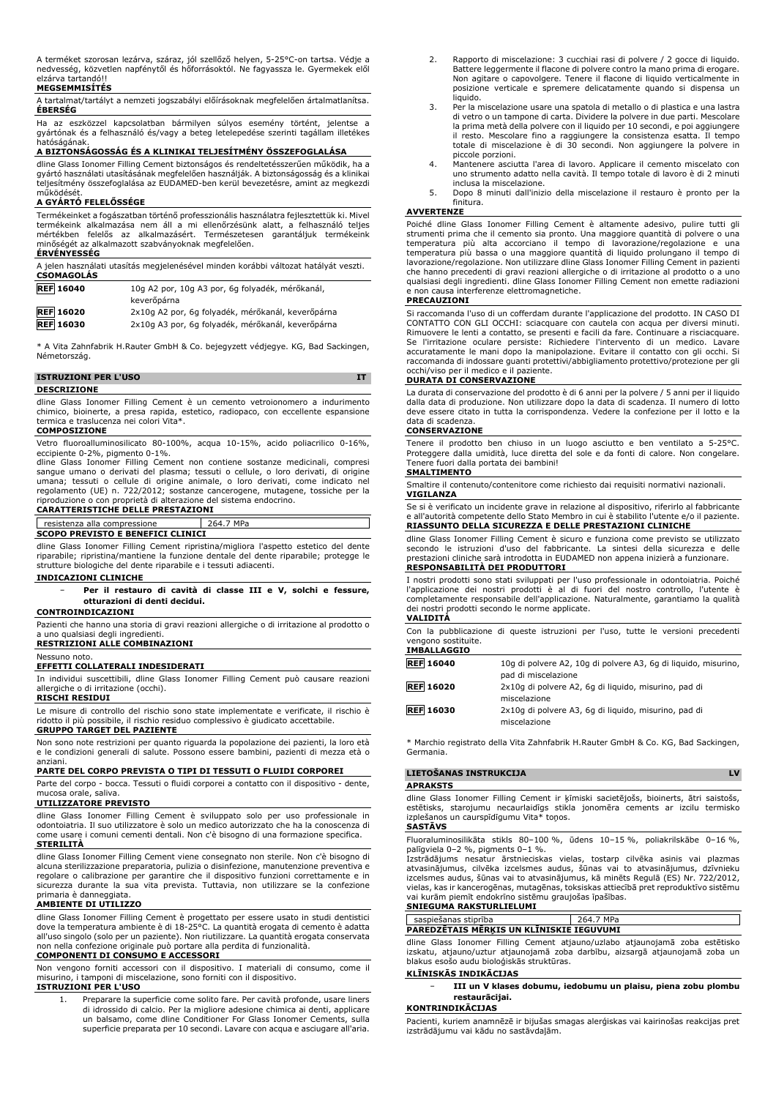A terméket szorosan lezárva, száraz, jól szellőző helyen, 5-25°C-on tartsa. Védje a nedvesség, közvetlen napfénytől és hőforrásoktól. Ne fagyassza le. Gyermekek elől elzárva tartandó!!

#### **MEGSEMMISÍTÉS**

A tartalmat/tartályt a nemzeti jogszabályi előírásoknak megfelelően ártalmatlanítsa. **ÉBERSÉG**

Ha az eszközzel kapcsolatban bármilyen súlyos esemény történt, jelentse a gyártónak és a felhasználó és/vagy a beteg letelepedése szerinti tagállam illetékes

## hatóságának. **A BIZTONSÁGOSSÁG ÉS A KLINIKAI TELJESÍTMÉNY ÖSSZEFOGLALÁSA**

dline Glass Ionomer Filling Cement biztonságos és rendeltetésszerűen működik, ha a gyártó használati utasításának megfelelően használják. A biztonságosság és a klinikai teljesítmény összefoglalása az EUDAMED-ben kerül bevezetésre, amint az megkezdi működését.

#### **A GYÁRTÓ FELELŐSSÉGE**

Termékeinket a fogászatban történő professzionális használatra fejlesztettük ki. Mivel termékeink alkalmazása nem áll a mi ellenőrzésünk alatt, a felhasználó teljes mértékben felelős az alkalmazásért. Természetesen garantáljuk termékeink minőségét az alkalmazott szabványoknak megfelelően. **ÉRVÉNYESSÉG**

| A jelen használati utasítás megjelenésével minden korábbi változat hatályát veszti.<br><b>CSOMAGOLÁS</b> |                                                                |
|----------------------------------------------------------------------------------------------------------|----------------------------------------------------------------|
| <b>REF</b> 16040                                                                                         | 10q A2 por, 10g A3 por, 6g folyadék, mérőkanál,<br>keverőpárna |
| <b>REF 16020</b>                                                                                         | 2x10g A2 por, 6g folyadék, mérőkanál, keverőpárna              |
| <b>REF</b> 16030                                                                                         | 2x10g A3 por, 6g folyadék, mérőkanál, keverőpárna              |

\* A Vita Zahnfabrik H.Rauter GmbH & Co. bejegyzett védjegye. KG, Bad Sackingen, Németország.

#### **ISTRUZIONI PER L'USO IT**

#### **DESCRIZIONE**

dline Glass Ionomer Filling Cement è un cemento vetroionomero a indurimento chimico, bioinerte, a presa rapida, estetico, radiopaco, con eccellente espansione termica e traslucenza nei colori Vita\*.

#### **COMPOSIZIONE**

Vetro fluoroalluminosilicato 80-100%, acqua 10-15%, acido poliacrilico 0-16%, eccipiente 0-2%, pigmento 0-1%.

dline Glass Ionomer Filling Cement non contiene sostanze medicinali, compresi sangue umano o derivati del plasma; tessuti o cellule, o loro derivati, di origine umana; tessuti o cellule di origine animale, o loro derivati, come indicato nel regolamento (UE) n. 722/2012; sostanze cancerogene, mutagene, tossiche per la riproduzione o con proprietà di alterazione del sistema endocrino.

#### **CARATTERISTICHE DELLE PRESTAZIONI**

## resistenza alla compressione 264.7 MPa

**SCOPO PREVISTO E BENEFICI CLINICI**

dline Glass Ionomer Filling Cement ripristina/migliora l'aspetto estetico del dente riparabile; ripristina/mantiene la funzione dentale del dente riparabile; protegge le strutture biologiche del dente riparabile e i tessuti adiacenti.

#### **INDICAZIONI CLINICHE**

− **Per il restauro di cavità di classe III e V, solchi e fessure, otturazioni di denti decidui.**

#### **CONTROINDICAZIONI**

Pazienti che hanno una storia di gravi reazioni allergiche o di irritazione al prodotto o a uno qualsiasi degli ingredienti.

### **RESTRIZIONI ALLE COMBINAZIONI**

Nessuno noto. **EFFETTI COLLATERALI INDESIDERATI**

In individui suscettibili, dline Glass Ionomer Filling Cement può causare reazioni allergiche o di irritazione (occhi).

#### **RISCHI RESIDUI**

Le misure di controllo del rischio sono state implementate e verificate, il rischio è ridotto il più possibile, il rischio residuo complessivo è giudicato accettabile.

#### **GRUPPO TARGET DEL PAZIENTE**

Non sono note restrizioni per quanto riguarda la popolazione dei pazienti, la loro età e le condizioni generali di salute. Possono essere bambini, pazienti di mezza età o anziani.

#### **PARTE DEL CORPO PREVISTA O TIPI DI TESSUTI O FLUIDI CORPOREI**

Parte del corpo - bocca. Tessuti o fluidi corporei a contatto con il dispositivo - dente, mucosa orale, saliva.

### **UTILIZZATORE PREVISTO**

dline Glass Ionomer Filling Cement è sviluppato solo per uso professionale in odontoiatria. Il suo utilizzatore è solo un medico autorizzato che ha la conoscenza di come usare i comuni cementi dentali. Non c'è bisogno di una formazione specifica. **STERILITÀ**

dline Glass Ionomer Filling Cement viene consegnato non sterile. Non c'è bisogno di alcuna sterilizzazione preparatoria, pulizia o disinfezione, manutenzione preventiva e regolare o calibrazione per garantire che il dispositivo funzioni correttamente e in sicurezza durante la sua vita prevista. Tuttavia, non utilizzare se la confezione primaria è danneggiata.

#### **AMBIENTE DI UTILIZZO**

dline Glass Ionomer Filling Cement è progettato per essere usato in studi dentistici dove la temperatura ambiente è di 18-25°C. La quantità erogata di cemento è adatta all'uso singolo (solo per un paziente). Non riutilizzare. La quantità erogata conservata non nella confezione originale può portare alla perdita di funzionalità.

#### **COMPONENTI DI CONSUMO E ACCESSORI**

Non vengono forniti accessori con il dispositivo. I materiali di consumo, come il misurino, i tamponi di miscelazione, sono forniti con il dispositivo.

### **ISTRUZIONI PER L'USO**

1. Preparare la superficie come solito fare. Per cavità profonde, usare liners di idrossido di calcio. Per la migliore adesione chimica ai denti, applicare un balsamo, come dline Conditioner For Glass Ionomer Cements, sulla superficie preparata per 10 secondi. Lavare con acqua e asciugare all'aria.

- 2. Rapporto di miscelazione: 3 cucchiai rasi di polvere / 2 gocce di liquido. Battere leggermente il flacone di polvere contro la mano prima di erogare. Non agitare o capovolgere. Tenere il flacone di liquido verticalmente in posizione verticale e spremere delicatamente quando si dispensa un liquido.
- 3. Per la miscelazione usare una spatola di metallo o di plastica e una lastra di vetro o un tampone di carta. Dividere la polvere in due parti. Mescolare la prima metà della polvere con il liquido per 10 secondi, e poi aggiungere il resto. Mescolare fino a raggiungere la consistenza esatta. Il tempo totale di miscelazione è di 30 secondi. Non aggiungere la polvere in piccole porzioni.
- 4. Mantenere asciutta l'area di lavoro. Applicare il cemento miscelato con uno strumento adatto nella cavità. Il tempo totale di lavoro è di 2 minuti inclusa la miscelazione.
- 5. Dopo 8 minuti dall'inizio della miscelazione il restauro è pronto per la finitura.

#### **AVVERTENZE**

Poiché dline Glass Ionomer Filling Cement è altamente adesivo, pulire tutti gli strumenti prima che il cemento sia pronto. Una maggiore quantità di polvere o una temperatura più alta accorciano il tempo di lavorazione/regolazione e una temperatura più bassa o una maggiore quantità di liquido prolungano il tempo di lavorazione/regolazione. Non utilizzare dline Glass Ionomer Filling Cement in pazienti che hanno precedenti di gravi reazioni allergiche o di irritazione al prodotto o a uno qualsiasi degli ingredienti. dline Glass Ionomer Filling Cement non emette radiazioni e non causa interferenze elettromagnetiche.

#### **PRECAUZIONI**

Si raccomanda l'uso di un cofferdam durante l'applicazione del prodotto. IN CASO DI CONTATTO CON GLI OCCHI: sciacquare con cautela con acqua per diversi minuti. Rimuovere le lenti a contatto, se presenti e facili da fare. Continuare a risciacquare. Se l'irritazione oculare persiste: Richiedere l'intervento di un medico. Lavare accuratamente le mani dopo la manipolazione. Evitare il contatto con gli occhi. Si raccomanda di indossare guanti protettivi/abbigliamento protettivo/protezione per gli occhi/viso per il medico e il paziente.

#### **DURATA DI CONSERVAZIONE**

La durata di conservazione del prodotto è di 6 anni per la polvere / 5 anni per il liquido dalla data di produzione. Non utilizzare dopo la data di scadenza. Il numero di lotto deve essere citato in tutta la corrispondenza. Vedere la confezione per il lotto e la data di scadenza.

#### **CONSERVAZIONE**

Tenere il prodotto ben chiuso in un luogo asciutto e ben ventilato a 5-25°C. Proteggere dalla umidità, luce diretta del sole e da fonti di calore. Non congelare. Tenere fuori dalla portata dei bambini! **SMALTIMENTO**

Smaltire il contenuto/contenitore come richiesto dai requisiti normativi nazionali. **VIGILANZA**

Se si è verificato un incidente grave in relazione al dispositivo, riferirlo al fabbricante e all'autorità competente dello Stato Membro in cui è stabilito l'utente e/o il paziente. **RIASSUNTO DELLA SICUREZZA E DELLE PRESTAZIONI CLINICHE**

dline Glass Ionomer Filling Cement è sicuro e funziona come previsto se utilizzato secondo le istruzioni d'uso del fabbricante. La sintesi della sicurezza e delle prestazioni cliniche sarà introdotta in EUDAMED non appena inizierà a funzionare. **RESPONSABILITÀ DEI PRODUTTORI**

I nostri prodotti sono stati sviluppati per l'uso professionale in odontoiatria. Poiché l'applicazione dei nostri prodotti è al di fuori del nostro controllo, l'utente è completamente responsabile dell'applicazione. Naturalmente, garantiamo la qualità dei nostri prodotti secondo le norme applicate. **VALIDITÀ**

Con la pubblicazione di queste istruzioni per l'uso, tutte le versioni precedenti vengono sostituite. **IMBALLAGGIO**

| IMBALLAGGIU      |                                                                                       |
|------------------|---------------------------------------------------------------------------------------|
| <b>REF 16040</b> | 10g di polvere A2, 10g di polvere A3, 6g di liguido, misurino,<br>pad di miscelazione |
| <b>REF 16020</b> | 2x10g di polvere A2, 6g di liguido, misurino, pad di<br>miscelazione                  |
| <b>REF 16030</b> | 2x10g di polvere A3, 6g di liguido, misurino, pad di<br>miscelazione                  |
|                  |                                                                                       |

\* Marchio registrato della Vita Zahnfabrik H.Rauter GmbH & Co. KG, Bad Sackingen, Germania.

| LIETOSANAS INSTRUKCIJA |          |  |  |  |  |  |                                                                                      | <b>IV</b> |  |
|------------------------|----------|--|--|--|--|--|--------------------------------------------------------------------------------------|-----------|--|
|                        | APRAKSTS |  |  |  |  |  |                                                                                      |           |  |
|                        |          |  |  |  |  |  | dline Glass Ionomer Filling Cement ir ķīmiski sacietējošs, bioinerts, ātri saistošs, |           |  |

dline Glass Ionomer Filling Cement ir ķīmiski sacietējošs, bioinerts, ātri saistošs, estētisks, starojumu necaurlaidīgs stikla jonomēra cements ar izcilu termisko izplešanos un caurspīdīgumu Vita\* toņos.

### **SASTĀVS**

Fluoraluminosilikāta stikls 80–100 %, ūdens 10–15 %, poliakrilskābe 0–16 %, palīgviela 0–2 %, pigments 0–1 %.

Izstrādājums nesatur ārstnieciskas vielas, tostarp cilvēka asinis vai plazmas atvasinājumus, cilvēka izcelsmes audus, šūnas vai to atvasinājumus, dzīvnieku izcelsmes audus, šūnas vai to atvasinājumus, kā minēts Regulā (ES) Nr. 722/2012, vielas, kas ir kancerogēnas, mutagēnas, toksiskas attiecībā pret reproduktīvo sistēmu vai kurām piemīt endokrīno sistēmu graujošas īpašības.

#### **SNIEGUMA RAKSTURLIELUMI**

saspiešanas stiprība 264.7 MPa **PAREDZĒTAIS MĒRĶIS UN KLĪNISKIE IEGUVUMI**

dline Glass Ionomer Filling Cement atjauno/uzlabo atjaunojamā zoba estētisko izskatu, atjauno/uztur atjaunojamā zoba darbību, aizsargā atjaunojamā zoba un blakus esošo audu bioloģiskās struktūras.

#### **KLĪNISKĀS INDIKĀCIJAS**

− **III un V klases dobumu, iedobumu un plaisu, piena zobu plombu restaurācijai.**

#### **KONTRINDIKĀCIJAS**

Pacienti, kuriem anamnēzē ir bijušas smagas alerģiskas vai kairinošas reakcijas pret izstrādājumu vai kādu no sastāvdaļām.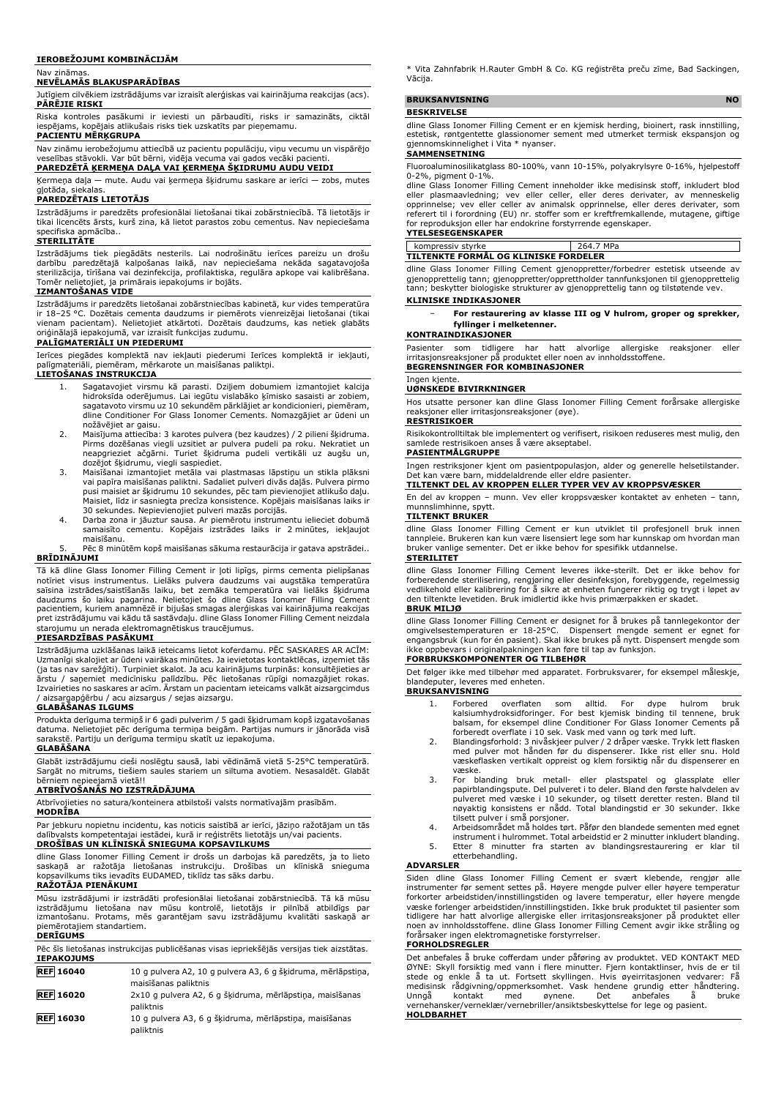#### **IEROBEŽOJUMI KOMBINĀCIJĀM**

#### Nav zināmas.

#### **NEVĒLAMĀS BLAKUSPARĀDĪBAS**

Jutīgiem cilvēkiem izstrādājums var izraisīt alerģiskas vai kairinājuma reakcijas (acs). **PĀRĒJIE RISKI**

Riska kontroles pasākumi ir ieviesti un pārbaudīti, risks ir samazināts, ciktāl iespējams, kopējais atlikušais risks tiek uzskatīts par pieņemamu.

#### **PACIENTU MĒRĶGRUPA**

Nav zināmu ierobežojumu attiecībā uz pacientu populāciju, viņu vecumu un vispārējo veselības stāvokli. Var būt bērni, vidēja vecuma vai gados vecāki pacienti.

#### **PAREDZĒTĀ ĶERMEŅA DAĻA VAI ĶERMEŅA ŠĶIDRUMU AUDU VEIDI**

Ķermeņa daļa — mute. Audu vai ķermeņa šķidrumu saskare ar ierīci — zobs, mutes

## gļotāda, siekalas. **PAREDZĒTAIS LIETOTĀJS**

Izstrādājums ir paredzēts profesionālai lietošanai tikai zobārstniecībā. Tā lietotājs ir tikai licencēts ārsts, kurš zina, kā lietot parastos zobu cementus. Nav nepieciešama specifiska apmācība.. **STERILITĀTE**

Izstrādājums tiek piegādāts nesterils. Lai nodrošinātu ierīces pareizu un drošu darbību paredzētajā kalpošanas laikā, nav nepieciešama nekāda sagatavojoša sterilizācija, tīrīšana vai dezinfekcija, profilaktiska, regulāra apkope vai kalibrēšana. Tomēr nelietojiet, ja primārais iepakojums ir bojāts.

#### **IZMANTOŠANAS VIDE**

Izstrādājums ir paredzēts lietošanai zobārstniecības kabinetā, kur vides temperatūra ir 18–25 °C. Dozētais cementa daudzums ir piemērots vienreizējai lietošanai (tikai vienam pacientam). Nelietojiet atkārtoti. Dozētais daudzums, kas netiek glabāts oriģinālajā iepakojumā, var izraisīt funkcijas zudumu.

#### **PALĪGMATERIĀLI UN PIEDERUMI**

Ierīces piegādes komplektā nav iekļauti piederumi Ierīces komplektā ir iekļauti, palīgmateriāli, piemēram, mērkarote un maisīšanas paliktņi.

#### **LIETOŠANAS INSTRUKCIJA**

- 1. Sagatavojiet virsmu kā parasti. Dziļiem dobumiem izmantojiet kalcija hidroksīda oderējumus. Lai iegūtu vislabāko ķīmisko sasaisti ar zobiem, sagatavoto virsmu uz 10 sekundēm pārklājiet ar kondicionieri, piemēram, dline Conditioner For Glass Ionomer Cements. Nomazgājiet ar ūdeni un nožāvējiet ar gaisu.
- 2. Maisījuma attiecība: 3 karotes pulvera (bez kaudzes) / 2 pilieni šķidruma. Pirms dozēšanas viegli uzsitiet ar pulvera pudeli pa roku. Nekratiet un neapgrieziet ačgārni. Turiet šķidruma pudeli vertikāli uz augšu un,
- dozējot šķidrumu, viegli saspiediet. 3. Maisīšanai izmantojiet metāla vai plastmasas lāpstiņu un stikla plāksni vai papīra maisīšanas paliktni. Sadaliet pulveri divās daļās. Pulvera pirmo pusi maisiet ar šķidrumu 10 sekundes, pēc tam pievienojiet atlikušo daļu. Maisiet, līdz ir sasniegta precīza konsistence. Kopējais maisīšanas laiks ir
- 30 sekundes. Nepievienojiet pulveri mazās porcijās. 4. Darba zona ir jāuztur sausa. Ar piemērotu instrumentu ielieciet dobumā samaisīto cementu. Kopējais izstrādes laiks ir 2 minūtes, iekļaujot maisīšanu.

#### 5. Pēc 8 minūtēm kopš maisīšanas sākuma restaurācija ir gatava apstrādei.. **BRĪDINĀJUMI**

Tā kā dline Glass Ionomer Filling Cement ir ļoti lipīgs, pirms cementa pielipšanas notīriet visus instrumentus. Lielāks pulvera daudzums vai augstāka temperatūra saīsina izstrādes/saistīšanās laiku, bet zemāka temperatūra vai lielāks šķidruma daudzums šo laiku pagarina. Nelietojiet šo dline Glass Ionomer Filling Cement pacientiem, kuriem anamnēzē ir bijušas smagas alerģiskas vai kairinājuma reakcijas pret izstrādājumu vai kādu tā sastāvdaļu. dline Glass Ionomer Filling Cement neizdala starojumu un nerada elektromagnētiskus traucējumus.

#### **PIESARDZĪBAS PASĀKUMI**

Izstrādājuma uzklāšanas laikā ieteicams lietot koferdamu. PĒC SASKARES AR ACĪM: Uzmanīgi skalojiet ar ūdeni vairākas minūtes. Ja ievietotas kontaktlēcas, izņemiet tās (ja tas nav sarežģīti). Turpiniet skalot. Ja acu kairinājums turpinās: konsultējieties ar ārstu / saņemiet medicīnisku palīdzību. Pēc lietošanas rūpīgi nomazgājiet rokas. Izvairieties no saskares ar acīm. Ārstam un pacientam ieteicams valkāt aizsargcimdus / aizsargapģērbu / acu aizsargus / sejas aizsargu.

#### **GLABĀŠANAS ILGUMS**

Produkta derīguma termiņš ir 6 gadi pulverim / 5 gadi šķidrumam kopš izgatavošanas datuma. Nelietojiet pēc derīguma termiņa beigām. Partijas numurs ir jānorāda visā sarakstē. Partiju un derīguma termiņu skatīt uz iepakojuma.

#### **GLABĀŠANA**

Glabāt izstrādājumu cieši noslēgtu sausā, labi vēdināmā vietā 5-25°C temperatūrā. Sargāt no mitrums, tiešiem saules stariem un siltuma avotiem. Nesasaldēt. Glabāt bērniem nepieejamā vietā!!

#### **ATBRĪVOŠANĀS NO IZSTRĀDĀJUMA**

Atbrīvojieties no satura/konteinera atbilstoši valsts normatīvajām prasībām.

### **MODRĪBA**

Par jebkuru nopietnu incidentu, kas noticis saistībā ar ierīci, jāziņo ražotājam un tās dalībvalsts kompetentajai iestādei, kurā ir reģistrēts lietotājs un/vai pacients. **DROŠĪBAS UN KLĪNISKĀ SNIEGUMA KOPSAVILKUMS**

dline Glass Ionomer Filling Cement ir drošs un darbojas kā paredzēts, ja to lieto saskaņā ar ražotāja lietošanas instrukciju. Drošības un klīniskā snieguma kopsavilkums tiks ievadīts EUDAMED, tiklīdz tas sāks darbu.

### **RAŽOTĀJA PIENĀKUMI**

Mūsu izstrādājumi ir izstrādāti profesionālai lietošanai zobārstniecībā. Tā kā mūsu izstrādājumu lietošana nav mūsu kontrolē, lietotājs ir pilnībā atbildīgs par izmantošanu. Protams, mēs garantējam savu izstrādājumu kvalitāti saskaņā ar piemērotajiem standartiem. **DERĪGUMS** 

| Pēc šīs lietošanas instrukcijas publicēšanas visas iepriekšējās versijas tiek aizstātas. |  |
|------------------------------------------------------------------------------------------|--|
| <b>IEPAKOJUMS</b>                                                                        |  |
|                                                                                          |  |

| <b>REF 16040</b> | 10 g pulvera A2, 10 g pulvera A3, 6 g šķidruma, mērlāpstiņa,          |
|------------------|-----------------------------------------------------------------------|
|                  | maisīšanas paliktnis                                                  |
| <b>REF 16020</b> | 2x10 g pulvera A2, 6 g šķidruma, mērlāpstiņa, maisīšanas<br>paliktnis |
| <b>REF 16030</b> | 10 g pulvera A3, 6 g šķidruma, mērlāpstiņa, maisīšanas                |
|                  | paliktnis                                                             |

\* Vita Zahnfabrik H.Rauter GmbH & Co. KG reģistrēta preču zīme, Bad Sackingen, Vācija.

## **BRUKSANVISNING** NO

### **BESKRIVELSE**

dline Glass Ionomer Filling Cement er en kjemisk herding, bioinert, rask innstilling, estetisk, røntgentette glassionomer sement med utmerket termisk ekspansjon og gjennomskinnelighet i Vita \* nyanser.

## **SAMMENSETNING**

Fluoroaluminosilikatglass 80-100%, vann 10-15%, polyakrylsyre 0-16%, hjelpestoff 0-2%, pigment 0-1%.

dline Glass Ionomer Filling Cement inneholder ikke medisinsk stoff, inkludert blod eller plasmaavledning; vev eller celler, eller deres derivater, av menneskelig opprinnelse; vev eller celler av animalsk opprinnelse, eller deres derivater, som referert til i forordning (EU) nr. stoffer som er kreftfremkallende, mutagene, giftige for reproduksjon eller har endokrine forstyrrende egenskaper. **YTELSESEGENSKAPER**

## kompressiv styrke 264.7 MPa

### **TILTENKTE FORMÅL OG KLINISKE FORDELER**

dline Glass Ionomer Filling Cement gjenoppretter/forbedrer estetisk utseende av gjenopprettelig tann; gjenoppretter/opprettholder tannfunksjonen til gjenopprettelig tann; beskytter biologiske strukturer av gjenopprettelig tann og tilstøtende vev.

#### **KLINISKE INDIKASJONER**

− **For restaurering av klasse III og V hulrom, groper og sprekker, fyllinger i melketenner.**

#### **KONTRAINDIKASJONER**

Pasienter som tidligere har hatt alvorlige allergiske reaksjoner eller irritasjonsreaksjoner på produktet eller noen av innholdsstoffene. **BEGRENSNINGER FOR KOMBINASJONER**

#### Ingen kjente.

#### **UØNSKEDE BIVIRKNINGER**

Hos utsatte personer kan dline Glass Ionomer Filling Cement forårsake allergiske reaksjoner eller irritasjonsreaksjoner (øye).

## **RESTRISIKOER**

Risikokontrolltiltak ble implementert og verifisert, risikoen reduseres mest mulig, den samlede restrisikoen anses å være akseptabel.

#### **PASIENTMÅLGRUPPE**

Ingen restriksjoner kjent om pasientpopulasjon, alder og generelle helsetilstander. Det kan være barn, middelaldrende eller eldre pasienter.

#### **TILTENKT DEL AV KROPPEN ELLER TYPER VEV AV KROPPSVÆSKER**

En del av kroppen – munn. Vev eller kroppsvæsker kontaktet av enheten – tann, munnslimhinne, spytt. **TILTENKT BRUKER**

dline Glass Ionomer Filling Cement er kun utviklet til profesjonell bruk innen tannpleie. Brukeren kan kun være lisensiert lege som har kunnskap om hvordan man bruker vanlige sementer. Det er ikke behov for spesifikk utdannelse. **STERILITET**

#### dline Glass Ionomer Filling Cement leveres ikke-sterilt. Det er ikke behov for forberedende sterilisering, rengjøring eller desinfeksjon, forebyggende, regelmessig vedlikehold eller kalibrering for å sikre at enheten fungerer riktig og trygt i løpet av den tiltenkte levetiden. Bruk imidlertid ikke hvis primærpakken er skadet. **BRUK MILJØ**

dline Glass Ionomer Filling Cement er designet for å brukes på tannlegekontor der omgivelsestemperaturen er 18-25°C. Dispensert mengde sement er egnet for engangsbruk (kun for én pasient). Skal ikke brukes på nytt. Dispensert mengde som ikke oppbevars i originalpakningen kan føre til tap av funksjon. **FORBRUKSKOMPONENTER OG TILBEHØR**

Det følger ikke med tilbehør med apparatet. Forbruksvarer, for eksempel måleskje, blandeputer, leveres med enheten.

### **BRUKSANVISNING**

- 1. Forbered overflaten som alltid. For dype hulrom bruk kalsiumhydroksidforinger. For best kjemisk binding til tennene, bruk balsam, for eksempel dline Conditioner For Glass Ionomer Cements på forberedt overflate i 10 sek. Vask med vann og tørk med luft.
- 2. Blandingsforhold: 3 nivåskjeer pulver / 2 dråper væske. Trykk lett flasken med pulver mot hånden før du dispenserer. Ikke rist eller snu. Hold væskeflasken vertikalt oppreist og klem forsiktig når du dispenserer en<br>væskef
- væske.<br>3. For blanding bruk metall- eller plastspatel og glassplate eller<br>papirblandingspute. Del pulveret ito deler. Bland den første halvdelen av<br>pulveret med væske i 10 sekunder, og tilsett deretter resten. Bland til<br>nø
- tilsett pulver i små porsjoner. 4. Arbeidsområdet må holdes tørt. Påfør den blandede sementen med egnet instrument i hulrommet. Total arbeidstid er 2 minutter inkludert blanding.
- 5. Etter 8 minutter fra starten av blandingsrestaurering er klar til etterbehandling.

## **ADVARSLER**

Siden dline Glass Ionomer Filling Cement er svært klebende, rengjør alle instrumenter før sement settes på. Høyere mengde pulver eller høyere temperatur forkorter arbeidstiden/innstillingstiden og lavere temperatur, eller høyere mengde væske forlenger arbeidstiden/innstillingstiden. Ikke bruk produktet til pasienter som tidligere har hatt alvorlige allergiske eller irritasjonsreaksjoner på produktet eller noen av innholdsstoffene. dline Glass Ionomer Filling Cement avgir ikke stråling og forårsaker ingen elektromagnetiske forstyrrelser.

### **FORHOLDSREGLER**

Det anbefales å bruke cofferdam under påføring av produktet. VED KONTAKT MED ØYNE: Skyll forsiktig med vann i flere minutter. Fjern kontaktlinser, hvis de er til stede og enkle å ta ut. Fortsett skyllingen. Hvis øyeirritasjonen vedvarer: Få medisinsk rådgivning/oppmerksomhet. Vask hendene grundig etter håndtering. Unngå kontakt med øynene. Det anbefales å bruke vernehansker/verneklær/vernebriller/ansiktsbeskyttelse for lege og pasient.

#### **HOLDBARHET**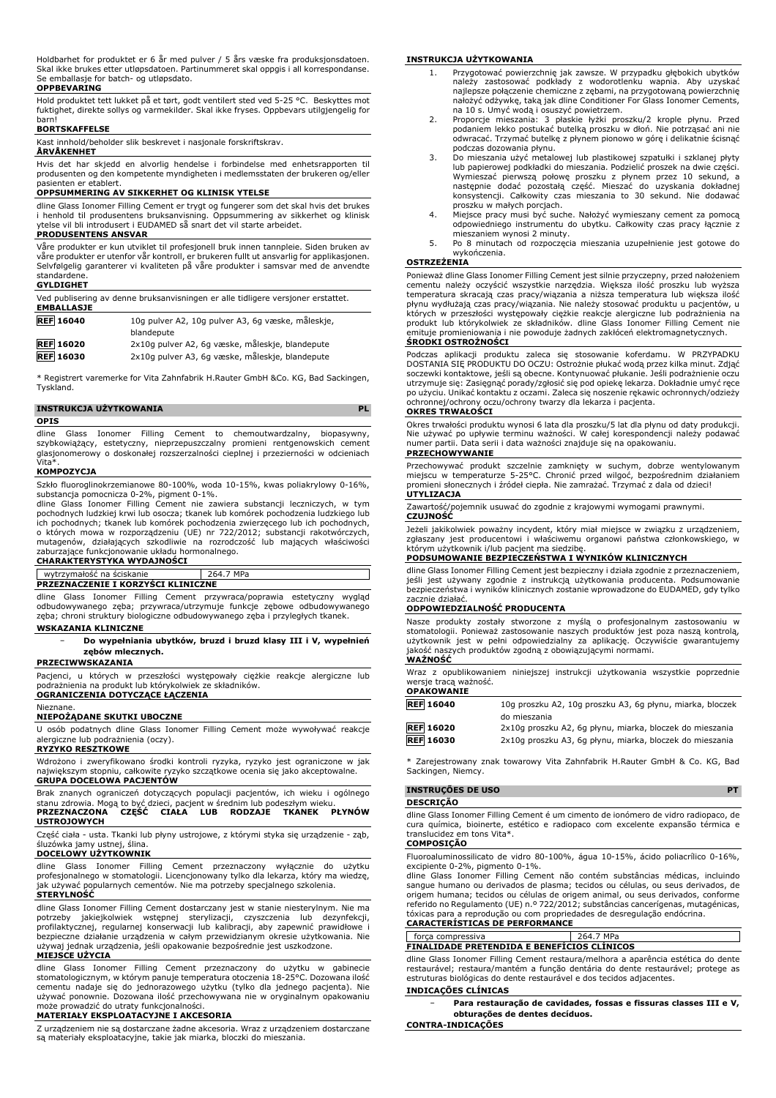Holdbarhet for produktet er 6 år med pulver / 5 års væske fra produksjonsdatoen. Skal ikke brukes etter utløpsdatoen. Partinummeret skal oppgis i all korrespondanse. Se emballasje for batch- og utløpsdato.

#### **OPPBEVARING**

Hold produktet tett lukket på et tørt, godt ventilert sted ved 5-25 °C. Beskyttes mot fuktighet, direkte sollys og varmekilder. Skal ikke fryses. Oppbevars utilgjengelig for barn!

#### **BORTSKAFFELSE**

Kast innhold/beholder slik beskrevet i nasjonale forskriftskrav.

#### **ÅRVÅKENHET**

Hvis det har skjedd en alvorlig hendelse i forbindelse med enhetsrapporten til produsenten og den kompetente myndigheten i medlemsstaten der brukeren og/eller pasienten er etablert.

#### **OPPSUMMERING AV SIKKERHET OG KLINISK YTELSE**

dline Glass Ionomer Filling Cement er trygt og fungerer som det skal hvis det brukes i henhold til produsentens bruksanvisning. Oppsummering av sikkerhet og klinisk ytelse vil bli introdusert i EUDAMED så snart det vil starte arbeidet.

#### **PRODUSENTENS ANSVAR**

Våre produkter er kun utviklet til profesjonell bruk innen tannpleie. Siden bruken av våre produkter er utenfor vår kontroll, er brukeren fullt ut ansvarlig for applikasjonen. Selvfølgelig garanterer vi kvaliteten på våre produkter i samsvar med de anvendte standardene.

| YLDIGHE <sup>-</sup> |  |
|----------------------|--|
|                      |  |

| Ved publisering av denne bruksanvisningen er alle tidligere versjoner erstattet.<br><b>EMBALLASJE</b> |                                                                 |  |  |  |
|-------------------------------------------------------------------------------------------------------|-----------------------------------------------------------------|--|--|--|
| <b>REF</b> 16040                                                                                      | 10g pulver A2, 10g pulver A3, 6g væske, måleskje,<br>blandepute |  |  |  |
| <b>REF</b> 16020                                                                                      | 2x10q pulver A2, 6q væske, måleskje, blandepute                 |  |  |  |
| <b>REF</b> 16030                                                                                      | 2x10q pulver A3, 6q væske, måleskje, blandepute                 |  |  |  |

\* Registrert varemerke for Vita Zahnfabrik H.Rauter GmbH &Co. KG, Bad Sackingen, Tyskland.

| INSTRUKCJA UŻYTKOWANIA |  |  |  |  |  |  |  |
|------------------------|--|--|--|--|--|--|--|
| <b>OPIS</b>            |  |  |  |  |  |  |  |
|                        |  |  |  |  |  |  |  |

dline Glass Ionomer Filling Cement to chemoutwardzalny, biopasywny, szybkowiążący, estetyczny, nieprzepuszczalny promieni rentgenowskich cement glasjonomerowy o doskonałej rozszerzalności cieplnej i przezierności w odcieniach Vita\*.

#### **KOMPOZYCJA**

Szkło fluoroglinokrzemianowe 80-100%, woda 10-15%, kwas poliakrylowy 0-16%,<br>substancja pomocnicza 0-2%, pigment 0-1%.<br>dline Glass Ionomer Filling Cement nie zawiera substancji leczniczych, w tym<br>pochodnych ludzkiej krwi lu ich pochodnych; tkanek lub komórek pochodzenia zwierzęcego lub ich pochodnych,<br>o których mowa w rozporządzeniu (UE) nr 722/2012; substancji rakotwórczych,<br>mutagenów, działających szkodliwie na rozrodczość lub mającyc zaburzające funkcjonowanie układu hormonalnego.

#### **CHARAKTERYSTYKA WYDAJNOŚCI** wytrzymałość na ściskanie 264.7 MPa

**PRZEZNACZENIE I KORZYŚCI KLINICZNE**

dline Glass Ionomer Filling Cement przywraca/poprawia estetyczny wygląd odbudowywanego zęba; przywraca/utrzymuje funkcje zębowe odbudowywanego zęba; chroni struktury biologiczne odbudowywanego zęba i przyległych tkanek.

#### **WSKAZANIA KLINICZNE**

#### − **Do wypełniania ubytków, bruzd i bruzd klasy III i V, wypełnień zębów mlecznych.**

#### **PRZECIWWSKAZANIA**

Pacjenci, u których w przeszłości występowały ciężkie reakcje alergiczne lub podrażnienia na produkt lub którykolwiek ze składników. **OGRANICZENIA DOTYCZĄCE ŁĄCZENIA**

#### **Nieznane NIEPOŻĄDANE SKUTKI UBOCZNE**

U osób podatnych dline Glass Ionomer Filling Cement może wywoływać reakcje alergiczne lub podrażnienia (oczy).

#### **RYZYKO RESZTKOWE**

Wdrożono i zweryfikowano środki kontroli ryzyka, ryzyko jest ograniczone w jak największym stopniu, całkowite ryzyko szczątkowe ocenia się jako akceptowalne. **GRUPA DOCELOWA PACJENTÓW**

Brak znanych ograniczeń dotyczących populacji pacjentów, ich wieku i ogólnego<br>stanu zdrowia. Mogąło być dzieci, pacjent w średnim lub podeszłym wieku.<br>**PRZEZNACZONA - CZĘŚĆ - CIAŁA - LUB - RODZAJE - TKANEK - PŁYNÓW USTROJOWYCH**

Część ciała - usta. Tkanki lub płyny ustrojowe, z którymi styka się urządzenie - ząb, śluzówka jamy ustnej, ślina.

### **DOCELOWY UŻYTKOWNIK**

dline Glass Ionomer Filling Cement przeznaczony wyłącznie do użytku profesjonalnego w stomatologii. Licencjonowany tylko dla lekarza, który ma wiedzę, jak używać popularnych cementów. Nie ma potrzeby specjalnego szkolenia. **STERYLNOŚĆ**

### dline Glass Ionomer Filling Cement dostarczany jest w stanie niesterylnym. Nie ma potrzeby jakiejkolwiek wstępnej sterylizacji, czyszczenia lub dezynfekcji, profilaktycznej, regularnej konserwacji lub kalibracji, aby zapewnić prawidłowe i bezpieczne działanie urządzenia w całym przewidzianym okresie użytkowania. Nie używaj jednak urządzenia, jeśli opakowanie bezpośrednie jest uszkodzone.

#### **MIEJSCE UŻYCIA**

dline Glass Ionomer Filling Cement przeznaczony do użytku w gabinecie stomatologicznym, w którym panuje temperatura otoczenia 18-25°C. Dozowana ilość cementu nadaje się do jednorazowego użytku (tylko dla jednego pacjenta). Nie używać ponownie. Dozowana ilość przechowywana nie w oryginalnym opakowaniu może prowadzić do utraty funkcjonalności.

#### **MATERIAŁY EKSPLOATACYJNE I AKCESORIA**

Z urządzeniem nie są dostarczane żadne akcesoria. Wraz z urządzeniem dostarczane są materiały eksploatacyjne, takie jak miarka, bloczki do mieszania.

#### **INSTRUKCJA UŻYTKOWANIA**

- 1. Przygotować powierzchnię jak zawsze. W przypadku głębokich ubytków należy zastosować podkłady z wodorotlenku wapnia. Aby uzyskać najlepsze połączenie chemiczne z zębami, na przygotowaną powierzchnię nałożyć odżywkę, taką jak dline Conditioner For Glass Ionomer Cements, na 10 s. Umyć wodą i osuszyć powietrzem.
- 2. Proporcje mieszania: 3 płaskie łyżki proszku/2 krople płynu. Przed podaniem lekko postukać butelką proszku w dłoń. Nie potrząsać ani nie odwracać. Trzymać butelkę z płynem pionowo w górę i delikatnie ścisnąć
- podczas dozowania płynu. 3. Do mieszania użyć metalowej lub plastikowej szpatułki i szklanej płyty lub papierowej podkładki do mieszania. Podzielić proszek na dwie części.<br>Wymieszać pierwszą połowę proszku z płynem przez 10 sekund, a<br>następnie dodać pozostałą część. Mieszać do uzyskania dokładnej<br>konsysten proszku w małych porcjach.
- 4. Miejsce pracy musi być suche. Nałożyć wymieszany cement za pomocą odpowiedniego instrumentu do ubytku. Całkowity czas pracy łącznie z mieszaniem wynosi 2 minuty.
- 5. Po 8 minutach od rozpoczęcia mieszania uzupełnienie jest gotowe do wykończenia.

#### **OSTRZEŻENIA**

Ponieważ dline Glass Ionomer Filling Cement jest silnie przyczepny, przed nałożeniem cementu należy oczyścić wszystkie narzędzia. Większa ilość proszku lub wyższa temperatura skracają czas pracy/wiązania a niższa temperatura lub większa ilość płynu wydłużają czas pracy/wiązania. Nie należy stosować produktu u pacjentów, u których w przeszłości występowały ciężkie reakcje alergiczne lub podrażnienia na produkt lub którykolwiek ze składników. dline Glass Ionomer Filling Cement nie emituje promieniowania i nie powoduje żadnych zakłóceń elektromagnetycznych. **ŚRODKI OSTROŻNOŚCI**

Podczas aplikacji produktu zaleca się stosowanie koferdamu. W PRZYPADKU DOSTANIA SIĘ PRODUKTU DO OCZU: Ostrożnie płukać wodą przez kilka minut. Zdjąć soczewki kontaktowe, jeśli są obecne. Kontynuować płukanie. Jeśli podrażnienie oczu utrzymuje się: Zasięgnąć porady/zgłosić się pod opiekę lekarza. Dokładnie umyć ręce po użyciu. Unikać kontaktu z oczami. Zaleca się noszenie rękawic ochronnych/odzieży ochronnej/ochrony oczu/ochrony twarzy dla lekarza i pacjenta. **OKRES TRWAŁOŚCI**

Okres trwałości produktu wynosi 6 lata dla proszku/5 lat dla płynu od daty produkcji. Nie używać po upływie terminu ważności. W całej korespondencji należy podawać numer partii. Data serii i data ważności znajduje się na opakowaniu. **PRZECHOWYWANIE**

Przechowywać produkt szczelnie zamknięty w suchym, dobrze wentylowanym miejscu w temperaturze 5-25°C. Chronić przed wilgoć, bezpośrednim działaniem promieni słonecznych i źródeł ciepła. Nie zamrażać. Trzymać z dala od dzieci!

#### **UTYLIZACJA**

Zawartość/pojemnik usuwać do zgodnie z krajowymi wymogami prawnymi. **CZUJNOŚĆ**

Jeżeli jakikolwiek poważny incydent, który miał miejsce w związku z urządzeniem, zgłaszany jest producentowi i właściwemu organowi państwa członkowskiego, w którym użytkownik i/lub pacjent ma siedzibę.

#### **PODSUMOWANIE BEZPIECZEŃSTWA I WYNIKÓW KLINICZNYCH**

dline Glass Ionomer Filling Cement jest bezpieczny i działa zgodnie z przeznaczeniem, jeśli jest używany zgodnie z instrukcją użytkowania producenta. Podsumowanie bezpieczeństwa i wyników klinicznych zostanie wprowadzone do EUDAMED, gdy tylko zacznie działać.

### **ODPOWIEDZIALNOŚĆ PRODUCENTA**

Nasze produkty zostały stworzone z myślą o profesjonalnym zastosowaniu w stomatologii. Ponieważ zastosowanie naszych produktów jest poza naszą kontrolą, użytkownik jest w pełni odpowiedzialny za aplikację. Oczywiście gwarantujemy jakość naszych produktów zgodną z obowiązującymi normami. **WAŻNOŚĆ**

Wraz z opublikowaniem niniejszej instrukcji użytkowania wszystkie poprzednie wersje tracą ważność.

## **OPAKOWANIE**

| <b>REF</b> 16040 | 10g proszku A2, 10g proszku A3, 6g płynu, miarka, bloczek |
|------------------|-----------------------------------------------------------|
|                  | do mieszania                                              |
| <b>REF 16020</b> | 2x10q proszku A2, 6g płynu, miarka, bloczek do mieszania  |
| <b>REF</b> 16030 | 2x10g proszku A3, 6g płynu, miarka, bloczek do mieszania  |

Zarejestrowany znak towarowy Vita Zahnfabrik H.Rauter GmbH & Co. KG, Bad Sackingen, Niemcy.

| <b>INSTRUÇÕES DE USO</b>                                                                                                                                                                                                 | PT |
|--------------------------------------------------------------------------------------------------------------------------------------------------------------------------------------------------------------------------|----|
| <b>DESCRICÃO</b>                                                                                                                                                                                                         |    |
| dline Glass Ionomer Filling Cement é um cimento de ionómero de vidro radiopaco, de<br>cura química, bioinerte, estético e radiopaco com excelente expansão térmica e<br>translucidez em tons Vita*.<br><b>COMPOSICÃO</b> |    |

Fluoroaluminossilicato de vidro 80-100%, água 10-15%, ácido poliacrílico 0-16%, excipiente 0-2%, pigmento 0-1%.

dline Glass Ionomer Filling Cement não contém substâncias médicas, incluindo sangue humano ou derivados de plasma; tecidos ou células, ou seus derivados, de origem humana; tecidos ou células de origem animal, ou seus derivados, conforme referido no Regulamento (UE) n.º 722/2012; substâncias cancerígenas, mutagénicas, tóxicas para a reprodução ou com propriedades de desregulação endócrina. **CARACTERÍSTICAS DE PERFORMANCE**

#### $264.7$  MPa **FINALIDADE PRETENDIDA E BENEFÍCIOS CLÍNICOS**

dline Glass Ionomer Filling Cement restaura/melhora a aparência estética do dente restaurável; restaura/mantém a função dentária do dente restaurável; protege as estruturas biológicas do dente restaurável e dos tecidos adjacentes. **INDICAÇÕES CLÍNICAS**

− **Para restauração de cavidades, fossas e fissuras classes III e V, obturações de dentes decíduos.**

**CONTRA-INDICAÇÕES**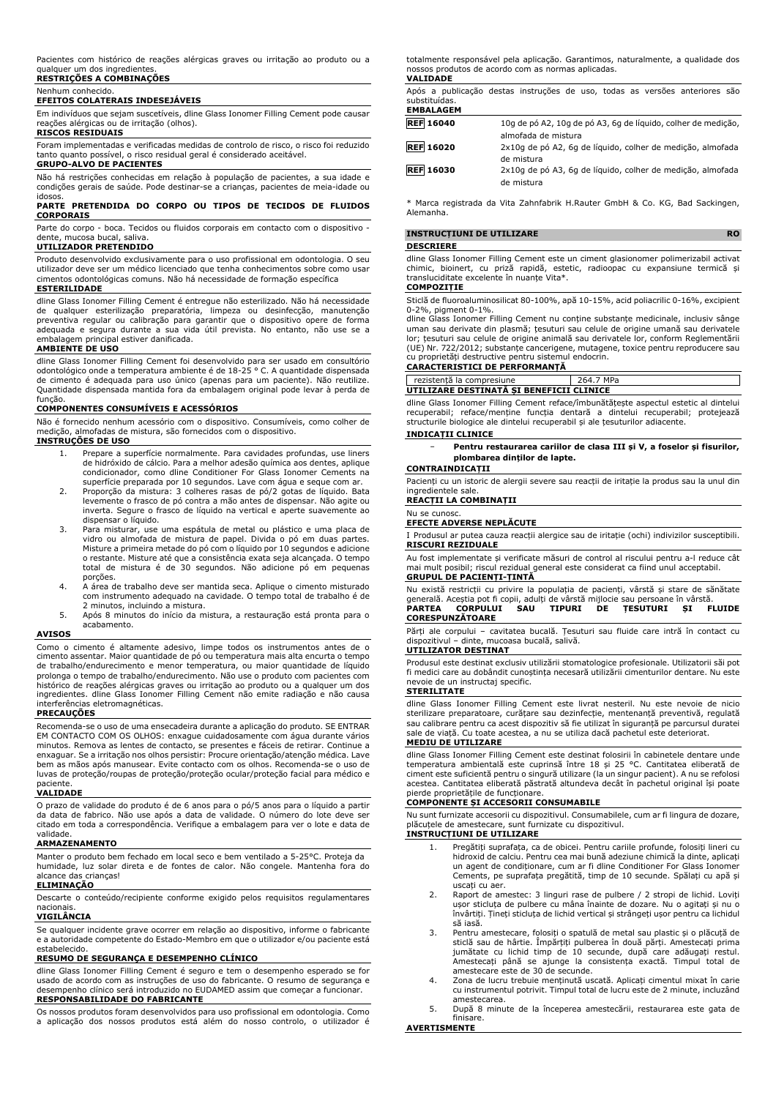Pacientes com histórico de reações alérgicas graves ou irritação ao produto ou a qualquer um dos ingredientes.

#### **RESTRIÇÕES A COMBINAÇÕES** Nenhum conhecido.

#### **EFEITOS COLATERAIS INDESEJÁVEIS**

Em indivíduos que sejam suscetíveis, dline Glass Ionomer Filling Cement pode causar reações alérgicas ou de irritação (olhos).

#### **RISCOS RESIDUAIS**

Foram implementadas e verificadas medidas de controlo de risco, o risco foi reduzido tanto quanto possível, o risco residual geral é considerado aceitável.

## **GRUPO-ALVO DE PACIENTES**

Não há restrições conhecidas em relação à população de pacientes, a sua idade e condições gerais de saúde. Pode destinar-se a crianças, pacientes de meia-idade ou idosos.

#### **PARTE PRETENDIDA DO CORPO OU TIPOS DE TECIDOS DE FLUIDOS CORPORAIS**

Parte do corpo - boca. Tecidos ou fluidos corporais em contacto com o dispositivo dente, mucosa bucal, saliva.

#### **UTILIZADOR PRETENDIDO**

Produto desenvolvido exclusivamente para o uso profissional em odontologia. O seu utilizador deve ser um médico licenciado que tenha conhecimentos sobre como usar cimentos odontológicas comuns. Não há necessidade de formação específica

#### **ESTERILIDADE**

dline Glass Ionomer Filling Cement é entregue não esterilizado. Não há necessidade de qualquer esterilização preparatória, limpeza ou desinfecção, manutenção preventiva regular ou calibração para garantir que o dispositivo opere de forma adequada e segura durante a sua vida útil prevista. No entanto, não use se a embalagem principal estiver danificada.

#### **AMBIENTE DE USO**

dline Glass Ionomer Filling Cement foi desenvolvido para ser usado em consultório<br>odontológico onde a temperatura ambiente é de 18-25 °C. A quantidade dispensada<br>de cimento é adequada para uso único (apenas para um pacient Quantidade dispensada mantida fora da embalagem original pode levar à perda de função.

#### **COMPONENTES CONSUMÍVEIS E ACESSÓRIOS**

Não é fornecido nenhum acessório com o dispositivo. Consumíveis, como colher de medição, almofadas de mistura, são fornecidos com o dispositivo. **INSTRUÇÕES DE USO**

- 1. Prepare a superfície normalmente. Para cavidades profundas, use liners de hidróxido de cálcio. Para a melhor adesão química aos dentes, aplique condicionador, como dline Conditioner For Glass Ionomer Cements na superfície preparada por 10 segundos. Lave com água e seque com ar.
- 2. Proporção da mistura: 3 colheres rasas de pó/2 gotas de líquido. Bata levemente o frasco de pó contra a mão antes de dispensar. Não agite ou inverta. Segure o frasco de líquido na vertical e aperte suavemente ao dispensar o líquido.
- 3. Para misturar, use uma espátula de metal ou plástico e uma placa de vidro ou almofada de mistura de papel. Divida o pó em duas partes. Misture a primeira metade do pó com o líquido por 10 segundos e adicione o restante. Misture até que a consistência exata seja alcançada. O tempo total de mistura é de 30 segundos. Não adicione pó em pequenas porções.
- 4. A área de trabalho deve ser mantida seca. Aplique o cimento misturado com instrumento adequado na cavidade. O tempo total de trabalho é de 2 minutos, incluindo a mistura.
- 5. Após 8 minutos do início da mistura, a restauração está pronta para o acabamento.

#### **AVISOS**

Como o cimento é altamente adesivo, limpe todos os instrumentos antes de o cimento assentar. Maior quantidade de pó ou temperatura mais alta encurta o tempo de trabalho/endurecimento e menor temperatura, ou maior quantidade de líquido prolonga o tempo de trabalho/endurecimento. Não use o produto com pacientes com histórico de reações alérgicas graves ou irritação ao produto ou a qualquer um dos ingredientes. dline Glass Ionomer Filling Cement não emite radiação e não causa interferências eletromagnéticas.

#### **PRECAUÇÕES**

Recomenda-se o uso de uma ensecadeira durante a aplicação do produto. SE ENTRAR EM CONTACTO COM OS OLHOS: enxague cuidadosamente com água durante vários minutos. Remova as lentes de contacto, se presentes e fáceis de retirar. Continue a enxaguar. Se a irritação nos olhos persistir: Procure orientação/atenção médica. Lave bem as mãos após manusear. Evite contacto com os olhos. Recomenda-se o uso de luvas de proteção/roupas de proteção/proteção ocular/proteção facial para médico e

## paciente. **VALIDADE**

O prazo de validade do produto é de 6 anos para o pó/5 anos para o líquido a partir da data de fabrico. Não use após a data de validade. O número do lote deve ser citado em toda a correspondência. Verifique a embalagem para ver o lote e data de validade.

#### **ARMAZENAMENTO**

Manter o produto bem fechado em local seco e bem ventilado a 5-25°C. Proteja da humidade, luz solar direta e de fontes de calor. Não congele. Mantenha fora do alcance das crianças!

### **ELIMINAÇÃO**

Descarte o conteúdo/recipiente conforme exigido pelos requisitos regulamentares nacionais.

#### **VIGILÂNCIA**

Se qualquer incidente grave ocorrer em relação ao dispositivo, informe o fabricante e a autoridade competente do Estado-Membro em que o utilizador e/ou paciente está estabelecido.

#### **RESUMO DE SEGURANÇA E DESEMPENHO CLÍNICO**

dline Glass Ionomer Filling Cement é seguro e tem o desempenho esperado se for usado de acordo com as instruções de uso do fabricante. O resumo de segurança e desempenho clínico será introduzido no EUDAMED assim que começar a funcionar. **RESPONSABILIDADE DO FABRICANTE**

Os nossos produtos foram desenvolvidos para uso profissional em odontologia. Como a aplicação dos nossos produtos está além do nosso controlo, o utilizador é

totalmente responsável pela aplicação. Garantimos, naturalmente, a qualidade dos nossos produtos de acordo com as normas aplicadas. **VALIDADE**

Após a publicação destas instruções de uso, todas as versões anteriores são substituídas. **EMBALAGEM**

| 10g de pó A2, 10g de pó A3, 6g de líquido, colher de medição,            |
|--------------------------------------------------------------------------|
| almofada de mistura                                                      |
| 2x10q de pó A2, 6q de líquido, colher de medição, almofada<br>de mistura |
|                                                                          |
| 2x10q de pó A3, 6q de líquido, colher de medição, almofada<br>de mistura |
|                                                                          |

\* Marca registrada da Vita Zahnfabrik H.Rauter GmbH & Co. KG, Bad Sackingen, Alemanha.

#### **INSTRUCȚIUNI DE UTILIZARE RO DESCRIERE**

#### dline Glass Ionomer Filling Cement este un ciment glasionomer polimerizabil activat chimic, bioinert, cu priză rapidă, estetic, radioopac cu expansiune termică și transluciditate excelente în nuanțe Vita\*.

## **COMPOZIȚIE**

Sticlă de fluoroaluminosilicat 80-100%, apă 10-15%, acid poliacrilic 0-16%, excipient

0-2%, pigment 0-1%. dline Glass Ionomer Filling Cement nu conține substanțe medicinale, inclusiv sânge uman sau derivate din plasmă; țesuturi sau celule de origine umană sau derivatele lor; țesuturi sau celule de origine animală sau derivatele lor, conform Reglementării (UE) Nr. 722/2012; substanțe cancerigene, mutagene, toxice pentru reproducere sau cu proprietăți destructive pentru sistemul endocrin.

### **CARACTERISTICI DE PERFORMANȚĂ**

rezistență la compresiune 264.7 MPa **UTILIZARE DESTINATĂ ȘI BENEFICII CLINICE**

dline Glass Ionomer Filling Cement reface/îmbunătățește aspectul estetic al dintelui recuperabil; reface/menține funcția dentară a dintelui recuperabil; protejează structurile biologice ale dintelui recuperabil și ale țesuturilor adiacente.

#### **INDICAȚII CLINICE**

− **Pentru restaurarea cariilor de clasa III și V, a foselor și fisurilor, plombarea dinților de lapte.**

## **CONTRAINDICAȚII**

Pacienți cu un istoric de alergii severe sau reacții de iritație la produs sau la unul din ingredientele sale.

#### **REACȚII LA COMBINAȚII** Nu se cunosc.

#### **EFECTE ADVERSE NEPLĂCUTE**

I Produsul ar putea cauza reacții alergice sau de iritație (ochi) indivizilor susceptibili. **RISCURI REZIDUALE**

Au fost implementate și verificate măsuri de control al riscului pentru a-l reduce cât mai mult posibil; riscul rezidual general este considerat ca fiind unul acceptabil. **GRUPUL DE PACIENȚI-ȚINTĂ**

Nu există restricții cu privire la populația de pacienți, vârstă și stare de sănătate generală. Aceștia pot fi copii, adulți de vârstă mijlocie sau persoane în vârstă. **PARTEA CORPULUI SAU TIPURI DE ȚESUTURI ȘI FLUIDE**

## **CORESPUNZĂTOARE**

Părți ale corpului – cavitatea bucală. Țesuturi sau fluide care intră în contact cu dispozitivul – dinte, mucoasa bucală, salivă.

#### **UTILIZATOR DESTINAT**

Produsul este destinat exclusiv utilizării stomatologice profesionale. Utilizatorii săi pot fi medici care au dobândit cunoștința necesară utilizării cimenturilor dentare. Nu este nevoie de un instructaj specific. **STERILITATE**

dline Glass Ionomer Filling Cement este livrat nesteril. Nu este nevoie de nicio sterilizare preparatoare, curățare sau dezinfecție, mentenanță preventivă, regulată sau calibrare pentru ca acest dispozitiv să fie utilizat în siguranță pe parcursul duratei sale de viață. Cu toate acestea, a nu se utiliza dacă pachetul este deteriorat. **MEDIU DE UTILIZARE**

#### dline Glass Ionomer Filling Cement este destinat folosirii în cabinetele dentare unde temperatura ambientală este cuprinsă între 18 și 25 °C. Cantitatea eliberată de ciment este suficientă pentru o singură utilizare (la un singur pacient). A nu se refolosi acestea. Cantitatea eliberată păstrată altundeva decât în pachetul original își poate pierde proprietățile de funcționare.

### **COMPONENTE ȘI ACCESORII CONSUMABILE**

Nu sunt furnizate accesorii cu dispozitivul. Consumabilele, cum ar fi lingura de dozare, plăcuțele de amestecare, sunt furnizate cu dispozitivul. **INSTRUCȚIUNI DE UTILIZARE**

- 1. Pregătiți suprafața, ca de obicei. Pentru cariile profunde, folosiți lineri cu hidroxid de calciu. Pentru cea mai bună adeziune chimică la dinte, aplicați un agent de condiționare, cum ar fi dline Conditioner For Glass Ionomer
- Cements, pe suprafața pregătită, timp de 10 secunde. Spălați cu apă și uscați cu aer. 2. Raport de amestec: 3 linguri rase de pulbere / 2 stropi de lichid. Loviti ușor sticluța de pulbere cu mâna înainte de dozare. Nu o agitați și nu o
- învârtiți. Țineți sticluța de lichid vertical și strângeți ușor pentru ca lichidul să iasă.
- 3. Pentru amestecare, folosiți o spatulă de metal sau plastic și o plăcuță de sticlă sau de hârtie. Împărțiți pulberea în două părți. Amestecați prima jumătate cu lichid timp de 10 secunde, după care adăugați restul. Amestecați până se ajunge la consistența exactă. Timpul total de amestecare este de 30 de secunde.
- 4. Zona de lucru trebuie menținută uscată. Aplicați cimentul mixat în carie cu instrumentul potrivit. Timpul total de lucru este de 2 minute, incluzând amestecarea.
- 5. După 8 minute de la începerea amestecării, restaurarea este gata de finisare.

#### **AVERTISMENTE**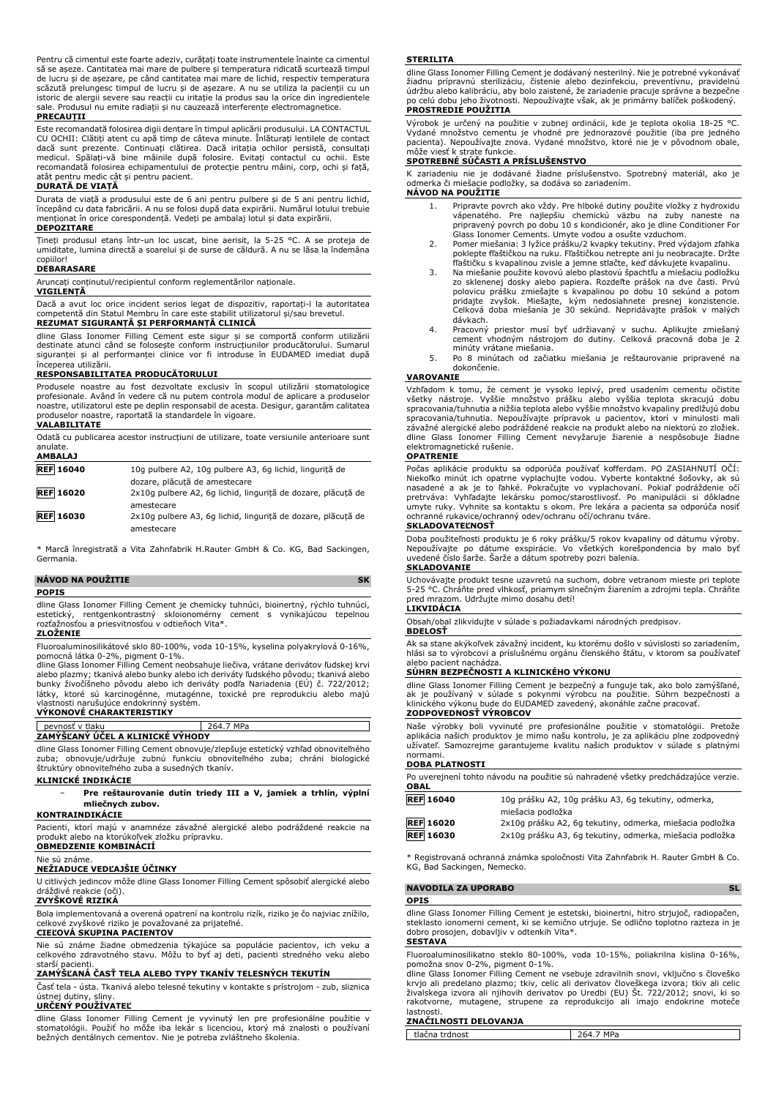Pentru că cimentul este foarte adeziv, curățați toate instrumentele înainte ca cimentul să se așeze. Cantitatea mai mare de pulbere și temperatura ridicată scurtează timpul de lucru și de așezare, pe când cantitatea mai mare de lichid, respectiv temperatura scăzută prelungesc timpul de lucru și de așezare. A nu se utiliza la pacienții cu un istoric de alergii severe sau reacții cu iritație la produs sau la orice din ingredientele sale. Produsul nu emite radiații și nu cauzează interferențe electromagnetice. **PRECAUȚII**

Este recomandată folosirea digii dentare în timpul aplicării produsului. LA CONTACTUL CU OCHII: Clătiți atent cu apă timp de câteva minute. Înlăturați lentilele de contact dacă sunt prezente. Continuați clătirea. Dacă iritația ochilor persistă, consultați medicul. Spălați-vă bine mâinile după folosire. Evitați contactul cu ochii. Este recomandată folosirea echipamentului de protecție pentru mâini, corp, ochi și față, atât pentru medic cât și pentru pacient.

#### **DURATĂ DE VIAȚĂ**

Durata de viață a produsului este de 6 ani pentru pulbere și de 5 ani pentru lichid, începând cu data fabricării. A nu se folosi după data expirării. Numărul lotului trebuie menționat în orice corespondență. Vedeți pe ambalaj lotul și data expirării. **DEPOZITARE**

Țineți produsul etanș într-un loc uscat, bine aerisit, la 5-25 °C. A se proteja de umiditate, lumina directă a soarelui și de surse de căldură. A nu se lăsa la îndemâna

## copiilor! **DEBARASARE**

Aruncați conținutul/recipientul conform reglementărilor naționale.

#### **VIGILENȚĂ**

Dacă a avut loc orice incident serios legat de dispozitiv, raportați-l la autoritatea competentă din Statul Membru în care este stabilit utilizatorul și/sau brevetul. **REZUMAT SIGURANȚĂ ȘI PERFORMANȚĂ CLINICĂ**

dline Glass Ionomer Filling Cement este sigur și se comportă conform utilizării destinate atunci când se folosește conform instrucțiunilor producătorului. Sumarul siguranței și al performanței clinice vor fi introduse în EUDAMED imediat după începerea utilizării.

#### **RESPONSABILITATEA PRODUCĂTORULUI**

Produsele noastre au fost dezvoltate exclusiv în scopul utilizării stomatologice profesionale. Având în vedere că nu putem controla modul de aplicare a produselor noastre, utilizatorul este pe deplin responsabil de acesta. Desigur, garantăm calitatea produselor noastre, raportată la standardele în vigoare.

#### **VALABILITATE**

Odată cu publicarea acestor instrucțiuni de utilizare, toate versiunile anterioare sunt anulate. **AMBALAJ**

| --------         |                                                              |
|------------------|--------------------------------------------------------------|
| <b>REF</b> 16040 | 10g pulbere A2, 10g pulbere A3, 6g lichid, lingurită de      |
|                  | dozare, plăcută de amestecare                                |
| <b>REF 16020</b> | 2x10q pulbere A2, 6q lichid, lingurită de dozare, plăcută de |
|                  | amestecare                                                   |
| <b>REF 16030</b> | 2x10q pulbere A3, 6q lichid, lingurită de dozare, plăcută de |
|                  | amestecare                                                   |

\* Marcă înregistrată a Vita Zahnfabrik H.Rauter GmbH & Co. KG, Bad Sackingen, Germania.

### **NÁVOD NA POUŽITIE SK**

### **POPIS**

dline Glass Ionomer Filling Cement je chemicky tuhnúci, bioinertný, rýchlo tuhnúci, estetický, rentgenkontrastný skloionomérny cement s vynikajúcou tepelnou rozťažnosťou a priesvitnosťou v odtieňoch Vita\*. **ZLOŽENIE**

## Fluoroaluminosilikátové sklo 80-100%, voda 10-15%, kyselina polyakrylová 0-16%,

pomocná látka 0-2%, pigment 0-1%. dline Glass Ionomer Filling Cement neobsahuje liečiva, vrátane derivátov ľudskej krvi alebo plazmy; tkanivá alebo bunky alebo ich deriváty ľudského pôvodu; tkanivá alebo bunky živočíšneho pôvodu alebo ich deriváty podľa Nariadenia (EÚ) č. 722/2012; látky, ktoré sú karcinogénne, mutagénne, toxické pre reprodukciu alebo majú vlastnosti narušujúce endokrinný systém. **VÝKONOVÉ CHARAKTERISTIKY**

## pevnosť v tlaku 264.7 MPa **ZAMÝŠĽANÝ ÚČEL A KLINICKÉ VÝHODY**

dline Glass Ionomer Filling Cement obnovuje/zlepšuje estetický vzhľad obnoviteľného zuba; obnovuje/udržuje zubnú funkciu obnoviteľného zuba; chráni biologické štruktúry obnoviteľného zuba a susedných tkanív.

### **KLINICKÉ INDIKÁCIE**

− **Pre reštaurovanie dutín triedy III a V, jamiek a trhlín, výplní mliečnych zubov.**

#### **KONTRAINDIKÁCIE**

Pacienti, ktorí majú v anamnéze závažné alergické alebo podráždené reakcie na produkt alebo na ktorúkoľvek zložku prípravku. **OBMEDZENIE KOMBINÁCIÍ**

#### Nie sú známe.

**NEŽIADUCE VEDĽAJŠIE ÚČINKY**

U citlivých jedincov môže dline Glass Ionomer Filling Cement spôsobiť alergické alebo dráždivé reakcie (oči).

#### **ZVYŠKOVÉ RIZIKÁ**

Bola implementovaná a overená opatrení na kontrolu rizík, riziko je čo najviac znížilo, celkové zvyškové riziko je považované za prijateľné.

#### **CIEĽOVÁ SKUPINA PACIENTOV**

Nie sú známe žiadne obmedzenia týkajúce sa populácie pacientov, ich veku a celkového zdravotného stavu. Môžu to byť aj deti, pacienti stredného veku alebo starší pacienti.

#### **ZAMÝŠĽANÁ ČASŤ TELA ALEBO TYPY TKANÍV TELESNÝCH TEKUTÍN**

Časť tela - ústa. Tkanivá alebo telesné tekutiny v kontakte s prístrojom - zub, sliznica ústnej dutiny, sliny.

### **URČENÝ POUŽÍVATEĽ**

dline Glass Ionomer Filling Cement je vyvinutý len pre profesionálne použitie v stomatológii. Použiť ho môže iba lekár s licenciou, ktorý má znalosti o používaní bežných dentálnych cementov. Nie je potreba zvláštneho školenia.

#### **STERILITA**

dline Glass Ionomer Filling Cement je dodávaný nesterilný. Nie je potrebné vykonávať žiadnu prípravnú sterilizáciu, čistenie alebo dezinfekciu, preventívnu, pravidelnú údržbu alebo kalibráciu, aby bolo zaistené, že zariadenie pracuje správne a bezpečne po celú dobu jeho životnosti. Nepoužívajte však, ak je primárny balíček poškodený. **PROSTREDIE POUŽITIA**

## Výrobok je určený na použitie v zubnej ordinácii, kde je teplota okolia 18-25 °C. Vydané množstvo cementu je vhodné pre jednorazové použitie (iba pre jedného pacienta). Nepoužívajte znova. Vydané množstvo, ktoré nie je v pôvodnom obale, môže viesť k strate funkcie.

#### **SPOTREBNÉ SÚČASTI A PRÍSLUŠENSTVO**

K zariadeniu nie je dodávané žiadne príslušenstvo. Spotrebný materiál, ako je odmerka či miešacie podložky, sa dodáva so zariadením. **NÁVOD NA POUŽITIE**

- 1. Pripravte povrch ako vždy. Pre hlboké dutiny použite vložky z hydroxidu vápenatého. Pre najlepšiu chemickú väzbu na zuby naneste na pripravený povrch po dobu 10 s kondicionér, ako je dline Conditioner For
- Glass Ionomer Cements. Umyte vodou a osušte vzduchom. 2. Pomer miešania: 3 lyžice prášku/2 kvapky tekutiny. Pred výdajom zľahka poklepte fľaštičkou na ruku. Fľaštičkou netrepte ani ju neobracajte. Držte fľaštičku s kvapalinou zvisle a jemne stlačte, keď dávkujete kvapalinu.
- 3. Na miešanie použite kovovú alebo plastovú špachtľu a miešaciu podložku zo sklenenej dosky alebo papiera. Rozdeľte prášok na dve časti. Prvú polovicu prášku zmiešajte s kvapalinou po dobu 10 sekúnd a potom pridajte zvyšok. Miešajte, kým nedosiahnete presnej konzistencie. Celková doba miešania je 30 sekúnd. Nepridávajte prášok v malých dávkach.
- 4. Pracovný priestor musí byť udržiavaný v suchu. Aplikujte zmiešaný cement vhodným nástrojom do dutiny. Celková pracovná doba je 2 minúty vrátane miešania.
- 5. Po 8 minútach od začiatku miešania je reštaurovanie pripravené na dokončenie.

#### **VAROVANIE**

Vzhľadom k tomu, že cement je vysoko lepivý, pred usadením cementu očistite všetky nástroje. Vyššie množstvo prášku alebo vyššia teplota skracujú dobu spracovania/tuhnutia a nižšia teplota alebo vyššie množstvo kvapaliny predlžujú dobu spracovania/tuhnutia. Nepoužívajte prípravok u pacientov, ktorí v minulosti mali závažné alergické alebo podráždené reakcie na produkt alebo na niektorú zo zložiek. dline Glass Ionomer Filling Cement nevyžaruje žiarenie a nespôsobuje žiadne elektromagnetické rušenie.

#### **OPATRENIE**

Počas aplikácie produktu sa odporúča používať kofferdam. PO ZASIAHNUTÍ OČÍ: Niekoľko minút ich opatrne vyplachujte vodou. Vyberte kontaktné šošovky, ak sú<br>nasadené a ak je to ľahké. Pokračujte vo vyplachovaní. Pokiaľ podráždenie očí<br>pretrváva: Vyhľadajte lekársku pomoc/starostlivosť. Po manipuláci umyte ruky. Vyhnite sa kontaktu s okom. Pre lekára a pacienta sa odporúča nosiť ochranné rukavice/ochranný odev/ochranu očí/ochranu tváre.

#### **SKLADOVATEĽNOSŤ**

Doba použiteľnosti produktu je 6 roky prášku/5 rokov kvapaliny od dátumu výroby. Nepoužívajte po dátume exspirácie. Vo všetkých korešpondencia by malo byť uvedené číslo šarže. Šarže a dátum spotreby pozri balenia. **SKLADOVANIE**

Uchovávajte produkt tesne uzavretú na suchom, dobre vetranom mieste pri teplote 5-25 °C. Chráňte pred vlhkosť, priamym slnečným žiarením a zdrojmi tepla. Chráňte pred mrazom. Udržujte mimo dosahu detí!

#### **LIKVIDÁCIA**

Obsah/obal zlikvidujte v súlade s požiadavkami národných predpisov. **BDELOSŤ**

Ak sa stane akýkoľvek závažný incident, ku ktorému došlo v súvislosti so zariadením, hlási sa to výrobcovi a príslušnému orgánu členského štátu, v ktorom sa používateľ alebo pacient nachádza.

#### **SÚHRN BEZPEČNOSTI A KLINICKÉHO VÝKONU**

dline Glass Ionomer Filling Cement je bezpečný a funguje tak, ako bolo zamýšľané,<br>ak je používaný v súlade s pokynmi výrobcu na použitie. Súhrn bezpečnosti a<br>klinického výkonu bude do EUDAMED zavedený, akonáhle začne praco **ZODPOVEDNOSŤ VÝROBCOV**

Naše výrobky boli vyvinuté pre profesionálne použitie v stomatológii. Pretože aplikácia našich produktov je mimo našu kontrolu, je za aplikáciu plne zodpovedný užívateľ. Samozrejme garantujeme kvalitu našich produktov v súlade s platnými normami.

#### **DOBA PLATNOSTI**

| Po uverejnení tohto návodu na použitie sú nahradené všetky predchádzajúce verzie.<br><b>OBAL</b> |                                                          |  |  |  |
|--------------------------------------------------------------------------------------------------|----------------------------------------------------------|--|--|--|
| <b>REF</b> 16040                                                                                 | 10g prášku A2, 10g prášku A3, 6g tekutiny, odmerka,      |  |  |  |
|                                                                                                  | miešacia podložka                                        |  |  |  |
| <b>REF</b> 16020                                                                                 | 2x10g prášku A2, 6g tekutiny, odmerka, miešacia podložka |  |  |  |

**REF 16030** 2x10g prášku A3, 6g tekutiny, odmerka, miešacia podložka

\* Registrovaná ochranná známka spoločnosti Vita Zahnfabrik H. Rauter GmbH & Co. KG, Bad Sackingen, Nemecko.

#### **NAVODILA ZA UPORABO SL**

#### **OPIS**

dline Glass Ionomer Filling Cement je estetski, bioinertni, hitro strjujoč, radiopačen, steklasto ionomerni cement, ki se kemično utrjuje. Se odlično toplotno razteza in je dobro prosojen, dobavljiv v odtenkih Vita\*.

#### **SESTAVA**

Fluoroaluminosilikatno steklo 80-100%, voda 10-15%, poliakrilna kislina 0-16%, pomožna snov 0-2%, pigment 0-1%.

dline Glass Ionomer Filling Cement ne vsebuje zdravilnih snovi, vključno s človeško krvjo ali predelano plazmo; tkiv, celic ali derivatov človeškega izvora; tkiv ali celic živalskega izvora ali njihovih derivatov po Uredbi (EU) Št. 722/2012; snovi, ki so rakotvorne, mutagene, strupene za reprodukcijo ali imajo endokrine moteče lastnosti.

### **ZNAČILNOSTI DELOVANJA**

tlačna trdnost 264.7 MPa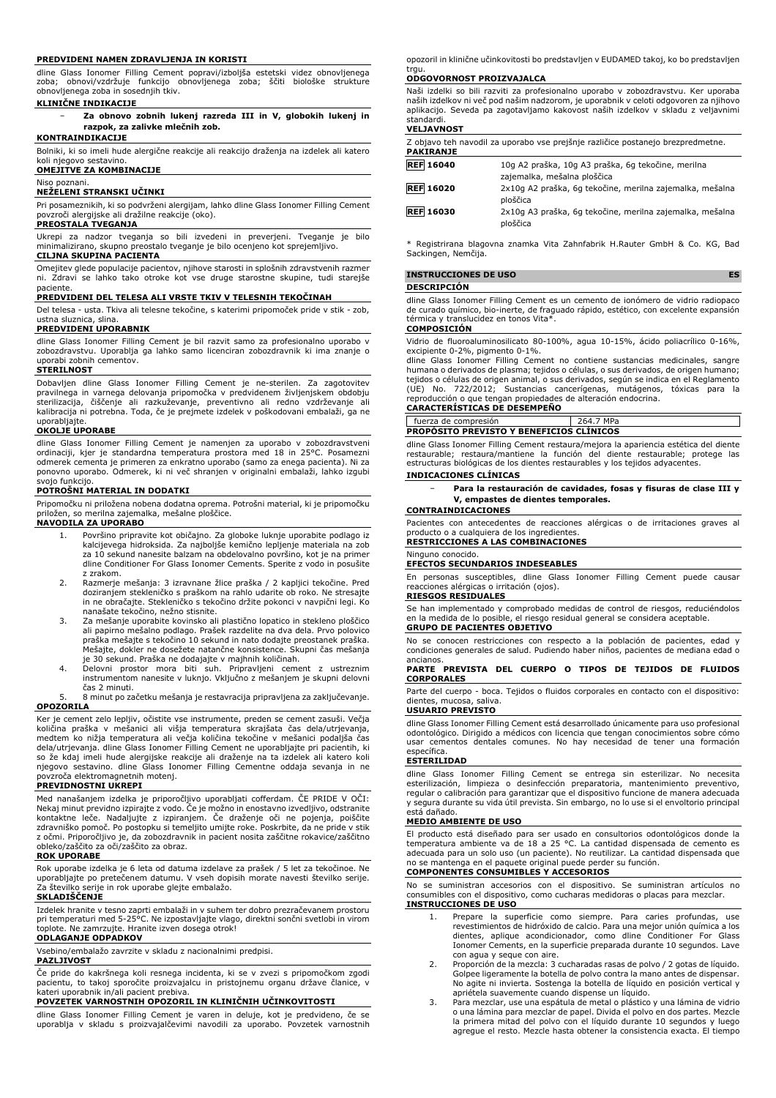#### **PREDVIDENI NAMEN ZDRAVLJENJA IN KORISTI**

dline Glass Ionomer Filling Cement popravi/izboljša estetski videz obnovljenega zoba; obnovi/vzdržuje funkcijo obnovljenega zoba; ščiti biološke strukture obnovljenega zoba in sosednjih tkiv.

#### **KLINIČNE INDIKACIJE**

− **Za obnovo zobnih lukenj razreda III in V, globokih lukenj in razpok, za zalivke mlečnih zob.**

#### **KONTRAINDIKACIJE**

Bolniki, ki so imeli hude alergične reakcije ali reakcijo draženja na izdelek ali katero koli njegovo sestavino.

#### **OMEJITVE ZA KOMBINACIJE**

Niso poznani.

#### **NEŽELENI STRANSKI UČINKI**

Pri posameznikih, ki so podvrženi alergijam, lahko dline Glass Ionomer Filling Cement povzroči alergijske ali dražilne reakcije (oko). **PREOSTALA TVEGANJA**

#### Ukrepi za nadzor tveganja so bili izvedeni in preverjeni. Tveganje je bilo minimalizirano, skupno preostalo tveganje je bilo ocenjeno kot sprejemljivo.

#### **CILJNA SKUPINA PACIENTA**

Omejitev glede populacije pacientov, njihove starosti in splošnih zdravstvenih razmer ni. Zdravi se lahko tako otroke kot vse druge starostne skupine, tudi starejše

## paciente. **PREDVIDENI DEL TELESA ALI VRSTE TKIV V TELESNIH TEKOČINAH**

Del telesa - usta. Tkiva ali telesne tekočine, s katerimi pripomoček pride v stik - zob, ustna sluznica, slina.

### **PREDVIDENI UPORABNIK**

dline Glass Ionomer Filling Cement je bil razvit samo za profesionalno uporabo v zobozdravstvu. Uporablja ga lahko samo licenciran zobozdravnik ki ima znanje o uporabi zobnih cementov.

#### **STERILNOST**

Dobavljen dline Glass Ionomer Filling Cement je ne-sterilen. Za zagotovitev pravilnega in varnega delovanja pripomočka v predvidenem življenjskem obdobju sterilizacija, čiščenje ali razkuževanje, preventivno ali redno vzdrževanje ali kalibracija ni potrebna. Toda, če je prejmete izdelek v poškodovani embalaži, ga ne uporabljajte.

#### **OKOLJE UPORABE**

dline Glass Ionomer Filling Cement je namenjen za uporabo v zobozdravstveni ordinaciji, kjer je standardna temperatura prostora med 18 in 25°C. Posamezni odmerek cementa je primeren za enkratno uporabo (samo za enega pacienta). Ni za ponovno uporabo. Odmerek, ki ni več shranjen v originalni embalaži, lahko izgubi svojo funkcijo.

#### **POTROŠNI MATERIAL IN DODATKI**

Pripomočku ni priložena nobena dodatna oprema. Potrošni material, ki je pripomočku priložen, so merilna zajemalka, mešalne ploščice.

#### **NAVODILA ZA UPORABO**

- 1. Površino pripravite kot običajno. Za globoke luknje uporabite podlago iz kalcijevega hidroksida. Za najboljše kemično lepljenje materiala na zob za 10 sekund nanesite balzam na obdelovalno površino, kot je na primer dline Conditioner For Glass Ionomer Cements. Sperite z vodo in posušite z zrakom.
- 2. Razmerje mešanja: 3 izravnane žlice praška / 2 kapljici tekočine. Pred doziranjem stekleničko s praškom na rahlo udarite ob roko. Ne stresajte in ne obračajte. Stekleničko s tekočino držite pokonci v navpični legi. Ko nanašate tekočino, nežno stisnite.
- 3. Za mešanje uporabite kovinsko ali plastično lopatico in stekleno ploščico ali papirno mešalno podlago. Prašek razdelite na dva dela. Prvo polovico praška mešajte s tekočino 10 sekund in nato dodajte preostanek praška. Mešajte, dokler ne dosežete natančne konsistence. Skupni čas mešanja je 30 sekund. Praška ne dodajajte v majhnih količinah.
- 4. Delovni prostor mora biti suh. Pripravljeni cement z ustreznim instrumentom nanesite v luknjo. Vključno z mešanjem je skupni delovni čas 2 minuti.

5. 8 minut po začetku mešanja je restavracija pripravljena za zaključevanje. **OPOZORILA**

Ker je cement zelo lepljiv, očistite vse instrumente, preden se cement zasuši. Večja količina praška v mešanici ali višja temperatura skrajšata čas dela/utrjevanja, medtem ko nižja temperatura ali večja količina tekočine v mešanici podaljša čas dela/utrjevanja. dline Glass Ionomer Filling Cement ne uporabljajte pri pacientih, ki<br>so že kdaj imeli hude alergijske reakcije ali draženje na ta izdelek ali katero koli<br>njegovo sestavino. dline Glass Ionomer Filling Ceme povzroča elektromagnetnih motenj.

#### **PREVIDNOSTNI UKREPI**

Med nanašanjem izdelka je priporočljivo uporabljati cofferdam. ČE PRIDE V OČI: Nekaj minut previdno izpirajte z vodo. Če je možno in enostavno izvedljivo, odstranite kontaktne leče. Nadaljujte z izpiranjem. Če draženje oči ne pojenja, poiščite zdravniško pomoč. Po postopku si temeljito umijte roke. Poskrbite, da ne pride v stik z očmi. Priporočljivo je, da zobozdravnik in pacient nosita zaščitne rokavice/zaščitno obleko/zaščito za oči/zaščito za obraz.

#### **ROK UPORABE**

Rok uporabe izdelka je 6 leta od datuma izdelave za prašek / 5 let za tekočinoe. Ne uporabljajte po pretečenem datumu. V vseh dopisih morate navesti številko serije. Za številko serije in rok uporabe glejte embalažo.

#### **SKLADIŠČENJE**

Izdelek hranite v tesno zaprti embalaži in v suhem ter dobro prezračevanem prostoru pri temperaturi med 5-25°C. Ne izpostavljajte vlago, direktni sončni svetlobi in virom toplote. Ne zamrzujte. Hranite izven dosega otrok!

#### **ODLAGANJE ODPADKOV**

Vsebino/embalažo zavrzite v skladu z nacionalnimi predpisi.

#### **PAZLJIVOST**

Če pride do kakršnega koli resnega incidenta, ki se v zvezi s pripomočkom zgodi pacientu, to takoj sporočite proizvajalcu in pristojnemu organu države članice, v kateri uporabnik in/ali pacient prebiva.

#### **POVZETEK VARNOSTNIH OPOZORIL IN KLINIČNIH UČINKOVITOSTI**

dline Glass Ionomer Filling Cement je varen in deluje, kot je predvideno, če se uporablja v skladu s proizvajalčevimi navodili za uporabo. Povzetek varnostnih opozoril in klinične učinkovitosti bo predstavljen v EUDAMED takoj, ko bo predstavljen trau.

#### **ODGOVORNOST PROIZVAJALCA**

Naši izdelki so bili razviti za profesionalno uporabo v zobozdravstvu. Ker uporaba naših izdelkov ni več pod našim nadzorom, je uporabnik v celoti odgovoren za njihovo aplikacijo. Seveda pa zagotavljamo kakovost naših izdelkov v skladu z veljavnimi standardi.

#### **VELJAVNOST**

|                  | Z objavo teh navodil za uporabo vse prejšnje različice postanejo brezpredmetne.   |
|------------------|-----------------------------------------------------------------------------------|
| <b>PAKIRANJE</b> |                                                                                   |
| <b>REF</b> 16040 | 10g A2 praška, 10g A3 praška, 6g tekočine, merilna<br>zajemalka, mešalna ploščica |
| <b>REF 16020</b> | 2x10g A2 praška, 6g tekočine, merilna zajemalka, mešalna                          |
|                  | ploščica                                                                          |
| <b>REF 16030</b> | 2x10g A3 praška, 6g tekočine, merilna zajemalka, mešalna<br>ploščica              |

\* Registrirana blagovna znamka Vita Zahnfabrik H.Rauter GmbH & Co. KG, Bad Sackingen, Nemčija.

| <b>INSTRUCCIONES DE USO</b>                                                     |  |
|---------------------------------------------------------------------------------|--|
| <b>DESCRIPCIÓN</b>                                                              |  |
| dina Class Isnamos Filipe Coment es un comente de ionómese de vidulo sadionase. |  |

dline Glass Ionomer Filling Cement es un cemento de ionómero de vidrio radiopaco de curado químico, bio-inerte, de fraguado rápido, estético, con excelente expansión térmica y translucidez en tonos Vita\*.

#### **COMPOSICIÓN**

Vidrio de fluoroaluminosilicato 80-100%, agua 10-15%, ácido poliacrílico 0-16%, excipiente 0-2%, pigmento 0-1%.

dline Glass Ionomer Filling Cement no contiene sustancias medicinales, sangre humana o derivados de plasma; tejidos o células, o sus derivados, de origen humano; tejidos o células de origen animal, o sus derivados, según se indica en el Reglamento (UE) No. 722/2012; Sustancias cancerígenas, mutágenos, tóxicas para la reproducción o que tengan propiedades de alteración endocrina. **CARACTERÍSTICAS DE DESEMPEÑO**

fuerza de compresión 264.7 MPa **PROPÓSITO PREVISTO Y BENEFICIOS CLÍNICOS**

dline Glass Ionomer Filling Cement restaura/mejora la apariencia estética del diente restaurable; restaura/mantiene la función del diente restaurable; protege las estructuras biológicas de los dientes restaurables y los tejidos adyacentes.

#### **INDICACIONES CLÍNICAS**

− **Para la restauración de cavidades, fosas y fisuras de clase III y V, empastes de dientes temporales.**

#### **CONTRAINDICACIONES**

Pacientes con antecedentes de reacciones alérgicas o de irritaciones graves al producto o a cualquiera de los ingredientes. **RESTRICCIONES A LAS COMBINACIONES**

### Ninguno conocido.

**EFECTOS SECUNDARIOS INDESEABLES**

En personas susceptibles, dline Glass Ionomer Filling Cement puede causar reacciones alérgicas o irritación (ojos).

#### **RIESGOS RESIDUALES**

Se han implementado y comprobado medidas de control de riesgos, reduciéndolos en la medida de lo posible, el riesgo residual general se considera aceptable. **GRUPO DE PACIENTES OBJETIVO**

No se conocen restricciones con respecto a la población de pacientes, edad y condiciones generales de salud. Pudiendo haber niños, pacientes de mediana edad o ancianos.

#### **PARTE PREVISTA DEL CUERPO O TIPOS DE TEJIDOS DE FLUIDOS CORPORALES**

Parte del cuerpo - boca. Tejidos o fluidos corporales en contacto con el dispositivo: dientes, mucosa, saliva.

#### **USUARIO PREVISTO**

dline Glass Ionomer Filling Cement está desarrollado únicamente para uso profesional odontológico. Dirigido a médicos con licencia que tengan conocimientos sobre cómo usar cementos dentales comunes. No hay necesidad de tener una formación específica.

#### **ESTERILIDAD**

dline Glass Ionomer Filling Cement se entrega sin esterilizar. No necesita esterilización, limpieza o desinfección preparatoria, mantenimiento preventivo, regular o calibración para garantizar que el dispositivo funcione de manera adecuada y segura durante su vida útil prevista. Sin embargo, no lo use si el envoltorio principal

## está dañado. **MEDIO AMBIENTE DE USO**

El producto está diseñado para ser usado en consultorios odontológicos donde la temperatura ambiente va de 18 a 25 °C. La cantidad dispensada de cemento es adecuada para un solo uso (un paciente). No reutilizar. La cantidad dispensada que no se mantenga en el paquete original puede perder su función.

#### **COMPONENTES CONSUMIBLES Y ACCESORIOS**

No se suministran accesorios con el dispositivo. Se suministran artículos no consumibles con el dispositivo, como cucharas medidoras o placas para mezclar. **INSTRUCCIONES DE USO**

- 1. Prepare la superficie como siempre. Para caries profundas, use revestimientos de hidróxido de calcio. Para una mejor unión química a los dientes, aplique acondicionador, como dline Conditioner For Glass Ionomer Cements, en la superficie preparada durante 10 segundos. Lave con agua y seque con aire.
- 2. Proporción de la mezcla: 3 cucharadas rasas de polvo / 2 gotas de líquido. Golpee ligeramente la botella de polvo contra la mano antes de dispensar. No agite ni invierta. Sostenga la botella de líquido en posición vertical y apriétela suavemente cuando dispense un líquido.
- 3. Para mezclar, use una espátula de metal o plástico y una lámina de vidrio o una lámina para mezclar de papel. Divida el polvo en dos partes. Mezcle la primera mitad del polvo con el líquido durante 10 segundos y luego agregue el resto. Mezcle hasta obtener la consistencia exacta. El tiempo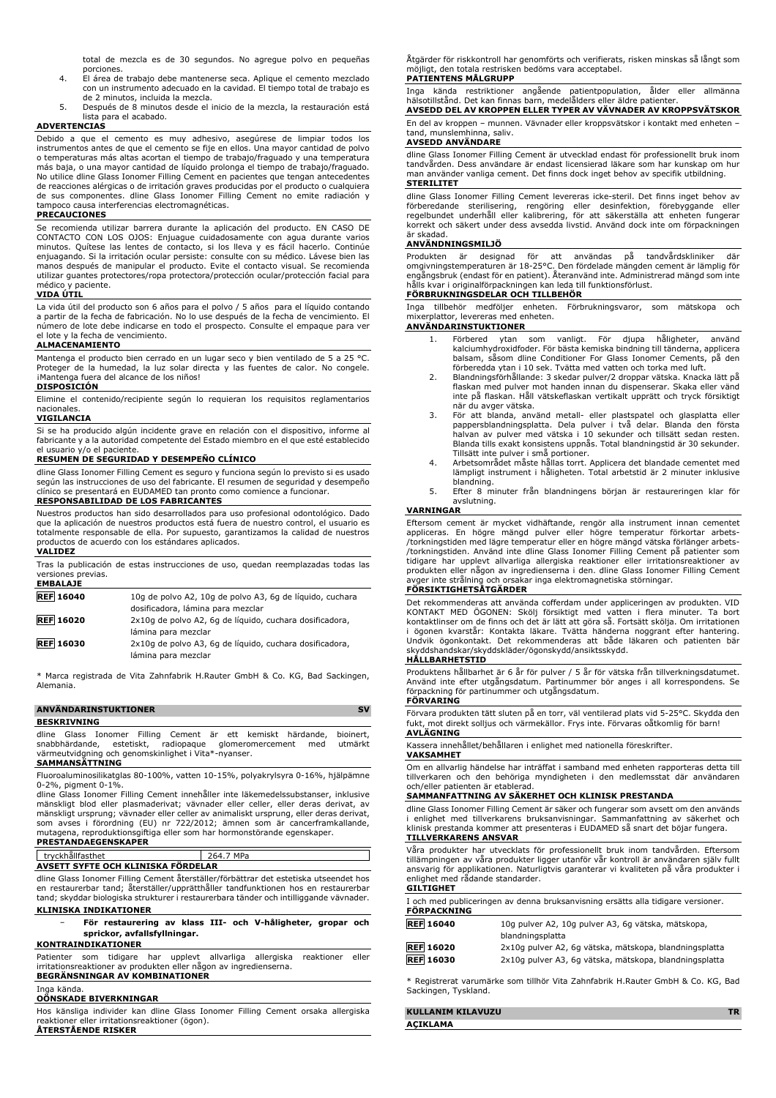total de mezcla es de 30 segundos. No agregue polvo en pequeñas

- porciones. 4. El área de trabajo debe mantenerse seca. Aplique el cemento mezclado con un instrumento adecuado en la cavidad. El tiempo total de trabajo es de 2 minutos, incluida la mezcla.
- 5. Después de 8 minutos desde el inicio de la mezcla, la restauración está .<br>i para el acabado.

#### **ADVERTENCIAS**

Debido a que el cemento es muy adhesivo, asegúrese de limpiar todos los instrumentos antes de que el cemento se fije en ellos. Una mayor cantidad de polvo o temperaturas más altas acortan el tiempo de trabajo/fraguado y una temperatura más baja, o una mayor cantidad de líquido prolonga el tiempo de trabajo/fraguado. No utilice dline Glass Ionomer Filling Cement en pacientes que tengan antecedentes de reacciones alérgicas o de irritación graves producidas por el producto o cualquiera de sus componentes. dline Glass Ionomer Filling Cement no emite radiación y tampoco causa interferencias electromagnéticas.

#### **PRECAUCIONES**

Se recomienda utilizar barrera durante la aplicación del producto. EN CASO DE CONTACTO CON LOS OJOS: Enjuague cuidadosamente con agua durante varios minutos. Quítese las lentes de contacto, si los lleva y es fácil hacerlo. Continúe enjuagando. Si la irritación ocular persiste: consulte con su médico. Lávese bien las manos después de manipular el producto. Evite el contacto visual. Se recomienda utilizar guantes protectores/ropa protectora/protección ocular/protección facial para<br>médico y paciente paciente.

#### **VIDA ÚTIL**

La vida útil del producto son 6 años para el polvo / 5 años para el líquido contando a partir de la fecha de fabricación. No lo use después de la fecha de vencimiento. El número de lote debe indicarse en todo el prospecto. Consulte el empaque para ver el lote y la fecha de vencimiento.

#### **ALMACENAMIENTO**

Mantenga el producto bien cerrado en un lugar seco y bien ventilado de 5 a 25 °C. Proteger de la humedad, la luz solar directa y las fuentes de calor. No congele. ¡Mantenga fuera del alcance de los niños!

#### **DISPOSICIÓN**

Elimine el contenido/recipiente según lo requieran los requisitos reglamentarios nacionales.

#### **VIGILANCIA**

Si se ha producido algún incidente grave en relación con el dispositivo, informe al fabricante y a la autoridad competente del Estado miembro en el que esté establecido el usuario y/o el paciente.

#### **RESUMEN DE SEGURIDAD Y DESEMPEÑO CLÍNICO**

dline Glass Ionomer Filling Cement es seguro y funciona según lo previsto si es usado según las instrucciones de uso del fabricante. El resumen de seguridad y desempeño clínico se presentará en EUDAMED tan pronto como comience a funcionar.

### **RESPONSABILIDAD DE LOS FABRICANTES**

Nuestros productos han sido desarrollados para uso profesional odontológico. Dado que la aplicación de nuestros productos está fuera de nuestro control, el usuario es totalmente responsable de ella. Por supuesto, garantizamos la calidad de nuestros productos de acuerdo con los estándares aplicados. **VALIDEZ**

#### Tras la publicación de estas instrucciones de uso, quedan reemplazadas todas las versiones previas. **EMBALAJE REF 16040** 10g de polvo A2, 10g de polvo A3, 6g de líquido, cuchara dosificadora, lámina para mezclar **REF 16020** 2x10g de polvo A2, 6g de líquido, cuchara dosificadora, lámina para mezclar **REF 16030** 2x10g de polvo A3, 6g de líquido, cuchara dosificadora,

\* Marca registrada de Vita Zahnfabrik H.Rauter GmbH & Co. KG, Bad Sackingen, Alemania.

lámina para mezclar

### **ANVÄNDARINSTUKTIONER** SV **BESKRIVNING**

dline Glass Ionomer Filling Cement är ett kemiskt härdande, bioinert,<br>snabbhärdande, estetiskt, radiopague glomeromercement med utmärkt snabbhärdande, estetiskt, radiopaque glomeromercement med utmärkt<br>värmeutvidgning och genomskinlighet i Vita\*-nyanser.<br>**SAMMANSÄTTNING** 

Fluoroaluminosilikatglas 80-100%, vatten 10-15%, polyakrylsyra 0-16%, hjälpämne 0-2%, pigment 0-1%.

dline Glass Ionomer Filling Cement innehåller inte läkemedelssubstanser, inklusive mänskligt blod eller plasmaderivat; vävnader eller celler, eller deras derivat, av mänskligt ursprung; vävnader eller celler av animaliskt ursprung, eller deras derivat, som avses i förordning (EU) nr 722/2012; ämnen som är cancerframkallande, mutagena, reproduktionsgiftiga eller som har hormonstörande egenskaper. **PRESTANDAEGENSKAPER**

tryckhållfasthet 264.7 MPa **AVSETT SYFTE OCH KLINISKA FÖRDELAR**

#### dline Glass Ionomer Filling Cement återställer/förbättrar det estetiska utseendet hos

en restaurerbar tand; återställer/upprätthåller tandfunktionen hos en restaurerbar tand; skyddar biologiska strukturer i restaurerbara tänder och intilliggande vävnader.

#### **KLINISKA INDIKATIONER**

− **För restaurering av klass III- och V-håligheter, gropar och sprickor, avfallsfyllningar.**

### **KONTRAINDIKATIONER**

Patienter som tidigare har upplevt allvarliga allergiska reaktioner eller irritationsreaktioner av produkten eller någon av ingredienserna. **BEGRÄNSNINGAR AV KOMBINATIONER**

#### Inga kända.

### **OÖNSKADE BIVERKNINGAR**

Hos känsliga individer kan dline Glass Ionomer Filling Cement orsaka allergiska reaktioner eller irritationsreaktioner (ögon). **ÅTERSTÅENDE RISKER**

Åtgärder för riskkontroll har genomförts och verifierats, risken minskas så långt som möjligt, den totala restrisken bedöms vara acceptabel. **PATIENTENS MÅLGRUPP**

## Inga kända restriktioner angående patientpopulation, ålder eller allmänna hälsotillstånd. Det kan finnas barn, medelålders eller äldre patienter.

**AVSEDD DEL AV KROPPEN ELLER TYPER AV VÄVNADER AV KROPPSVÄTSKOR** En del av kroppen – munnen. Vävnader eller kroppsvätskor i kontakt med enheten – tand, munslemhinna, saliv.

#### **AVSEDD ANVÄNDARE**

dline Glass Ionomer Filling Cement är utvecklad endast för professionellt bruk inom tandvården. Dess användare är endast licensierad läkare som har kunskap om hur man använder vanliga cement. Det finns dock inget behov av specifik utbildning. **STERILITET**

#### dline Glass Ionomer Filling Cement levereras icke-steril. Det finns inget behov av förberedande sterilisering, rengöring eller desinfektion, förebyggande eller regelbundet underhåll eller kalibrering, för att säkerställa att enheten fungerar korrekt och säkert under dess avsedda livstid. Använd dock inte om förpackningen är skadad.

#### **ANVÄNDNINGSMILJÖ**

Produkten är designad för att användas på tandvärdskliniker där<br>omgivningstemperaturen är 18-25°C. Den fördelade-mängden-cement-är-lämplig-för<br>engångsbruk-(endast-för-en-patient). Återanvänd-inte. Administrerad-mängd-som-i

Inga tillbehör medföljer enheten. Förbrukningsvaror, som mätskopa och mixerplattor, levereras med enheten.

#### **ANVÄNDARINSTUKTIONER**

- 1. Förbered ytan som vanligt. För djupa håligheter, använd kalciumhydroxidfoder. För bästa kemiska bindning till tänderna, applicera balsam, såsom dline Conditioner For Glass Ionomer Cements, på den förberedda ytan i 10 sek. Tvätta med vatten och torka med luft.
- 2. Blandningsförhållande: 3 skedar pulver/2 droppar vätska. Knacka lätt på flaskan med pulver mot handen innan du dispenserar. Skaka eller vänd inte på flaskan. Håll vätskeflaskan vertikalt upprätt och tryck försiktigt när du avger vätska.
- 3. För att blanda, använd metall- eller plastspatel och glasplatta eller pappersblandningsplatta. Dela pulver i två delar. Blanda den första halvan av pulver med vätska i 10 sekunder och tillsätt sedan resten. Blanda tills exakt konsistens uppnås. Total blandningstid är 30 sekunder.
- Tillsätt inte pulver i små portioner. 4. Arbetsområdet måste hållas torrt. Applicera det blandade cementet med lämpligt instrument i håligheten. Total arbetstid är 2 minuter inklusive blandning.
- 5. Efter 8 minuter från blandningens början är restaureringen klar för avslutning.

#### **VARNINGAR**

Eftersom cement är mycket vidhäftande, rengör alla instrument innan cementet appliceras. En högre mängd pulver eller högre temperatur förkortar arbets- /torkningstiden med lägre temperatur eller en högre mängd vätska förlänger arbets- /torkningstiden. Använd inte dline Glass Ionomer Filling Cement på patienter som tidigare har upplevt allvarliga allergiska reaktioner eller irritationsreaktioner av produkten eller någon av ingredienserna i den. dline Glass Ionomer Filling Cement<br>avger inte strålning och orsakar inga elektromagnetiska störningar.<br>**FÖRSIKTIGHETSÅTGÄRDER** 

Det rekommenderas att använda cofferdam under appliceringen av produkten. VID KONTAKT MED ÖGONEN: Skölj försiktigt med vatten i flera minuter. Ta bort kontaktlinser om de finns och det är lätt att göra så. Fortsätt skölja. Om irritationen i ögonen kvarstår: Kontakta läkare. Tvätta händerna noggrant efter hantering. Undvik ögonkontakt. Det rekommenderas att både läkaren och patienten bär skyddshandskar/skyddskläder/ögonskydd/ansiktsskydd.

#### **HÅLLBARHETSTID**

Produktens hållbarhet är 6 år för pulver / 5 år för vätska från tillverkningsdatumet. Använd inte efter utgångsdatum. Partinummer bör anges i all korrespondens. Se förpackning för partinummer och utgångsdatum.

### **FÖRVARING**

Förvara produkten tätt sluten på en torr, väl ventilerad plats vid 5-25°C. Skydda den fukt, mot direkt solljus och värmekällor. Frys inte. Förvaras oåtkomlig för barn! **AVLÄGNING**

#### Kassera innehållet/behållaren i enlighet med nationella föreskrifter.

#### **VAKSAMHET**

Om en allvarlig händelse har inträffat i samband med enheten rapporteras detta till tillverkaren och den behöriga myndigheten i den medlemsstat där användaren och/eller patienten är etablerad.

## **SAMMANFATTNING AV SÄKERHET OCH KLINISK PRESTANDA**

dline Glass Ionomer Filling Cement är säker och fungerar som avsett om den används i enlighet med tillverkarens bruksanvisningar. Sammanfattning av säkerhet och klinisk prestanda kommer att presenteras i EUDAMED så snart det böjar fungera. **TILLVERKARENS ANSVAR**

Våra produkter har utvecklats för professionellt bruk inom tandvården. Eftersom tillämpningen av våra produkter ligger utanför vår kontroll är användaren själv fullt ansvarig för applikationen. Naturligtvis garanterar vi kvaliteten på våra produkter i enlighet med rådande standarder.

#### **GILTIGHET**

| I och med publiceringen av denna bruksanvisning ersätts alla tidigare versioner.<br><b>FÖRPACKNING</b> |  |
|--------------------------------------------------------------------------------------------------------|--|
| 10g pulver A2, 10g pulver A3, 6g vätska, mätskopa,<br>blandningsplatta                                 |  |
| 2x10g pulver A2, 6g vätska, mätskopa, blandningsplatta                                                 |  |
|                                                                                                        |  |

**REF 16030** 2x10g pulver A3, 6g vätska, mätskopa, blandningsplatta

\* Registrerat varumärke som tillhör Vita Zahnfabrik H.Rauter GmbH & Co. KG, Bad Sackingen, Tyskland.

| KULLANIM KILAVUZU |  |
|-------------------|--|
| ACIKLAMA          |  |
|                   |  |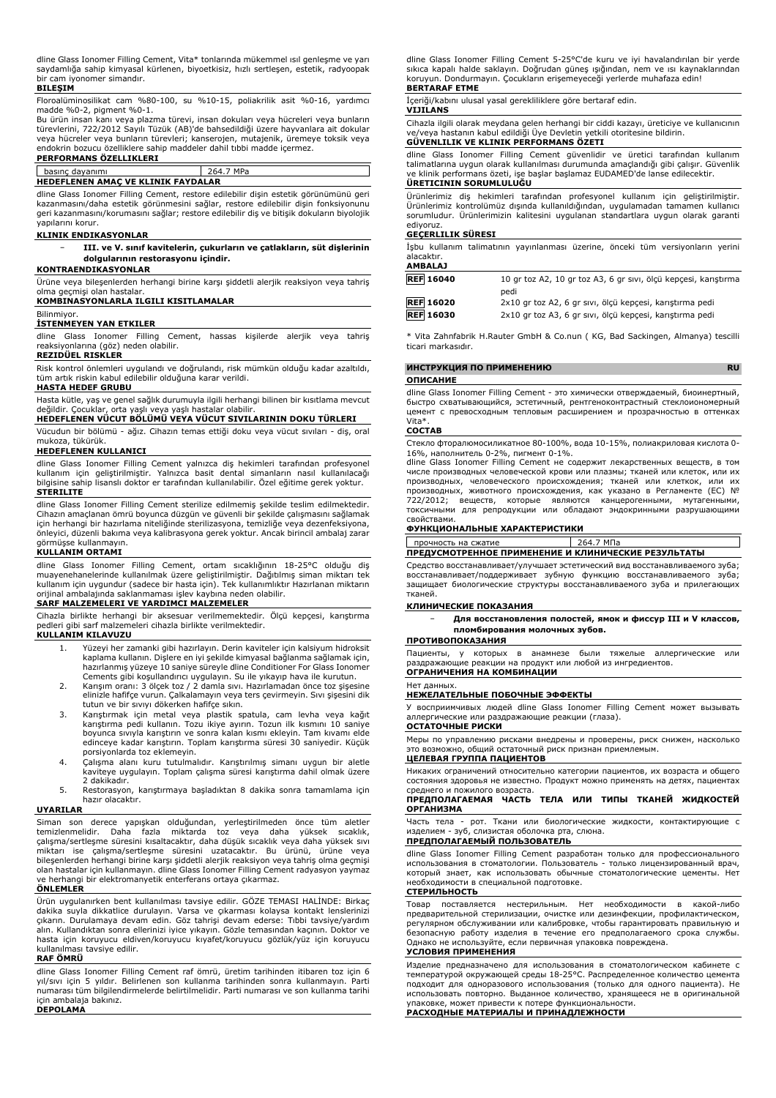dline Glass Ionomer Filling Cement, Vita\* tonlarında mükemmel ısıl genleşme ve yarı saydamlığa sahip kimyasal kürlenen, biyoetkisiz, hızlı sertleşen, estetik, radyoopak bir cam iyonomer simandır.

#### **BILEŞIM**

Floroalüminosilikat cam %80-100, su %10-15, poliakrilik asit %0-16, yardımcı madde %0-2, pigment %0-1.

Bu ürün insan kanı veya plazma türevi, insan dokuları veya hücreleri veya bunların türevlerini, 722/2012 Sayılı Tüzük (AB)'de bahsedildiği üzere hayvanlara ait dokular veya hücreler veya bunların türevleri; kanserojen, mutajenik, üremeye toksik veya endokrin bozucu özelliklere sahip maddeler dahil tıbbi madde içermez.

#### **PERFORMANS ÖZELLIKLERI** basınç dayanımı 264.7 MPa

#### **HEDEFLENEN AMAÇ VE KLINIK FAYDALAR**

dline Glass Ionomer Filling Cement, restore edilebilir dişin estetik görünümünü geri kazanmasını/daha estetik görünmesini sağlar, restore edilebilir dişin fonksiyonunu geri kazanmasını/korumasını sağlar; restore edilebilir diş ve bitişik dokuların biyolojik yapılarını korur.

#### **KLINIK ENDIKASYONLAR**

− **III. ve V. sınıf kavitelerin, çukurların ve çatlakların, süt dişlerinin dolgularının restorasyonu içindir.**

#### **KONTRAENDIKASYONLAR**

Ürüne veya bileşenlerden herhangi birine karşı şiddetli alerjik reaksiyon veya tahriş olma geçmişi olan hastalar.

## **KOMBINASYONLARLA ILGILI KISITLAMALAR**

Bilinmiyor.

**İSTENMEYEN YAN ETKILER**

dline Glass Ionomer Filling Cement, hassas kişilerde alerjik veya tahriş reaksiyonlarına (göz) neden olabilir.

**REZIDÜEL RISKLER**

Risk kontrol önlemleri uygulandı ve doğrulandı, risk mümkün olduğu kadar azaltıldı, tüm artık riskin kabul edilebilir olduğuna karar verildi.

#### **HASTA HEDEF GRUBU**

Hasta kütle, yaş ve genel sağlık durumuyla ilgili herhangi bilinen bir kısıtlama mevcut

## değildir. Çocuklar, orta yaşlı veya yaşlı hastalar olabilir. **HEDEFLENEN VÜCUT BÖLÜMÜ VEYA VÜCUT SIVILARININ DOKU TÜRLERI**

Vücudun bir bölümü - ağız. Cihazın temas ettiği doku veya vücut sıvıları - diş, oral mukoza, tükürük.

### **HEDEFLENEN KULLANICI**

dline Glass Ionomer Filling Cement yalnızca diş hekimleri tarafından profesyonel kullanım için geliştirilmiştir. Yalnızca basit dental simanların nasıl kullanılacağı bilgisine sahip lisanslı doktor er tarafından kullanılabilir. Özel eğitime gerek yoktur. **STERILITE**

dline Glass Ionomer Filling Cement sterilize edilmemiş şekilde teslim edilmektedir. Cihazın amaçlanan ömrü boyunca düzgün ve güvenli bir şekilde çalışmasını sağlamak için herhangi bir hazırlama niteliğinde sterilizasyona, temizliğe veya dezenfeksiyona, önleyici, düzenli bakıma veya kalibrasyona gerek yoktur. Ancak birincil ambalaj zarar görmüşse kullanmayın.

#### **KULLANIM ORTAMI**

dline Glass Ionomer Filling Cement, ortam sıcaklığının 18-25°C olduğu diş muayenehanelerinde kullanılmak üzere geliştirilmiştir. Dağıtılmış siman miktarı tek kullanım için uygundur (sadece bir hasta için). Tek kullanımlıktır Hazırlanan miktarın orijinal ambalajında saklanmaması işlev kaybına neden olabilir.

#### **SARF MALZEMELERI VE YARDIMCI MALZEMELER**

Cihazla birlikte herhangi bir aksesuar verilmemektedir. Ölçü kepçesi, karıştırma pedleri gibi sarf malzemeleri cihazla birlikte verilmektedir.

#### **KULLANIM KILAVUZU**

- 1. Yüzeyi her zamanki gibi hazırlayın. Derin kaviteler için kalsiyum hidroksit kaplama kullanın. Dişlere en iyi şekilde kimyasal bağlanma sağlamak için, hazırlanmış yüzeye 10 saniye süreyle dline Conditioner For Glass Ionomer Cements gibi koşullandırıcı uygulayın. Su ile yıkayıp hava ile kurutun.
- 2. Karışım oranı: 3 ölçek toz / 2 damla sıvı. Hazırlamadan önce toz şişesine elinizle hafifçe vurun. Çalkalamayın veya ters çevirmeyin. Sıvı şişesini dik
- tutun ve bir sıvıyı dökerken hafifçe sıkın.<br>3. Karıştırmak için metal veya plastik spatula, cam levha veya kağıt<br>karıştırma pedi kullanın. Tozu ikiye ayırın. Tozun ilk kısmını 10 saniye<br>boyunca sıvıyla karıştırın ve sonra edinceye kadar karıştırın. Toplam karıştırma süresi 30 saniyedir. Küçük
- porsiyonlarda toz eklemeyin. 4. Çalışma alanı kuru tutulmalıdır. Karıştırılmış simanı uygun bir aletle kaviteye uygulayın. Toplam çalışma süresi karıştırma dahil olmak üzere 2 dakikadır.
- 5. Restorasyon, karıştırmaya başladıktan 8 dakika sonra tamamlama için hazır olacaktır.

#### **UYARILAR**

Siman son derece yapışkan olduğundan, yerleştirilmeden önce tüm aletler temizlenmelidir. Daha fazla miktarda toz veya daha yüksek sıcaklık, çalışma/sertleşme süresini kısaltacaktır, daha düşük sıcaklık veya daha yüksek sıvı miktarı ise çalışma/sertleşme süresini uzatacaktır. Bu ürünü, ürüne veya bileşenlerden herhangi birine karşı şiddetli alerjik reaksiyon veya tahriş olma geçmişi olan hastalar için kullanmayın. dline Glass Ionomer Filling Cement radyasyon yaymaz ve herhangi bir elektromanyetik enterferans ortaya çıkarmaz.

#### **ÖNLEMLER**

Ürün uygulanırken bent kullanılması tavsiye edilir. GÖZE TEMASI HALİNDE: Birkaç dakika suyla dikkatlice durulayın. Varsa ve çıkarması kolaysa kontakt lenslerinizi çıkarın. Durulamaya devam edin. Göz tahrişi devam ederse: Tıbbi tavsiye/yardım alın. Kullandıktan sonra ellerinizi iyice yıkayın. Gözle temasından kaçının. Doktor ve hasta için koruyucu eldiven/koruyucu kıyafet/koruyucu gözlük/yüz için koruyucu kullanılması tavsiye edilir.

#### **RAF ÖMRÜ**

dline Glass Ionomer Filling Cement raf ömrü, üretim tarihinden itibaren toz için 6 yıl/sıvı için 5 yıldır. Belirlenen son kullanma tarihinden sonra kullanmayın. Parti numarası tüm bilgilendirmelerde belirtilmelidir. Parti numarası ve son kullanma tarihi için ambalaja bakınız. **DEPOLAMA**

dline Glass Ionomer Filling Cement 5-25°C'de kuru ve iyi havalandırılan bir yerde sıkıca kapalı halde saklayın. Doğrudan güneş ışığından, nem ve ısı kaynaklarından koruyun. Dondurmayın. Çocukların erişemeyeceği yerlerde muhafaza edin!

#### **BERTARAF ETME**

İçeriği/kabını ulusal yasal gerekliliklere göre bertaraf edin.

#### **VIJILANS**

Cihazla ilgili olarak meydana gelen herhangi bir ciddi kazayı, üreticiye ve kullanıcının ve/veya hastanın kabul edildiği Üye Devletin yetkili otoritesine bildirin.

### **GÜVENLILIK VE KLINIK PERFORMANS ÖZETI**

dline Glass Ionomer Filling Cement güvenlidir ve üretici tarafından kullanım talimatlarına uygun olarak kullanılması durumunda amaçlandığı gibi çalışır. Güvenlik ve klinik performans özeti, işe başlar başlamaz EUDAMED'de lanse edilecektir. **ÜRETICININ SORUMLULUĞU**

Ürünlerimiz diş hekimleri tarafından profesyonel kullanım için geliştirilmiştir. Ürünlerimiz kontrolümüz dışında kullanıldığından, uygulamadan tamamen kullanıcı sorumludur. Ürünlerimizin kalitesini uygulanan standartlara uygun olarak garanti ediyoruz.

#### **GEÇERLILIK SÜRESI**

İşbu kullanım talimatının yayınlanması üzerine, önceki tüm versiyonların yerini alacaktır. **AMBALAJ**

| <b>REF</b> 16040 | 10 gr toz A2, 10 gr toz A3, 6 gr sivi, ölçü kepçesi, karıştırma<br>pedi |
|------------------|-------------------------------------------------------------------------|
| <b>REF</b> 16020 | 2x10 gr toz A2, 6 gr sıvı, ölçü kepçesi, karıştırma pedi                |
| <b>REF 16030</b> | 2x10 gr toz A3, 6 gr sıvı, ölçü kepçesi, karıştırma pedi                |

\* Vita Zahnfabrik H.Rauter GmbH & Co.nun ( KG, Bad Sackingen, Almanya) tescilli ticari markasıdır.

## **ИНСТРУКЦИЯ ПО ПРИМЕНЕНИЮ RU**

#### **ОПИСАНИЕ**

dline Glass Ionomer Filling Cement - это химически отверждаемый, биоинертный, быстро схватывающийся, эстетичный, рентгеноконтрастный стеклоионом цемент с превосходным тепловым расширением и прозрачностью в оттенках Vita\*.

#### **СОСТАВ**

Стекло фторалюмосиликатное 80-100%, вода 10-15%, полиакриловая кислота 0- 16%, наполнитель 0-2%, пигмент 0-1%.

dline Glass Ionomer Filling Cement не содержит лекарственных веществ, в том числе производных человеческой крови или плазмы; тканей или клеток, или их производных, человеческого происхождения; тканей или клеткок, или их производных, животного происхождения, как указано в Регламенте (ЕС) № 722/2012; веществ, которые являются канцерогенными, мутагенными, токсичными для репродукции или обладают эндокринными разрушающими свойствами.

#### **ФУНКЦИОНАЛЬНЫЕ ХАРАКТЕРИСТИКИ**

прочность на сжатие 264.7 МПа **ПРЕДУСМОТРЕННОЕ ПРИМЕНЕНИЕ И КЛИНИЧЕСКИЕ РЕЗУЛЬТАТЫ**

Средство восстанавливает/улучшает эстетический вид восстанавливаемого зуба; восстанавливает/поддерживает зубную функцию восстанавливаемого зуба; защищает биологические структуры восстанавливаемого зуба и прилегающих тканей.

#### **КЛИНИЧЕСКИЕ ПОКАЗАНИЯ**

− **Для восстановления полостей, ямок и фиссур III и V классов, пломбирования молочных зубов.**

#### **ПРОТИВОПОКАЗАНИЯ**

Пациенты, у которых в анамнезе были тяжелые аллергические или раздражающие реакции на продукт или любой из ингредиентов. **ОГРАНИЧЕНИЯ НА КОМБИНАЦИИ**

#### Нет данных. **НЕЖЕЛАТЕЛЬНЫЕ ПОБОЧНЫЕ ЭФФЕКТЫ**

У восприимчивых людей dline Glass Ionomer Filling Cement может вызывать .<br>14еские или раздражающие реакции (глаза).

### **ОСТАТОЧНЫЕ РИСКИ**

Меры по управлению рисками внедрены и проверены, риск снижен, насколько это возможно, общий остаточный риск признан приемлемым.

#### **ЦЕЛЕВАЯ ГРУППА ПАЦИЕНТОВ**

Никаких ограничений относительно категории пациентов, их возраста и общего состояния здоровья не известно. Продукт можно применять на детях, пациентах среднего и пожилого возраста.

#### **ПРЕДПОЛАГАЕМАЯ ЧАСТЬ ТЕЛА ИЛИ ТИПЫ ТКАНЕЙ ЖИДКОСТЕЙ ОРГАНИЗМА**

Часть тела - рот. Ткани или биологические жидкости, контактирующие с изделием - зуб, слизистая оболочка рта, слюна.

#### **ПРЕДПОЛАГАЕМЫЙ ПОЛЬЗОВАТЕЛЬ**

dline Glass Ionomer Filling Cement разработан только для профессионального использования в стоматологии. Пользователь - только лицензированный врач, который знает, как использовать обычные стоматологические цементы. Нет необходимости в специальной подготовке.

#### **СТЕРИЛЬНОСТЬ**

Товар поставляется нестерильным. Нет необходимости в какой-либо предварительной стерилизации, очистке или дезинфекции, профилактическом, регулярном обслуживании или калибровке, чтобы гарантировать правильную и безопасную работу изделия в течение его предполагаемого срока службы. Однако не используйте, если первичная упаковка повреждена.

#### **УСЛОВИЯ ПРИМЕНЕНИЯ**

Изделие предназначено для использования в стоматологическом кабинете с температурой окружающей среды 18-25°C. Распределенное количество цемента подходит для одноразового использования (только для одного пациента). Не использовать повторно. Выданное количество, хранящееся не в оригинальной упаковке, может привести к потере функциональности. **РАСХОДНЫЕ МАТЕРИАЛЫ И ПРИНАДЛЕЖНОСТИ**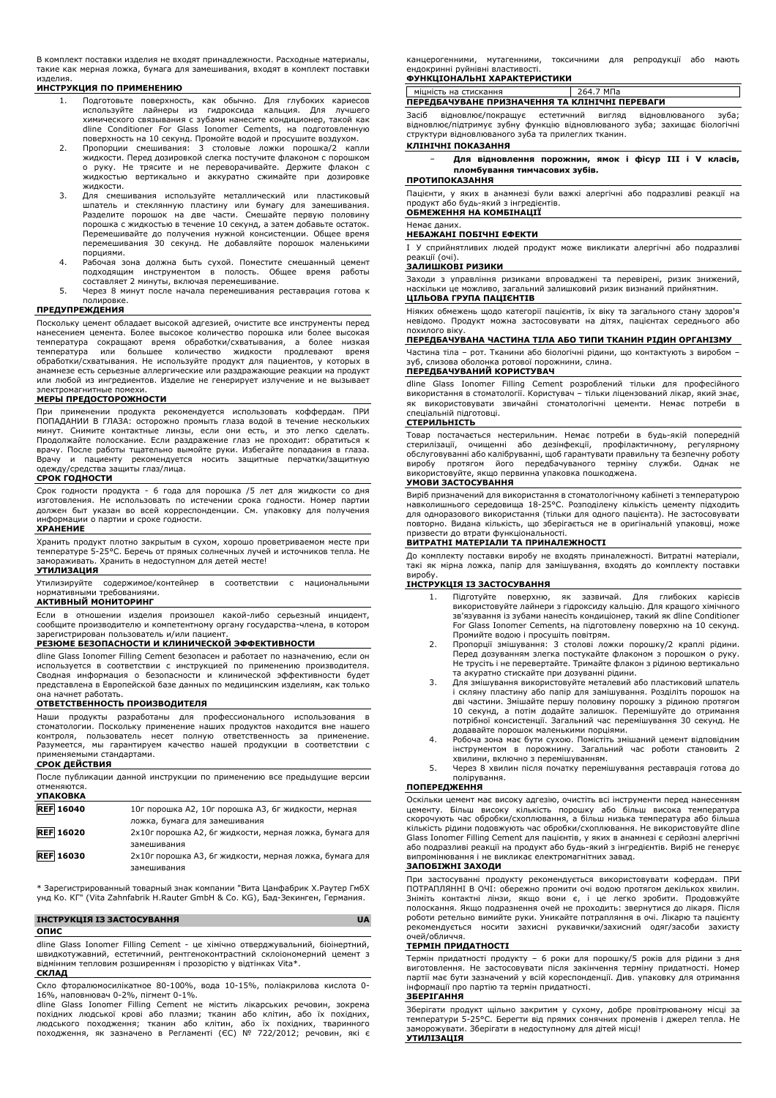В комплект поставки изделия не входят принадлежности. Расходные материалы, такие как мерная ложка, бумага для замешивания, входят в комплект поставки изделия.

#### **ИНСТРУКЦИЯ ПО ПРИМЕНЕНИЮ**

- 1. Подготовьте поверхность, как обычно. Для глубоких кариесов используйте лайнеры из гидроксида кальция. Для лучшего химического связывания с зубами нанесите кондиционер, такой как dline Conditioner For Glass Ionomer Cements, на подготовленную поверхность на 10 секунд. Промойте водой и просушите воздухом.
- 2. Пропорции смешивания: 3 столовые ложки порошка/2 капли<br>жидкости.Перед дозировкой слегка постучите флаконом с порошком<br>о руку. Не трясите и не переворачивайте. Держите флакон с жидкостью вертикально и аккуратно сжимайте при дозировке жидкости.<br>Для смешивания используйте металлический или пластиковый
- 3. Для смешивания используйте металлический или пластиковый<br>шпатель и стеклянную пластину или бумагу для замешивания.<br>Разделите порошок на две части. Смешайте первую половину порошка с жидкостью в течение 10 секунд, а затем добавьте остаток. Перемешивайте до получения нужной консистенции. Общее время перемешивания 30 секунд. Не добавляйте порошок маленькими порциями.
- 4. Рабочая зона должна быть сухой. Поместите смешанный цемент подходящим инструментом в полость. Общее время работы составляет 2 минуты, включая перемешивание.
- 5. Через 8 минут после начала перемешивания реставрация готова к полировке.

#### **ПРЕДУПРЕЖДЕНИЯ**

Поскольку цемент обладает высокой адгезией, очистите все инструменты перед нанесением цемента. Более высокое количество порошка или более высокая температура сокращают время обработки/схватывания, а более низкая температура или большее количество жидкости продлевают время обработки/схватывания. Не используйте продукт для пациентов, у которых в анамнезе есть серьезные аллергические или раздражающие реакции на продукт или любой из ингредиентов. Изделие не генерирует излучение и не вызывает электромагнитные помехи.

#### **МЕРЫ ПРЕДОСТОРОЖНОСТИ**

При применении продукта рекомендуется использовать коффердам. ПРИ ПОПАДАНИИ В ГЛАЗА: осторожно промыть глаза водой в течение нескольких минут. Снимите контактные линзы, если они есть, и это легко сделать. Продолжайте полоскание. Если раздражение глаз не проходит: обратиться к врачу. После работы тщательно вымойте руки. Избегайте попадания в глаза. Врачу и пациенту рекомендуется носить защитные перчатки/защитную одежду/средства защиты глаз/лица.

#### **СРОК ГОДНОСТИ**

Срок годности продукта - 6 года для порошка /5 лет для жидкости со дня изготовления. Не использовать по истечении срока годности. Номер партии должен быт указан во всей корреспонденции. См. упаковку для получения информации о партии и сроке годности.

### **ХРАНЕНИЕ**

Хранить продукт плотно закрытым в сухом, хорошо проветриваемом месте при температуре 5-25°C. Беречь от прямых солнечных лучей и источников тепла. Не замораживать. Хранить в недоступном для детей месте! **УТИЛИЗАЦИЯ**

Утилизируйте содержимое/контейнер в соответствии с национальными нормативными требованиями.

#### **АКТИВНЫЙ МОНИТОРИНГ**

Если в отношении изделия произошел какой-либо серьезный инцидент, сообщите производителю и компетентному органу государства-члена, в котором зарегистрирован пользователь и/или пациент.

#### **РЕЗЮМЕ БЕЗОПАСНОСТИ И КЛИНИЧЕСКОЙ ЭФФЕКТИВНОСТИ**

dline Glass Ionomer Filling Cement безопасен и работает по назначению, если он используется в соответствии с инструкцией по применению производителя. Сводная информация о безопасности и клинической эффективности будет представлена в Европейской базе данных по медицинским изделиям, как только она начнет работать.

#### **ОТВЕТСТВЕННОСТЬ ПРОИЗВОДИТЕЛЯ**

Наши продукты разработаны для профессионального использования в стоматологии. Поскольку применение наших продуктов находится вне нашего контроля, пользователь несет полную ответственность за применение. Разумеется, мы гарантируем качество нашей продукции в соответствии с применяемыми стандартами.

#### **СРОК ДЕЙСТВИЯ**

После публикации данной инструкции по применению все предыдущие версии отменяются. **УПАКОВКА**

| <b>JIMNVPNA</b>  |                                                         |
|------------------|---------------------------------------------------------|
| <b>REF</b> 16040 | 10г порошка А2, 10г порошка А3, 6г жидкости, мерная     |
|                  | ложка, бумага для замешивания                           |
| <b>REF</b> 16020 | 2х10г порошка А2, 6г жидкости, мерная ложка, бумага для |
|                  | замешивания                                             |
| <b>REF 16030</b> | 2х10г порошка АЗ, 6г жидкости, мерная ложка, бумага для |
|                  | замешивания                                             |

\* Зарегистрированный товарный знак компании "Вита Цанфабрик Х.Раутер ГмбХ унд Ко. КГ" (Vita Zahnfabrik H.Rauter GmbH & Co. KG), Бад-Зекинген, Германия.

### **ІНСТРУКЦІЯ ІЗ ЗАСТОСУВАННЯ UA**

#### **ОПИС**

dline Glass Ionomer Filling Cement - це хімічно отверджувальний, біоінертний, швидкотужавний, естетичний, рентгеноконтрастний склоіономерний цемент з відмінним тепловим розширенням і прозорістю у відтінках Vita\*. **СКЛАД**

Скло фторалюмосилікатное 80-100%, вода 10-15%, поліакрилова кислота 0- 16%, наповнювач 0-2%, пігмент 0-1%.

dline Glass Ionomer Filling Cement не містить лікарських речовин, зокрема<br>похідних людської крові або плазми; тканин або клітин, або їх похідних,<br>людського походження; тканин або клітин, або їх похідних, тваринного<br>походж

канцерогенними, мутагенними, токсичними для репродукції або мають ендокринні руйнівні властивості.

#### **ФУНКЦІОНАЛЬНІ ХАРАКТЕРИСТИКИ**

міцність на стискання 264.7 МПа

**ПЕРЕДБАЧУВАНЕ ПРИЗНАЧЕННЯ ТА КЛІНІЧНІ ПЕРЕВАГИ**

Засіб відновлює/покращує естетичний вигляд відновлюваного зуба; відновлює/підтримує зубну функцію відновлюваного зуба; захищає біологічні структури відновлюваного зуба та прилеглих тканин.

#### **КЛІНІЧНІ ПОКАЗАННЯ**

− **Для відновлення порожнин, ямок і фісур III і V класів, пломбування тимчасових зубів.**

#### **ПРОТИПОКАЗАННЯ**

Пацієнти, у яких в анамнезі були важкі алергічні або подразливі реакції на продукт або будь-який з інгредієнтів. **ОБМЕЖЕННЯ НА КОМБІНАЦІЇ**

#### Немає даних. **НЕБАЖАНІ ПОБІЧНІ ЕФЕКТИ**

I У сприйнятливих людей продукт може викликати алергічні або подразливі реакції (очі).

#### **ЗАЛИШКОВІ РИЗИКИ**

Заходи з управління ризиками впроваджені та перевірені, ризик знижений,<br>наскільки це можливо, загальний залишковий ризик визнаний прийнятним. загальний залишковий ризик визнаний прийнятним. **ЦІЛЬОВА ГРУПА ПАЦІЄНТІВ**

Ніяких обмежень щодо категорії пацієнтів, їх віку та загального стану здоров'я невідомо. Продукт можна застосовувати на дітях, пацієнтах середнього або похилого віку.

#### **ПЕРЕДБАЧУВАНА ЧАСТИНА ТІЛА АБО ТИПИ ТКАНИН РІДИН ОРГАНІЗМУ**

Частина тіла – рот. Тканини або біологічні рідини, що контактують з виробом – зуб, слизова оболонка ротової порожнини, слина.

#### **ПЕРЕДБАЧУВАНИЙ КОРИСТУВАЧ**

dline Glass Ionomer Filling Cement розроблений тільки для професійного використання в стоматології. Користувач – тільки ліцензований лікар, який знає, як використовувати звичайні стоматологічні цементи. Немає потреби в спеціальній підготовці.

#### **СТЕРИЛЬНІСТЬ**

Товар постачається нестерильним. Немає потреби в будь-якій попередній стерилізації, очищенні або дезінфекції, профілактичному, регулярному обслуговуванні або калібруванні, щоб гарантувати правильну та безпечну роботу виробу протягом його передбачуваного терміну служби. Однак не використовуйте, якщо первинна упаковка пошкоджена.

#### **УМОВИ ЗАСТОСУВАННЯ**

Виріб призначений для використання в стоматологічному кабінеті з температурою навколишнього середовища 18-25°C. Розподілену кількість цементу підходить для одноразового використання (тільки для одного пацієнта). Не застосовувати повторно. Видана кількість, що зберігається не в оригінальній упаковці, може

## призвести до втрати функціональності. **ВИТРАТНІ МАТЕРІАЛИ ТА ПРИНАЛЕЖНОСТІ**

До комплекту поставки виробу не входять приналежності. Витратні матеріали, такі як мірна ложка, папір для замішування, входять до комплекту поставки виробу.

#### **ІНСТРУКЦІЯ ІЗ ЗАСТОСУВАННЯ**

- 1. Підготуйте поверхню, як зазвичай. Для глибоких карієсів використовуйте лайнери з гідроксиду кальцію. Для кращого хімічного зв'язування із зубами нанесіть кондиціонер, такий як dline Conditioner For Glass Ionomer Cements, на підготовлену поверхню на 10 секунд.
- Промийте водою і просушіть повітрям. 2. Пропорції змішування: 3 столові ложки порошку/2 краплі рідини. Перед дозуванням злегка постукайте флаконом з порошком о руку. Не трусіть і не перевертайте. Тримайте флакон з рідиною вертикально та акуратно стискайте при дозуванні рідини.
- 3. Для змішування використовуйте металевий або пластиковий шпатель і скляну пластину або папір для замішування. Розділіть порошок на дві частини. Змішайте першу половину порошку з рідиною протягом 10 секунд, а потім додайте залишок. Перемішуйте до отримання потрібної консистенції. Загальний час перемішування 30 секунд. Не додавайте порошок маленькими порціями. 4. Робоча зона має бути сухою. Помістіть змішаний цемент відповідним
- інструментом в порожнину. Загальний час роботи становить 2 хвилини, включно з перемішуванням.
- 5. Через 8 хвилин після початку перемішування реставрація готова до полірування.

#### **ПОПЕРЕДЖЕННЯ**

Оскільки цемент має високу адгезію, очистіть всі інструменти перед нанесенням цементу. Більш високу кількість порошку або більш висока температура скорочують час обробки/схоплювання, а більш низька температура або більша кількість рідини подовжують час обробки/схоплювання. Не використовуйте dline Glass Ionomer Filling Cement для пацієнтів, у яких в анамнезі є серйозні алергічні або подразливі реакції на продукт або будь-який з інгредієнтів. Виріб не генерує випромінювання і не викликає електромагнітних завад.

#### **ЗАПОБІЖНІ ЗАХОДИ**

При застосуванні продукту рекомендується використовувати кофердам. ПРИ ПОТРАПЛЯННІ В ОЧІ: обережно промити очі водою протягом декількох хвилин. Зніміть контактні лінзи, якщо вони є, і це легко зробити. Продовжуйте полоскання. Якщо подразнення очей не проходить: звернутися до лікаря. Після роботи ретельно вимийте руки. Уникайте потрапляння в очі. Лікарю та пацієнту рекомендується носити захисні рукавички/захисний одяг/засоби захисту очей/обл

#### **ТЕРМІН ПРИДАТНОСТІ**

Термін придатності продукту – 6 роки для порошку/5 років для рідини з дня виготовлення. Не застосовувати після закінчення терміну придатності. Номер партії має бути зазначений у всій кореспонденції. Див. упаковку для отримання інформації про партію та термін придатності. **ЗБЕРІГАННЯ**

Зберігати продукт щільно закритим у сухому, добре провітрюваному місці за температури 5-25°C. Берегти від прямих сонячних променів і джерел тепла. Не заморожувати. Зберігати в недоступному для дітей місці!

**УТИЛІЗАЦІЯ**